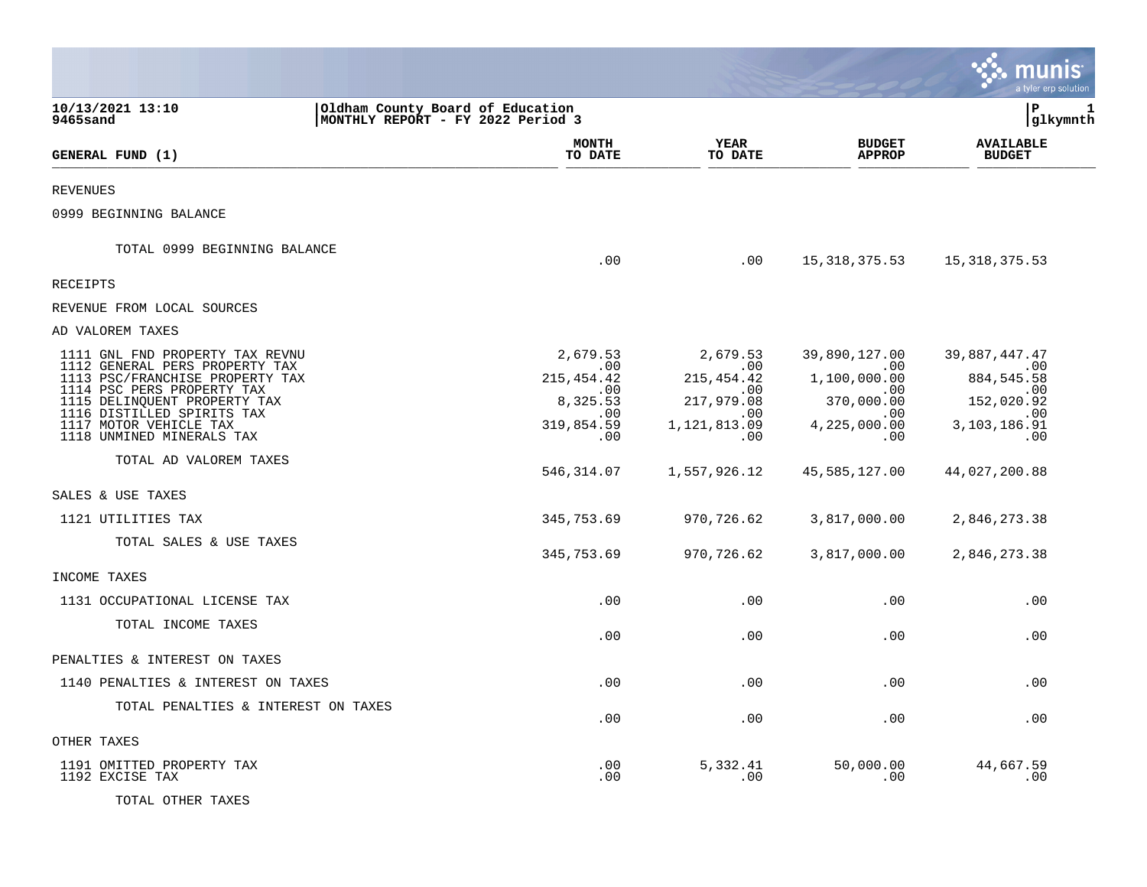|                                                                                                                                                 |                                                                       |                                                 |                                                  | a tyler erp solution                            |
|-------------------------------------------------------------------------------------------------------------------------------------------------|-----------------------------------------------------------------------|-------------------------------------------------|--------------------------------------------------|-------------------------------------------------|
| 10/13/2021 13:10<br>9465sand                                                                                                                    | Oldham County Board of Education<br>MONTHLY REPORT - FY 2022 Period 3 |                                                 |                                                  | P<br>1<br> glkymnth                             |
| GENERAL FUND (1)                                                                                                                                | <b>MONTH</b><br>TO DATE                                               | <b>YEAR</b><br>TO DATE                          | <b>BUDGET</b><br><b>APPROP</b>                   | <b>AVAILABLE</b><br><b>BUDGET</b>               |
| REVENUES                                                                                                                                        |                                                                       |                                                 |                                                  |                                                 |
| 0999 BEGINNING BALANCE                                                                                                                          |                                                                       |                                                 |                                                  |                                                 |
| TOTAL 0999 BEGINNING BALANCE                                                                                                                    | .00                                                                   | .00                                             | 15,318,375.53                                    | 15,318,375.53                                   |
| RECEIPTS                                                                                                                                        |                                                                       |                                                 |                                                  |                                                 |
| REVENUE FROM LOCAL SOURCES                                                                                                                      |                                                                       |                                                 |                                                  |                                                 |
| AD VALOREM TAXES                                                                                                                                |                                                                       |                                                 |                                                  |                                                 |
| 1111 GNL FND PROPERTY TAX REVNU<br>1112 GENERAL PERS PROPERTY TAX<br>1113 PSC/FRANCHISE PROPERTY TAX                                            | 2,679.53<br>.00<br>215, 454. 42                                       | 2,679.53<br>$.00 \,$<br>215, 454. 42            | 39,890,127.00<br>.00<br>1,100,000.00             | 39,887,447.47<br>$\sim 00$<br>884, 545.58       |
| 1114 PSC PERS PROPERTY TAX<br>1115 DELINQUENT PROPERTY TAX<br>1116 DISTILLED SPIRITS TAX<br>1117 MOTOR VEHICLE TAX<br>1118 UNMINED MINERALS TAX | .00<br>8,325.53<br>.00<br>319,854.59<br>.00                           | .00<br>217,979.08<br>.00<br>1,121,813.09<br>.00 | .00.<br>370,000.00<br>.00<br>4,225,000.00<br>.00 | .00<br>152,020.92<br>.00<br>3,103,186.91<br>.00 |
| TOTAL AD VALOREM TAXES                                                                                                                          | 546,314.07                                                            | 1,557,926.12                                    | 45,585,127.00                                    | 44,027,200.88                                   |
| SALES & USE TAXES                                                                                                                               |                                                                       |                                                 |                                                  |                                                 |
| 1121 UTILITIES TAX                                                                                                                              | 345,753.69                                                            | 970,726.62                                      | 3,817,000.00                                     | 2,846,273.38                                    |
| TOTAL SALES & USE TAXES                                                                                                                         | 345,753.69                                                            | 970,726.62                                      | 3,817,000.00                                     | 2,846,273.38                                    |
| INCOME TAXES                                                                                                                                    |                                                                       |                                                 |                                                  |                                                 |
| 1131 OCCUPATIONAL LICENSE TAX                                                                                                                   | .00                                                                   | .00                                             | .00                                              | .00                                             |
| TOTAL INCOME TAXES                                                                                                                              | .00                                                                   | .00                                             | .00                                              | .00                                             |
| PENALTIES & INTEREST ON TAXES                                                                                                                   |                                                                       |                                                 |                                                  |                                                 |
| 1140 PENALTIES & INTEREST ON TAXES                                                                                                              | .00                                                                   | .00                                             | .00                                              | .00                                             |
| TOTAL PENALTIES & INTEREST ON TAXES                                                                                                             | .00                                                                   | .00                                             | .00                                              | .00                                             |
| OTHER TAXES                                                                                                                                     |                                                                       |                                                 |                                                  |                                                 |
| 1191 OMITTED PROPERTY TAX<br>1192 EXCISE TAX                                                                                                    | .00<br>.00                                                            | 5,332.41<br>.00                                 | 50,000.00<br>.00                                 | 44,667.59<br>.00                                |
| TOTAL OTHER TAXES                                                                                                                               |                                                                       |                                                 |                                                  |                                                 |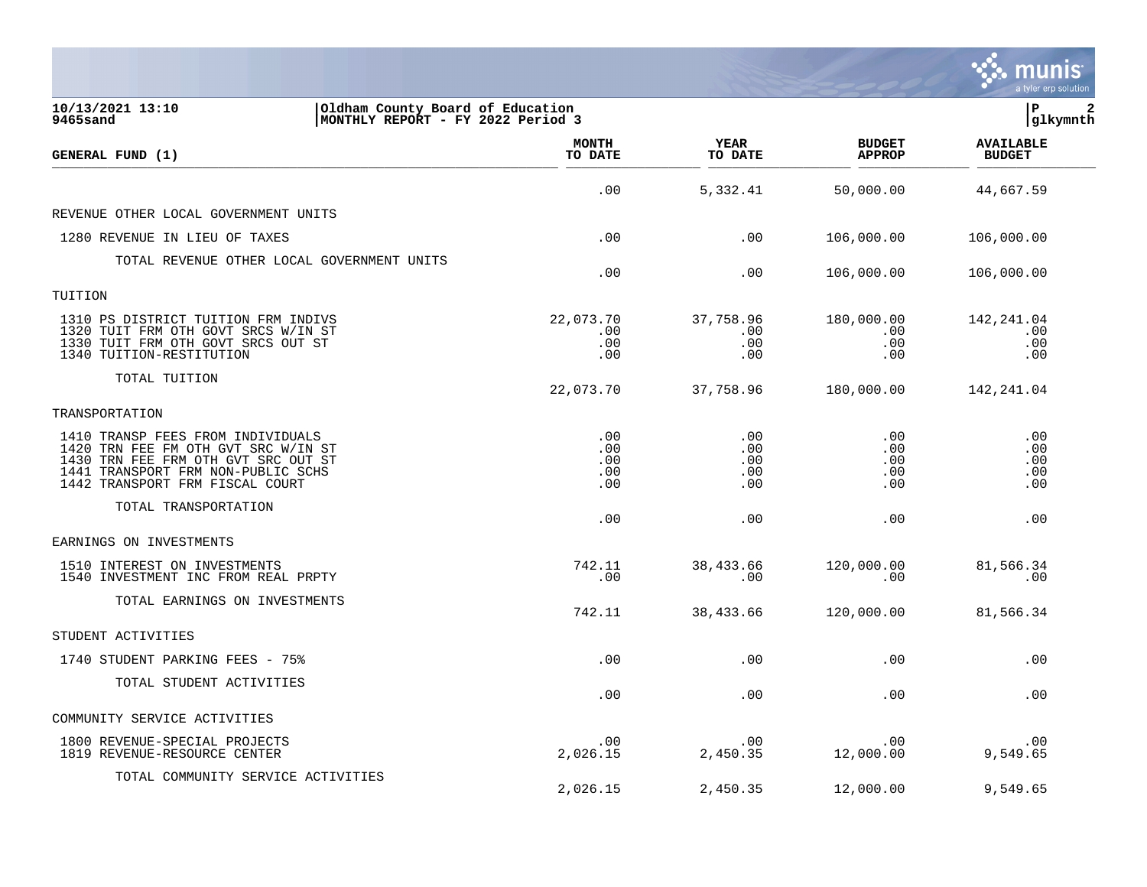|                                                                                                                                                                                          |                                 |                                 |                                      | a tyler erp solution              |
|------------------------------------------------------------------------------------------------------------------------------------------------------------------------------------------|---------------------------------|---------------------------------|--------------------------------------|-----------------------------------|
| 10/13/2021 13:10<br>Oldham County Board of Education<br>9465sand<br>MONTHLY REPORT - FY 2022 Period 3                                                                                    |                                 |                                 |                                      | lР<br>2<br> glkymnth              |
| GENERAL FUND (1)                                                                                                                                                                         | <b>MONTH</b><br>TO DATE         | <b>YEAR</b><br>TO DATE          | <b>BUDGET</b><br><b>APPROP</b>       | <b>AVAILABLE</b><br><b>BUDGET</b> |
|                                                                                                                                                                                          | .00                             | 5,332.41                        | 50,000.00                            | 44,667.59                         |
| REVENUE OTHER LOCAL GOVERNMENT UNITS                                                                                                                                                     |                                 |                                 |                                      |                                   |
| 1280 REVENUE IN LIEU OF TAXES                                                                                                                                                            | .00                             | .00                             | 106,000.00                           | 106,000.00                        |
| TOTAL REVENUE OTHER LOCAL GOVERNMENT UNITS                                                                                                                                               | .00                             | .00                             | 106,000.00                           | 106,000.00                        |
| TUITION                                                                                                                                                                                  |                                 |                                 |                                      |                                   |
| 1310 PS DISTRICT TUITION FRM INDIVS<br>1320 TUIT FRM OTH GOVT SRCS W/IN ST<br>1330 TUIT FRM OTH GOVT SRCS OUT ST<br>1340 TUITION-RESTITUTION                                             | 22,073.70<br>.00<br>.00<br>.00  | 37,758.96<br>.00<br>.00<br>.00  | 180,000.00<br>.00<br>.00<br>.00      | 142,241.04<br>.00<br>.00<br>.00   |
| TOTAL TUITION                                                                                                                                                                            | 22,073.70                       | 37,758.96                       | 180,000.00                           | 142, 241.04                       |
| TRANSPORTATION                                                                                                                                                                           |                                 |                                 |                                      |                                   |
| 1410 TRANSP FEES FROM INDIVIDUALS<br>1420 TRN FEE FM OTH GVT SRC W/IN ST<br>1430 TRN FEE FRM OTH GVT SRC OUT ST<br>1441 TRANSPORT FRM NON-PUBLIC SCHS<br>1442 TRANSPORT FRM FISCAL COURT | .00<br>.00<br>.00<br>.00<br>.00 | .00<br>.00<br>.00<br>.00<br>.00 | .00<br>$.00 \,$<br>.00<br>.00<br>.00 | .00<br>.00<br>.00<br>.00<br>.00   |
| TOTAL TRANSPORTATION                                                                                                                                                                     | .00                             | .00                             | .00                                  | .00                               |
| EARNINGS ON INVESTMENTS                                                                                                                                                                  |                                 |                                 |                                      |                                   |
| 1510 INTEREST ON INVESTMENTS<br>1540 INVESTMENT INC FROM REAL PRPTY                                                                                                                      | 742.11<br>.00                   | 38,433.66<br>.00                | 120,000.00<br>.00                    | 81,566.34<br>.00                  |
| TOTAL EARNINGS ON INVESTMENTS                                                                                                                                                            | 742.11                          | 38,433.66                       | 120,000.00                           | 81,566.34                         |
| STUDENT ACTIVITIES                                                                                                                                                                       |                                 |                                 |                                      |                                   |
| 1740 STUDENT PARKING FEES - 75%                                                                                                                                                          | .00                             | .00                             | .00                                  | .00                               |
| TOTAL STUDENT ACTIVITIES                                                                                                                                                                 | .00                             | .00                             | .00                                  | .00                               |
| COMMUNITY SERVICE ACTIVITIES                                                                                                                                                             |                                 |                                 |                                      |                                   |
| 1800 REVENUE-SPECIAL PROJECTS<br>1819 REVENUE-RESOURCE CENTER                                                                                                                            | .00<br>2,026.15                 | .00<br>2,450.35                 | .00<br>12,000.00                     | .00<br>9,549.65                   |
| TOTAL COMMUNITY SERVICE ACTIVITIES                                                                                                                                                       | 2,026.15                        | 2,450.35                        | 12,000.00                            | 9,549.65                          |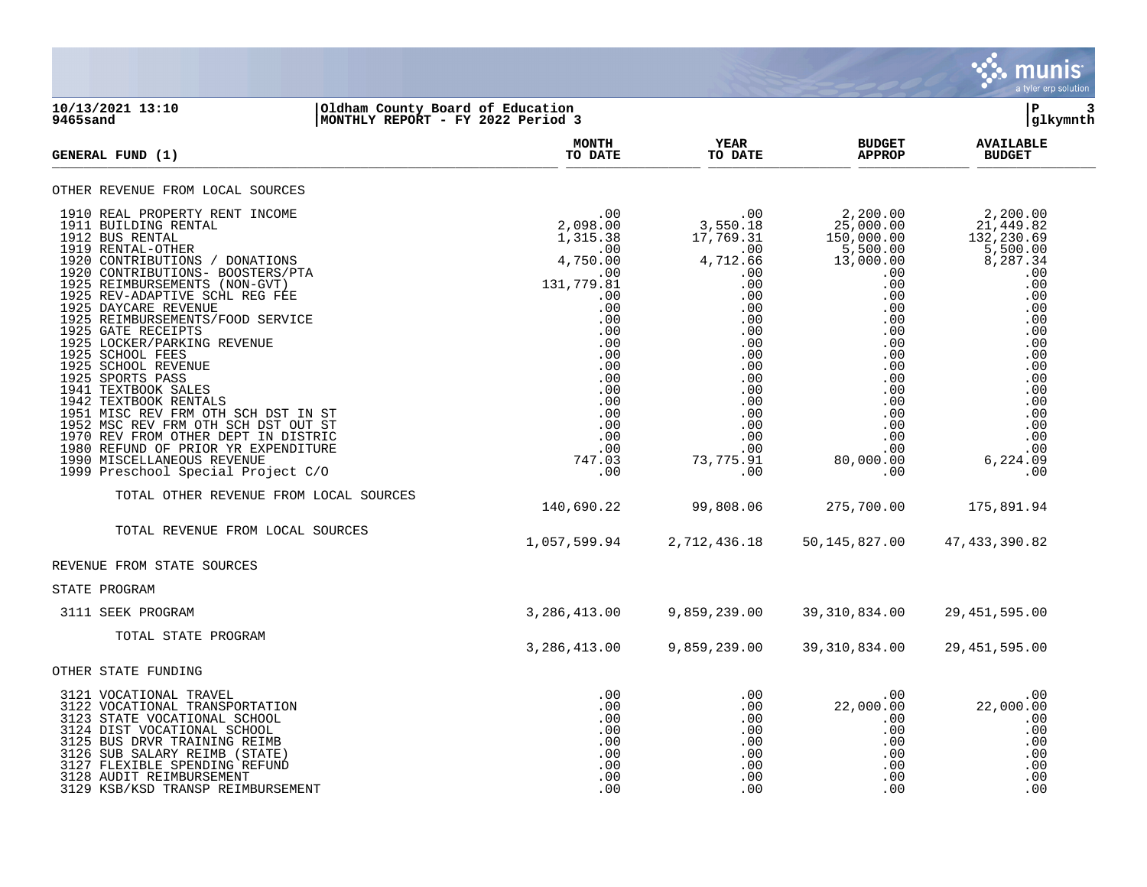

## **10/13/2021 13:10 |Oldham County Board of Education |P 3 9465sand |MONTHLY REPORT - FY 2022 Period 3 |glkymnth**

| <b>GENERAL FUND (1)</b>                                                                                                                                                                                                                                                                                                                                                                                                                                                                                                                                                                                                                                                                                 | <b>MONTH</b><br>TO DATE                                                                                                                                                                | YEAR<br>TO DATE                                                                                                                                                                     | <b>BUDGET</b><br><b>APPROP</b>                                                                                                                                                                                    | <b>AVAILABLE</b><br><b>BUDGET</b>                                                                                                                                                                                |
|---------------------------------------------------------------------------------------------------------------------------------------------------------------------------------------------------------------------------------------------------------------------------------------------------------------------------------------------------------------------------------------------------------------------------------------------------------------------------------------------------------------------------------------------------------------------------------------------------------------------------------------------------------------------------------------------------------|----------------------------------------------------------------------------------------------------------------------------------------------------------------------------------------|-------------------------------------------------------------------------------------------------------------------------------------------------------------------------------------|-------------------------------------------------------------------------------------------------------------------------------------------------------------------------------------------------------------------|------------------------------------------------------------------------------------------------------------------------------------------------------------------------------------------------------------------|
| OTHER REVENUE FROM LOCAL SOURCES                                                                                                                                                                                                                                                                                                                                                                                                                                                                                                                                                                                                                                                                        |                                                                                                                                                                                        |                                                                                                                                                                                     |                                                                                                                                                                                                                   |                                                                                                                                                                                                                  |
| 1910 REAL PROPERTY RENT INCOME<br>1911 BUILDING RENTAL<br>1912 BUS RENTAL<br>1919 RENTAL-OTHER<br>1920 CONTRIBUTIONS / DONATIONS<br>1920 CONTRIBUTIONS- BOOSTERS/PTA<br>1925 REIMBURSEMENTS (NON-GVT)<br>1925 REV-ADAPTIVE SCHL REG FEE<br>1925 DAYCARE REVENUE<br>1925 REIMBURSEMENTS/FOOD SERVICE<br>1925 GATE RECEIPTS<br>1925 LOCKER/PARKING REVENUE<br>1925 SCHOOL FEES<br>1925 SCHOOL REVENUE<br>1925 SPORTS PASS<br>1941 TEXTBOOK SALES<br>1942 TEXTBOOK RENTALS<br>1951 MISC REV FRM OTH SCH DST IN ST<br>1952 MSC REV FRM OTH SCH DST OUT ST<br>1970 REV FROM OTHER DEPT IN DISTRIC<br>1980 REFUND OF PRIOR YR EXPENDITURE<br>1990 MISCELLANEOUS REVENUE<br>1999 Preschool Special Project C/O | .00<br>2,098.00<br>1,315.38<br>.00<br>4,750.00<br>.00<br>131,779.81<br>.00<br>.00<br>.00<br>.00<br>.00<br>.00<br>.00<br>.00<br>.00<br>.00<br>.00<br>.00<br>.00<br>.00<br>747.03<br>.00 | .00<br>3,550.18<br>17,769.31<br>.00<br>4,712.66<br>.00<br>.00<br>.00<br>.00<br>.00<br>.00<br>.00<br>.00<br>.00<br>.00<br>.00<br>.00<br>.00<br>.00<br>.00<br>.00<br>73,775.91<br>.00 | 2,200.00<br>$25,000.00$<br>150,000.00<br>5,500.00<br>13,000.00<br>.00<br>.00<br>.00<br>.00<br>$.00 \,$<br>$.00 \,$<br>.00<br>.00<br>.00<br>.00<br>.00<br>.00<br>.00<br>.00<br>.00<br>.00<br>80,000.00<br>$.00 \,$ | 2, 200.00<br>21, 449.82<br>132, 230.69<br>$\frac{5}{6}$ , 500.00<br>8, 287.34<br>.00<br>.00<br>.00<br>.00<br>.00<br>.00<br>.00<br>.00<br>.00<br>.00<br>.00<br>.00<br>.00<br>.00<br>.00<br>.00<br>6,224.09<br>.00 |
| TOTAL OTHER REVENUE FROM LOCAL SOURCES                                                                                                                                                                                                                                                                                                                                                                                                                                                                                                                                                                                                                                                                  | 140,690.22                                                                                                                                                                             | 99,808.06                                                                                                                                                                           | 275,700.00                                                                                                                                                                                                        | 175,891.94                                                                                                                                                                                                       |
| TOTAL REVENUE FROM LOCAL SOURCES                                                                                                                                                                                                                                                                                                                                                                                                                                                                                                                                                                                                                                                                        | 1,057,599.94                                                                                                                                                                           | 2,712,436.18                                                                                                                                                                        | 50, 145, 827.00                                                                                                                                                                                                   | 47, 433, 390.82                                                                                                                                                                                                  |
| REVENUE FROM STATE SOURCES                                                                                                                                                                                                                                                                                                                                                                                                                                                                                                                                                                                                                                                                              |                                                                                                                                                                                        |                                                                                                                                                                                     |                                                                                                                                                                                                                   |                                                                                                                                                                                                                  |
| STATE PROGRAM                                                                                                                                                                                                                                                                                                                                                                                                                                                                                                                                                                                                                                                                                           |                                                                                                                                                                                        |                                                                                                                                                                                     |                                                                                                                                                                                                                   |                                                                                                                                                                                                                  |
| 3111 SEEK PROGRAM                                                                                                                                                                                                                                                                                                                                                                                                                                                                                                                                                                                                                                                                                       | 3,286,413.00                                                                                                                                                                           | 9,859,239.00                                                                                                                                                                        | 39, 310, 834.00                                                                                                                                                                                                   | 29, 451, 595.00                                                                                                                                                                                                  |
| TOTAL STATE PROGRAM                                                                                                                                                                                                                                                                                                                                                                                                                                                                                                                                                                                                                                                                                     | 3,286,413.00                                                                                                                                                                           | 9,859,239.00                                                                                                                                                                        | 39, 310, 834.00                                                                                                                                                                                                   | 29, 451, 595.00                                                                                                                                                                                                  |
| OTHER STATE FUNDING                                                                                                                                                                                                                                                                                                                                                                                                                                                                                                                                                                                                                                                                                     |                                                                                                                                                                                        |                                                                                                                                                                                     |                                                                                                                                                                                                                   |                                                                                                                                                                                                                  |
| 3121 VOCATIONAL TRAVEL<br>3122 VOCATIONAL TRANSPORTATION<br>3123 STATE VOCATIONAL SCHOOL<br>3124 DIST VOCATIONAL SCHOOL<br>3125 BUS DRVR TRAINING REIMB<br>3126 SUB SALARY REIMB (STATE)<br>3127 FLEXIBLE SPENDING REFUND<br>3128 AUDIT REIMBURSEMENT<br>3129 KSB/KSD TRANSP REIMBURSEMENT                                                                                                                                                                                                                                                                                                                                                                                                              | .00<br>.00<br>.00<br>.00<br>.00<br>.00<br>.00<br>.00<br>.00                                                                                                                            | $.00 \,$<br>.00<br>.00<br>$.00 \,$<br>.00<br>.00<br>.00<br>.00<br>.00                                                                                                               | $.00 \,$<br>22,000.00<br>$.00 \,$<br>$.00 \,$<br>.00<br>$.00 \,$<br>$.00 \,$<br>.00<br>.00                                                                                                                        | .00<br>22,000.00<br>.00<br>.00<br>.00<br>.00<br>.00<br>.00<br>.00                                                                                                                                                |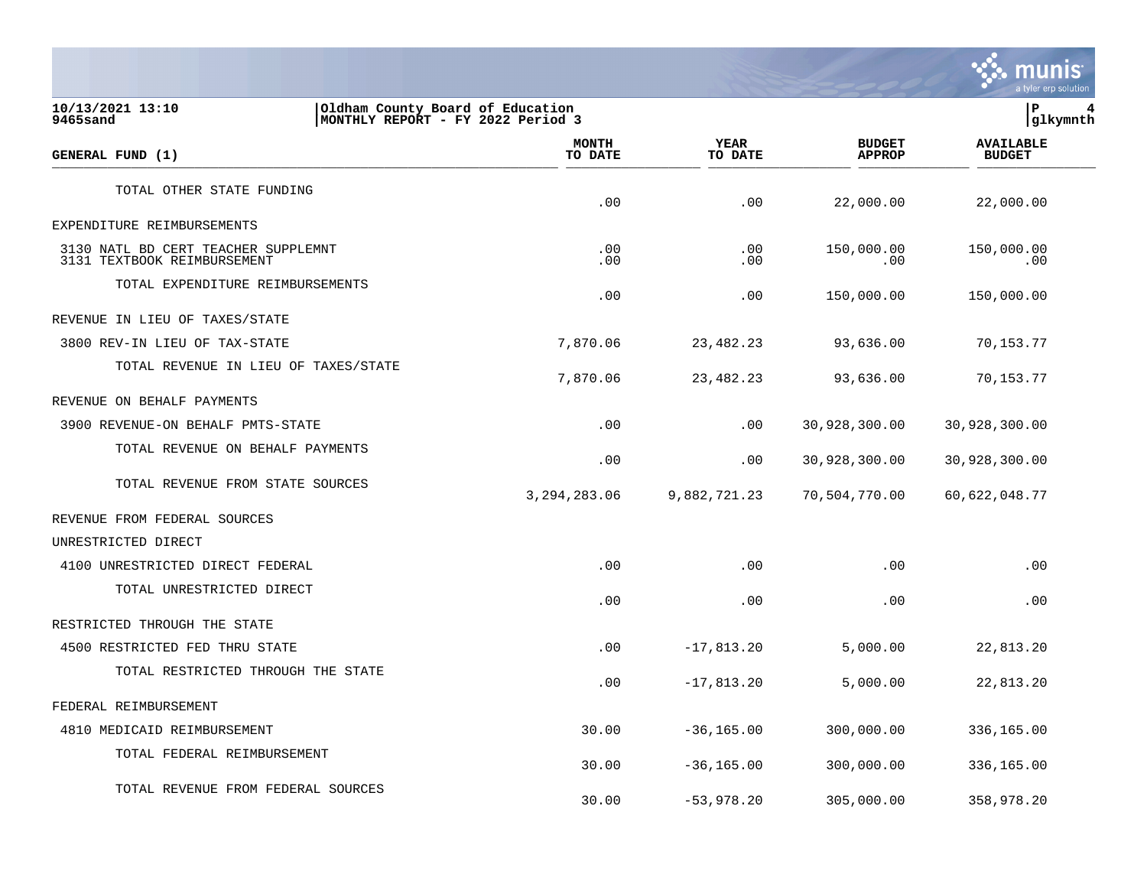

**10/13/2021 13:10 |Oldham County Board of Education |P 4 9465sand |MONTHLY REPORT - FY 2022 Period 3 |glkymnth MONTH AVAILABLE YEAR BUDGET** AVAILABLE **GENERAL FUND (1) TO DATE TO DATE APPROP BUDGET**   $\frac{10 \text{ Bheb}}{10 \text{ Bheb}}$ TOTAL OTHER STATE FUNDING .00 .00 22,000.00 22,000.00 EXPENDITURE REIMBURSEMENTS 3130 NATL BD CERT TEACHER SUPPLEMNT .00 .00 150,000.00 150,000.00 3131 TEXTBOOK REIMBURSEMENT TOTAL EXPENDITURE REIMBURSEMENTS .00 .00 150,000.00 150,000.00 REVENUE IN LIEU OF TAXES/STATE 3800 REV-IN LIEU OF TAX-STATE 7,870.06 23,482.23 93,636.00 70,153.77 TOTAL REVENUE IN LIEU OF TAXES/STATE 7,870.06 23,482.23 93,636.00 70,153.77 REVENUE ON BEHALF PAYMENTS 3900 REVENUE-ON BEHALF PMTS-STATE .00 .00 30,928,300.00 30,928,300.00 TOTAL REVENUE ON BEHALF PAYMENTS .00 .00 30,928,300.00 30,928,300.00 TOTAL REVENUE FROM STATE SOURCES 3,294,283.06 9,882,721.23 70,504,770.00 60,622,048.77 REVENUE FROM FEDERAL SOURCES UNRESTRICTED DIRECT 4100 UNRESTRICTED DIRECT FEDERAL .00 .00 .00 .00 TOTAL UNRESTRICTED DIRECT  $.00$  .  $.00$  .  $.00$  .  $.00$  .  $.00$  .  $.00$  .  $.00$  .  $.00$  .  $.00$  .  $.00$  .  $.00$  .  $.00$  .  $.00$  .  $.00$  .  $.00$  .  $.00$  .  $.00$  .  $.00$  .  $.00$  .  $.00$  .  $.00$  .  $.00$  .  $.00$  .  $.00$  .  $.00$  .  $.00$  .  $.00$  .  $.00$ RESTRICTED THROUGH THE STATE 4500 RESTRICTED FED THRU STATE .00 -17,813.20 5,000.00 22,813.20 TOTAL RESTRICTED THROUGH THE STATE .00 -17,813.20 5,000.00 22,813.20 FEDERAL REIMBURSEMENT 4810 MEDICAID REIMBURSEMENT 30.00 -36,165.00 300,000.00 336,165.00 TOTAL FEDERAL REIMBURSEMENT 30.00 -36,165.00 300,000.00 336,165.00 TOTAL REVENUE FROM FEDERAL SOURCES

30.00 -53,978.20 305,000.00 358,978.20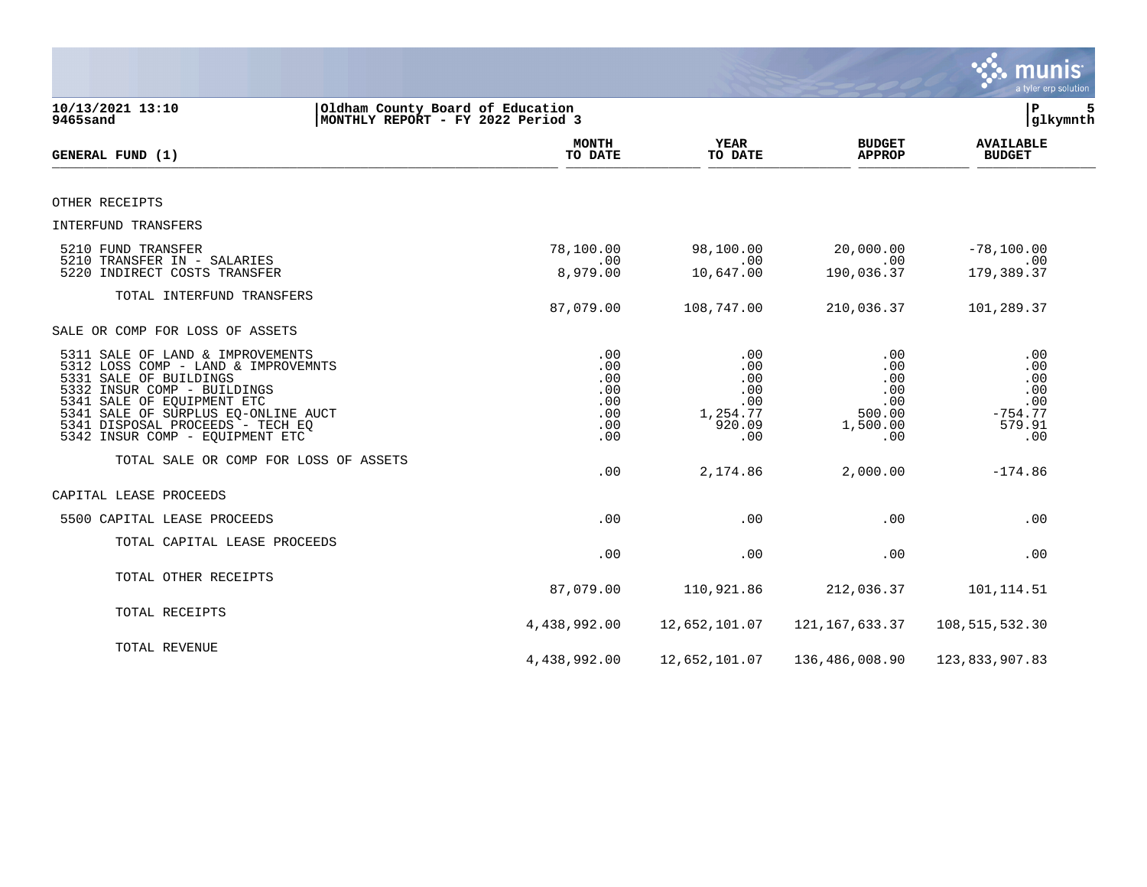|                                                                                                                                                                                                                                                                              |                                                                       |                                                              |                                                              | mu<br>a tyler erp solution                                    |
|------------------------------------------------------------------------------------------------------------------------------------------------------------------------------------------------------------------------------------------------------------------------------|-----------------------------------------------------------------------|--------------------------------------------------------------|--------------------------------------------------------------|---------------------------------------------------------------|
| 10/13/2021 13:10<br>9465sand                                                                                                                                                                                                                                                 | Oldham County Board of Education<br>MONTHLY REPORT - FY 2022 Period 3 |                                                              |                                                              | ΙP<br>5<br>glkymnth                                           |
| GENERAL FUND (1)                                                                                                                                                                                                                                                             | <b>MONTH</b><br>TO DATE                                               | <b>YEAR</b><br>TO DATE                                       | <b>BUDGET</b><br><b>APPROP</b>                               | <b>AVAILABLE</b><br><b>BUDGET</b>                             |
| OTHER RECEIPTS                                                                                                                                                                                                                                                               |                                                                       |                                                              |                                                              |                                                               |
| INTERFUND TRANSFERS                                                                                                                                                                                                                                                          |                                                                       |                                                              |                                                              |                                                               |
| 5210 FUND TRANSFER<br>5210 TRANSFER IN - SALARIES<br>5220 INDIRECT COSTS TRANSFER                                                                                                                                                                                            | 78,100.00<br>.00<br>8,979.00                                          | 98,100.00<br>.00<br>10,647.00                                | 20,000.00<br>.00<br>190,036.37                               | $-78, 100.00$<br>.00<br>179,389.37                            |
| TOTAL INTERFUND TRANSFERS                                                                                                                                                                                                                                                    | 87,079.00                                                             | 108,747.00                                                   | 210,036.37                                                   | 101,289.37                                                    |
| SALE OR COMP FOR LOSS OF ASSETS                                                                                                                                                                                                                                              |                                                                       |                                                              |                                                              |                                                               |
| 5311 SALE OF LAND & IMPROVEMENTS<br>5312 LOSS COMP - LAND & IMPROVEMNTS<br>5331 SALE OF BUILDINGS<br>5332 INSUR COMP - BUILDINGS<br>5341 SALE OF EQUIPMENT ETC<br>5341 SALE OF SURPLUS EQ-ONLINE AUCT<br>5341 DISPOSAL PROCEEDS - TECH EQ<br>5342 INSUR COMP - EQUIPMENT ETC | .00<br>.00<br>.00<br>.00<br>.00<br>.00<br>.00<br>.00                  | .00<br>.00<br>.00<br>.00<br>.00<br>1,254.77<br>920.09<br>.00 | .00<br>.00<br>.00<br>.00<br>.00<br>500.00<br>1,500.00<br>.00 | .00<br>.00<br>.00<br>.00<br>.00<br>$-754.77$<br>579.91<br>.00 |
| TOTAL SALE OR COMP FOR LOSS OF ASSETS                                                                                                                                                                                                                                        | .00                                                                   | 2,174.86                                                     | 2,000.00                                                     | $-174.86$                                                     |
| CAPITAL LEASE PROCEEDS                                                                                                                                                                                                                                                       |                                                                       |                                                              |                                                              |                                                               |
| 5500 CAPITAL LEASE PROCEEDS                                                                                                                                                                                                                                                  | .00                                                                   | .00                                                          | .00                                                          | .00                                                           |
| TOTAL CAPITAL LEASE PROCEEDS                                                                                                                                                                                                                                                 | .00                                                                   | .00                                                          | .00                                                          | .00                                                           |
| TOTAL OTHER RECEIPTS                                                                                                                                                                                                                                                         | 87,079.00                                                             | 110,921.86                                                   | 212,036.37                                                   | 101, 114.51                                                   |
| TOTAL RECEIPTS                                                                                                                                                                                                                                                               | 4,438,992.00                                                          | 12,652,101.07                                                | 121, 167, 633.37                                             | 108,515,532.30                                                |
| TOTAL REVENUE                                                                                                                                                                                                                                                                | 4,438,992.00                                                          | 12,652,101.07                                                | 136,486,008.90                                               | 123,833,907.83                                                |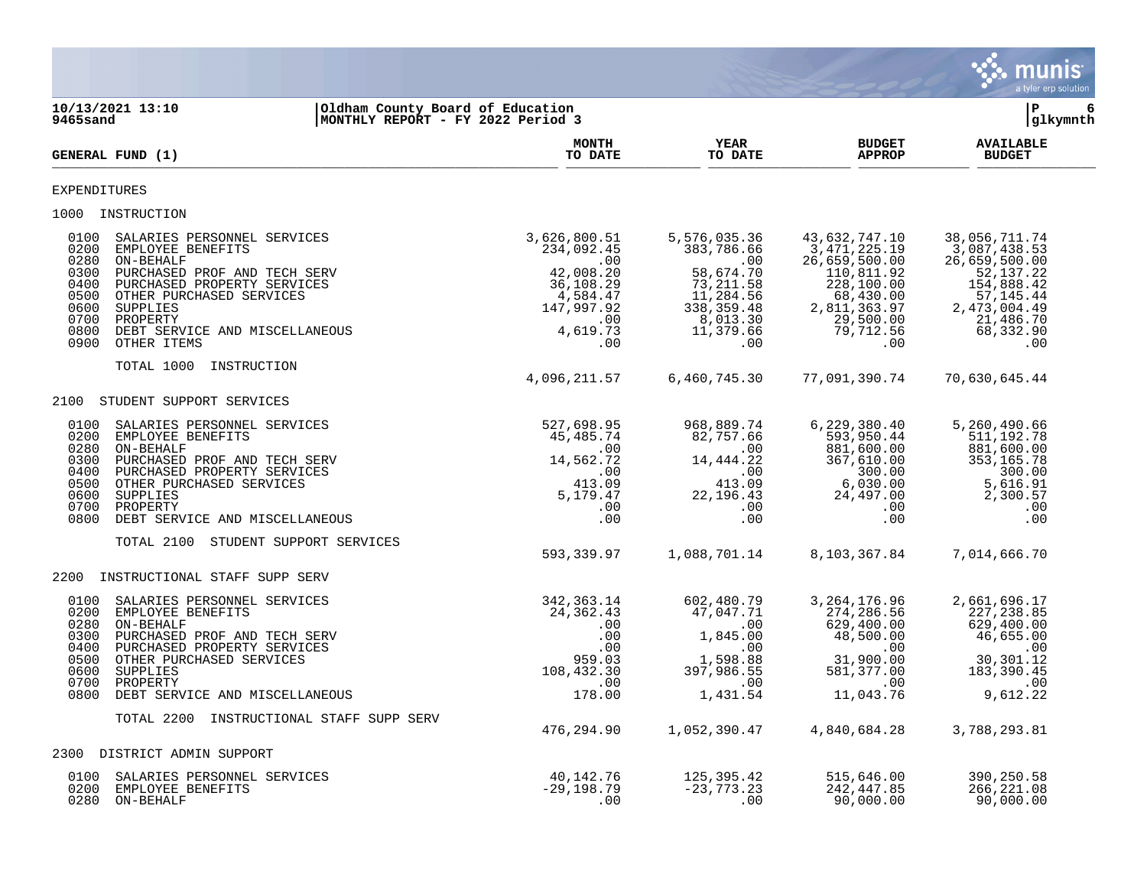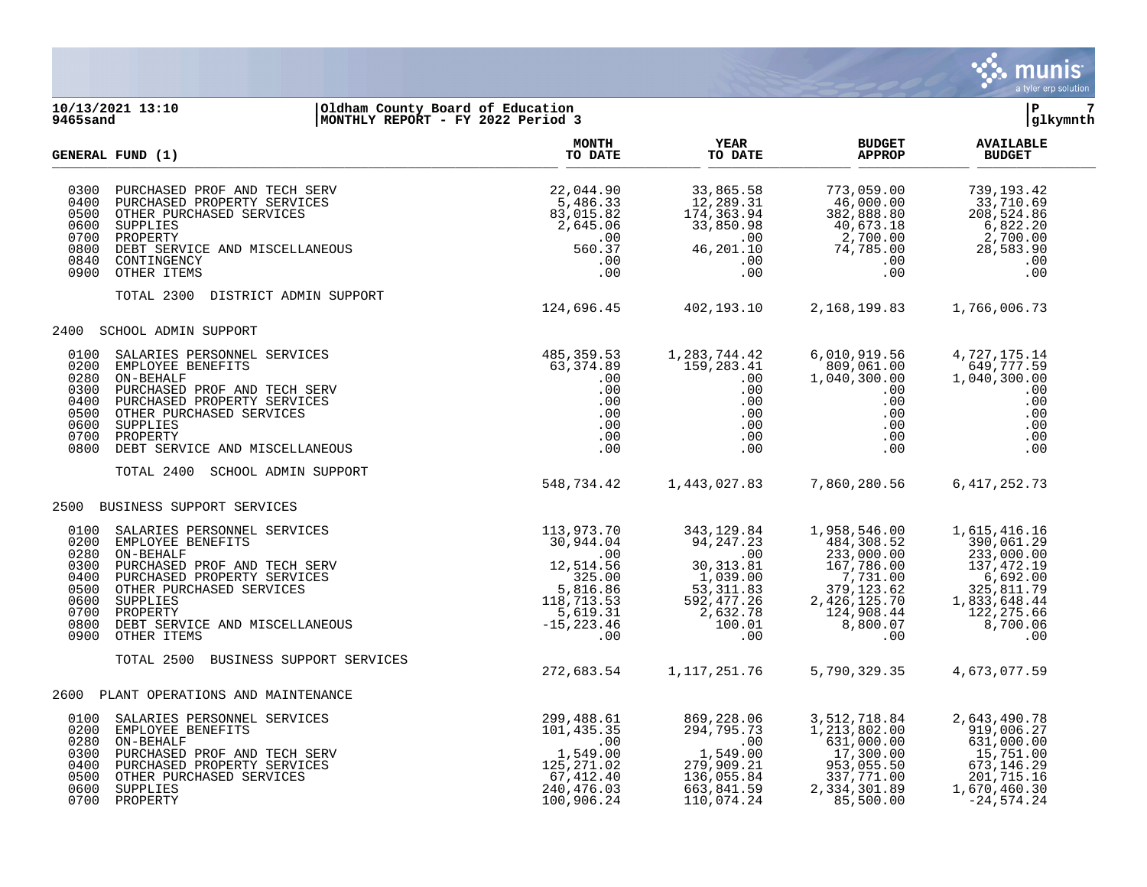

## **10/13/2021 13:10 |Oldham County Board of Education |P 7 9465sand |MONTHLY REPORT - FY 2022 Period 3 |glkymnth**

|                                                                              | <b>GENERAL FUND (1)</b>                                                                                                                                                                                                                                                                                                                                                                                                               | <b>MONTH</b><br>TO DATE                                           | <b>YEAR</b><br>TO DATE                                                                                              | <b>BUDGET</b><br><b>APPROP</b>                                                                                                                                                                                                                                                                                        | <b>AVAILABLE</b><br><b>BUDGET</b>                                                                                  |  |
|------------------------------------------------------------------------------|---------------------------------------------------------------------------------------------------------------------------------------------------------------------------------------------------------------------------------------------------------------------------------------------------------------------------------------------------------------------------------------------------------------------------------------|-------------------------------------------------------------------|---------------------------------------------------------------------------------------------------------------------|-----------------------------------------------------------------------------------------------------------------------------------------------------------------------------------------------------------------------------------------------------------------------------------------------------------------------|--------------------------------------------------------------------------------------------------------------------|--|
| 0300<br>0400<br>0500<br>0600<br>0700<br>0800<br>0840<br>0900                 | $\begin{tabular}{l l l l} \multicolumn{1}{c}{\textbf{PURCHASED} \textbf{ PROPERTIES} \multicolumn{1}{c}{\textbf{PUPC}} \textbf{ROPERTY} \textbf{SERV} & 22,044.90 \\ \multicolumn{1}{c}{\textbf{PURCHASED} \textbf{ PROPERTIES} \hspace{1.2cm} 5,486.33 \\ \multicolumn{1}{c}{\textbf{OTFER PURCHASED} \textbf{SERVICES} \hspace{1.2cm} 83,015.82 \\ \textbf{SUPPLIES} \hspace{1.2cm} 2,645.06 \\ \textbf{PROBERT} \textbf{PERVICEB}$ |                                                                   | 33,865.58<br>12,289.31<br>$174, 363.$<br>33,850.98<br>.00<br>46,201.10<br>.00<br>.00                                | $\begin{array}{cccc} 773\,, 059\,, 00 & 739\,, 193\,, 42 \\ 46\,, 000\,, 00 & 33\,, 710\,, 69 \\ 382\,, 888\,, 80 & 208\,, 524\,, 86 \\ 40\,, 673\,, 18 & 6\,, 822\,. 20 \\ 2\,, 700\,, 00 & 2\,, 700\,, 00 \\ 74\,, 785\,, 00 & 28\,, 583\,, 90 \\ .00 & .00 & .00 \\ \end{array}$                                   |                                                                                                                    |  |
|                                                                              | TOTAL 2300 DISTRICT ADMIN SUPPORT                                                                                                                                                                                                                                                                                                                                                                                                     | 124,696.45 402,193.10                                             |                                                                                                                     | 2,168,199.83 1,766,006.73                                                                                                                                                                                                                                                                                             |                                                                                                                    |  |
|                                                                              | 2400 SCHOOL ADMIN SUPPORT                                                                                                                                                                                                                                                                                                                                                                                                             |                                                                   |                                                                                                                     |                                                                                                                                                                                                                                                                                                                       |                                                                                                                    |  |
| 0100<br>0200<br>0280<br>0300<br>0400<br>0500<br>0600<br>0700<br>0800         | PROPERTY                                                                                                                                                                                                                                                                                                                                                                                                                              | $\begin{array}{c} .00\ .00\ .00\ .00\ .00\ .00\ .00\ \end{array}$ | 1,283,744.42<br>159,283.41<br>.00<br>.00<br>$\begin{array}{c} .00\ 0.00\ .00\ .00\ .00\ .00\ .00\ .00\ \end{array}$ | 6,010,919.56<br>809,061.00<br>1,040,300.00<br>$.00 \,$<br>.00<br>$\begin{array}{c} .00\ .00\ .00\ .00\ .00 \end{array}$                                                                                                                                                                                               | 4,727,175.14<br>649,777.59<br>1,040,300.00<br>.00<br>.00<br>.00<br>.00<br>.00<br>.00                               |  |
|                                                                              | TOTAL 2400<br>SCHOOL ADMIN SUPPORT                                                                                                                                                                                                                                                                                                                                                                                                    | 548,734.42 1,443,027.83                                           |                                                                                                                     | 7,860,280.56                                                                                                                                                                                                                                                                                                          | 6, 417, 252.73                                                                                                     |  |
|                                                                              | 2500 BUSINESS SUPPORT SERVICES                                                                                                                                                                                                                                                                                                                                                                                                        |                                                                   |                                                                                                                     |                                                                                                                                                                                                                                                                                                                       |                                                                                                                    |  |
| 0100<br>0200<br>0280<br>0300<br>0400<br>0500<br>0600<br>0700<br>0800<br>0900 |                                                                                                                                                                                                                                                                                                                                                                                                                                       |                                                                   |                                                                                                                     | 1,958,546.00<br>484,308.52<br>$\begin{array}{cccc} 24,24 \cdot 23,000.52 & 233,000.52 & 233,001.29 \\ 30,313.81 & 167,786.00 & 137,472.19 \\ 1,039.00 & 7,731.00 & 6,692.00 \\ 53,311.83 & 379,123.62 & 325,811.79 \\ 592,477.26 & 2,426,125.70 & 1,833,648.44 \\ 2,632.78 & 124,908.44 & 122,275$<br>8,800.07<br>.00 | 1,615,416.16<br>390,061.29<br>8,700.06<br>.00                                                                      |  |
|                                                                              | TOTAL 2500<br>BUSINESS SUPPORT SERVICES                                                                                                                                                                                                                                                                                                                                                                                               | 272,683.54                                                        | 1,117,251.76                                                                                                        | 5,790,329.35                                                                                                                                                                                                                                                                                                          | 4,673,077.59                                                                                                       |  |
|                                                                              | 2600 PLANT OPERATIONS AND MAINTENANCE                                                                                                                                                                                                                                                                                                                                                                                                 |                                                                   |                                                                                                                     |                                                                                                                                                                                                                                                                                                                       |                                                                                                                    |  |
| 0100<br>0200<br>0280<br>0300<br>0400<br>0500<br>0600                         | 0700 PROPERTY                                                                                                                                                                                                                                                                                                                                                                                                                         |                                                                   | 869,228.06<br>294,795.70<br>$2.7779373$<br>1,549.00<br>279,909.21<br>136,055.84<br>663,841.59<br>110,074.24         | 3, 512, 718.84<br>1, 213, 802.00<br>631,000.00<br>17,300.00<br>953,055.50<br>337,771.00<br>2,334,301.89<br>85,500.00                                                                                                                                                                                                  | 2,643,490.78<br>919,006.27<br>631,000.00<br>15,751.00<br>673, 146.29<br>201,715.16<br>1,670,460.30<br>$-24,574.24$ |  |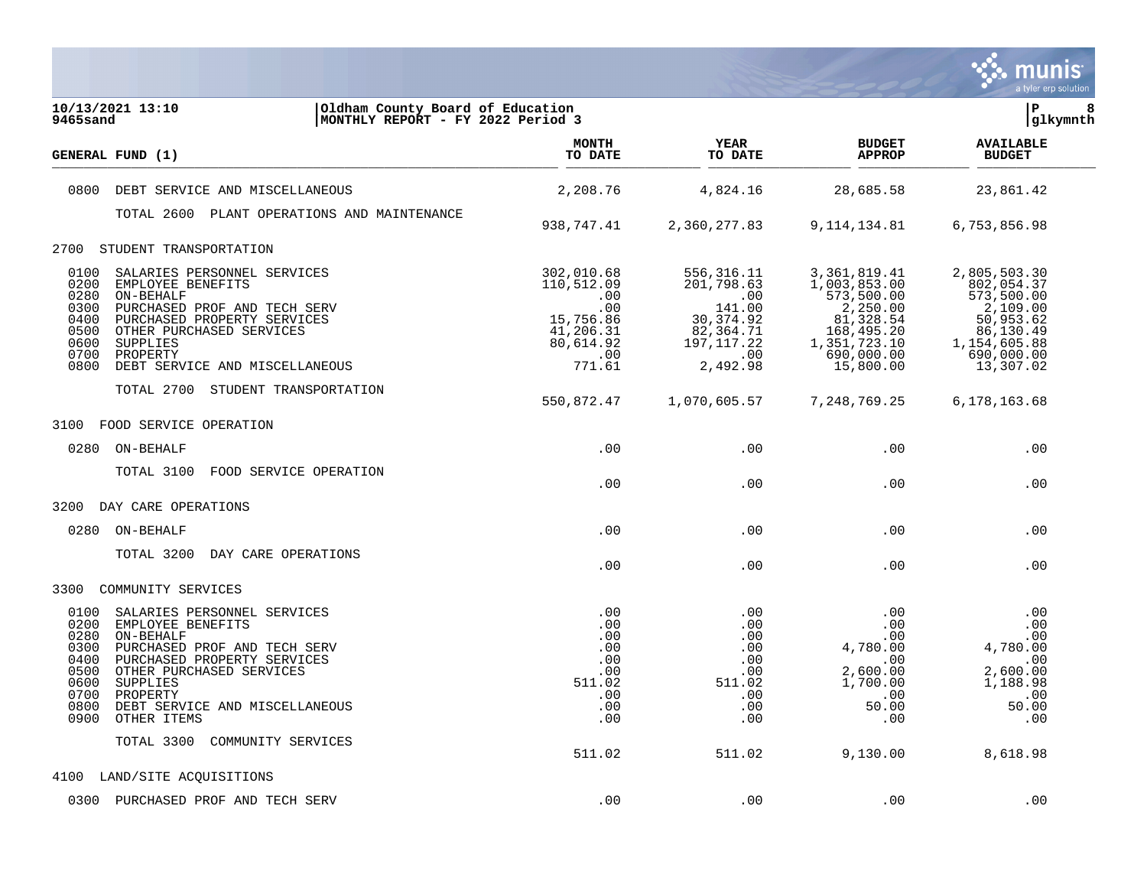

| 10/13/2021 13:10<br>Oldham County Board of Education<br>MONTHLY REPORT - FY 2022 Period 3<br>9465sand                                                                                                                                                                                                             |                                                                                      |                                                                                            |                                                                                                                 | lР<br>8<br> glkymnth                                                                                         |
|-------------------------------------------------------------------------------------------------------------------------------------------------------------------------------------------------------------------------------------------------------------------------------------------------------------------|--------------------------------------------------------------------------------------|--------------------------------------------------------------------------------------------|-----------------------------------------------------------------------------------------------------------------|--------------------------------------------------------------------------------------------------------------|
| <b>GENERAL FUND (1)</b>                                                                                                                                                                                                                                                                                           | <b>MONTH</b><br>TO DATE                                                              | YEAR<br>TO DATE                                                                            | <b>BUDGET</b><br><b>APPROP</b>                                                                                  | <b>AVAILABLE</b><br><b>BUDGET</b>                                                                            |
| 0800<br>DEBT SERVICE AND MISCELLANEOUS                                                                                                                                                                                                                                                                            | 2,208.76                                                                             | 4,824.16                                                                                   | 28,685.58                                                                                                       | 23,861.42                                                                                                    |
| TOTAL 2600 PLANT OPERATIONS AND MAINTENANCE                                                                                                                                                                                                                                                                       |                                                                                      |                                                                                            |                                                                                                                 |                                                                                                              |
|                                                                                                                                                                                                                                                                                                                   | 938,747.41                                                                           | 2,360,277.83                                                                               | 9, 114, 134.81                                                                                                  | 6,753,856.98                                                                                                 |
| 2700<br>STUDENT TRANSPORTATION                                                                                                                                                                                                                                                                                    |                                                                                      |                                                                                            |                                                                                                                 |                                                                                                              |
| 0100<br>SALARIES PERSONNEL SERVICES<br>0200<br>EMPLOYEE BENEFITS<br>0280<br>ON-BEHALF<br>0300<br>PURCHASED PROF AND TECH SERV<br>0400<br>PURCHASED PROPERTY SERVICES<br>0500<br>OTHER PURCHASED SERVICES<br>0600<br>SUPPLIES<br>0700<br>PROPERTY                                                                  | 302,010.68<br>110,512.09<br>.00<br>.00<br>15,756.86<br>41,206.31<br>80,614.92<br>.00 | 556,316.11<br>201,798.63<br>.00<br>141.00<br>30, 374.92<br>82,364.71<br>197, 117.22<br>.00 | 3,361,819.41<br>1,003,853.00<br>573,500.00<br>2,250.00<br>81,328.54<br>168,495.20<br>1,351,723.10<br>690,000.00 | 2,805,503.30<br>802,054.37<br>573,500.00<br>2,109.00<br>50,953.62<br>86,130.49<br>1,154,605.88<br>690,000.00 |
| 0800<br>DEBT SERVICE AND MISCELLANEOUS                                                                                                                                                                                                                                                                            | 771.61                                                                               | 2,492.98                                                                                   | 15,800.00                                                                                                       | 13,307.02                                                                                                    |
| TOTAL 2700 STUDENT TRANSPORTATION                                                                                                                                                                                                                                                                                 | 550,872.47                                                                           | 1,070,605.57                                                                               | 7, 248, 769. 25                                                                                                 | 6,178,163.68                                                                                                 |
| FOOD SERVICE OPERATION<br>3100                                                                                                                                                                                                                                                                                    |                                                                                      |                                                                                            |                                                                                                                 |                                                                                                              |
| 0280<br>ON-BEHALF                                                                                                                                                                                                                                                                                                 | .00                                                                                  | .00                                                                                        | .00                                                                                                             | .00                                                                                                          |
| TOTAL 3100<br>FOOD SERVICE OPERATION                                                                                                                                                                                                                                                                              | .00                                                                                  | .00                                                                                        | .00                                                                                                             | .00                                                                                                          |
| DAY CARE OPERATIONS<br>3200                                                                                                                                                                                                                                                                                       |                                                                                      |                                                                                            |                                                                                                                 |                                                                                                              |
| 0280<br>ON-BEHALF                                                                                                                                                                                                                                                                                                 | .00                                                                                  | .00                                                                                        | .00                                                                                                             | .00                                                                                                          |
| TOTAL 3200 DAY CARE OPERATIONS                                                                                                                                                                                                                                                                                    | .00                                                                                  | .00                                                                                        | .00                                                                                                             | .00                                                                                                          |
| 3300<br>COMMUNITY SERVICES                                                                                                                                                                                                                                                                                        |                                                                                      |                                                                                            |                                                                                                                 |                                                                                                              |
| 0100<br>SALARIES PERSONNEL SERVICES<br>0200<br>EMPLOYEE BENEFITS<br>0280<br>ON-BEHALF<br>0300<br>PURCHASED PROF AND TECH SERV<br>0400<br>PURCHASED PROPERTY SERVICES<br>0500<br>OTHER PURCHASED SERVICES<br>0600<br>SUPPLIES<br>0700<br>PROPERTY<br>0800<br>DEBT SERVICE AND MISCELLANEOUS<br>0900<br>OTHER ITEMS | .00<br>.00<br>.00<br>.00<br>.00<br>.00<br>511.02<br>.00<br>.00<br>.00                | .00<br>.00<br>.00<br>.00<br>.00<br>.00<br>511.02<br>.00<br>.00<br>.00                      | .00<br>.00<br>.00<br>4,780.00<br>.00<br>2,600.00<br>1,700.00<br>.00<br>50.00<br>.00                             | .00<br>.00<br>.00<br>4,780.00<br>.00<br>2,600.00<br>1,188.98<br>.00<br>50.00<br>.00                          |
| TOTAL 3300<br>COMMUNITY SERVICES                                                                                                                                                                                                                                                                                  | 511.02                                                                               | 511.02                                                                                     | 9,130.00                                                                                                        | 8,618.98                                                                                                     |
| LAND/SITE ACQUISITIONS<br>4100                                                                                                                                                                                                                                                                                    |                                                                                      |                                                                                            |                                                                                                                 |                                                                                                              |
| 0300<br>PURCHASED PROF AND TECH SERV                                                                                                                                                                                                                                                                              | .00                                                                                  | .00                                                                                        | .00                                                                                                             | .00                                                                                                          |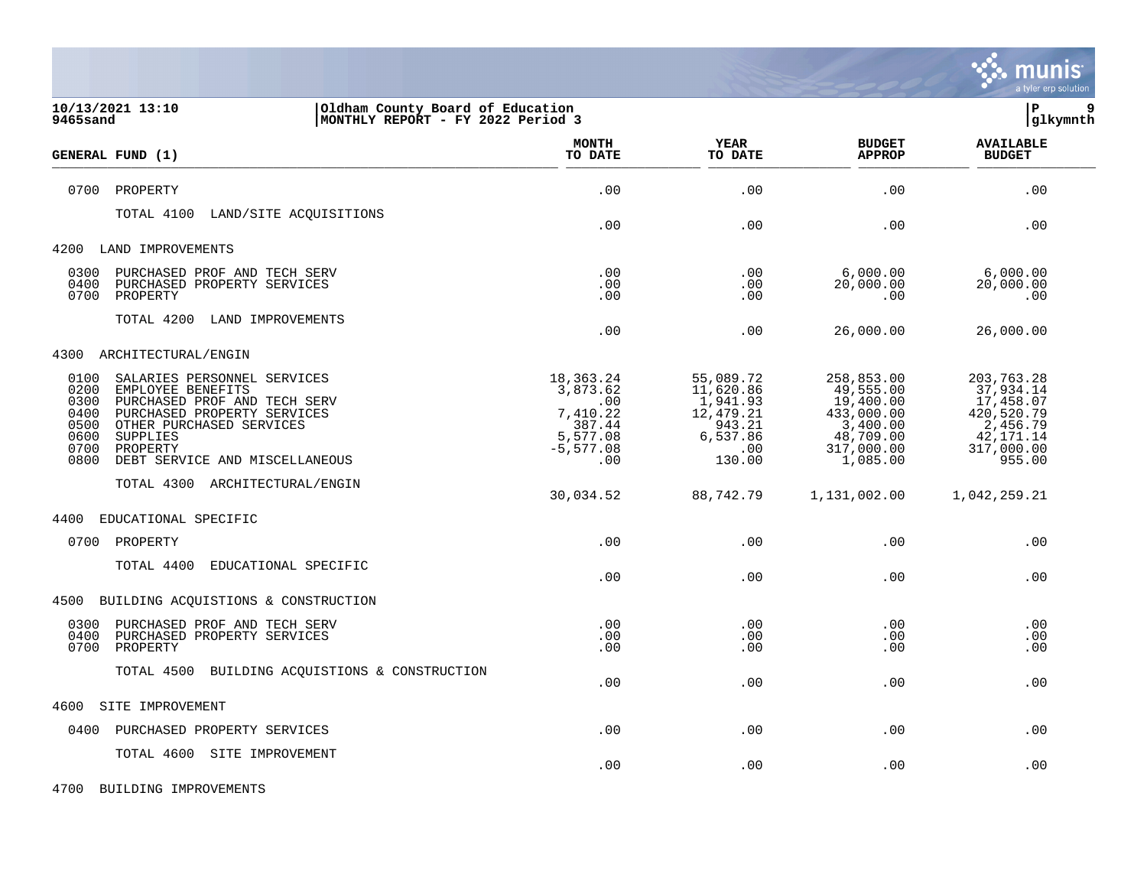

| 10/13/2021 13:10<br>Oldham County Board of Education<br>9465sand<br>MONTHLY REPORT - FY 2022 Period 3                                                                                                                                                                 |                                                                                       |                                                                                        |                                                                                                       | P<br>9<br> glkymnth                                                                                   |
|-----------------------------------------------------------------------------------------------------------------------------------------------------------------------------------------------------------------------------------------------------------------------|---------------------------------------------------------------------------------------|----------------------------------------------------------------------------------------|-------------------------------------------------------------------------------------------------------|-------------------------------------------------------------------------------------------------------|
| GENERAL FUND (1)                                                                                                                                                                                                                                                      | <b>MONTH</b><br>TO DATE                                                               | <b>YEAR</b><br>TO DATE                                                                 | <b>BUDGET</b><br><b>APPROP</b>                                                                        | <b>AVAILABLE</b><br><b>BUDGET</b>                                                                     |
| 0700<br>PROPERTY                                                                                                                                                                                                                                                      | .00                                                                                   | .00                                                                                    | .00                                                                                                   | .00                                                                                                   |
| TOTAL 4100<br>LAND/SITE ACQUISITIONS                                                                                                                                                                                                                                  | .00                                                                                   | .00                                                                                    | .00                                                                                                   | .00                                                                                                   |
| 4200<br>LAND IMPROVEMENTS                                                                                                                                                                                                                                             |                                                                                       |                                                                                        |                                                                                                       |                                                                                                       |
| PURCHASED PROF AND TECH SERV<br>0300<br>0400<br>PURCHASED PROPERTY SERVICES<br>0700<br>PROPERTY                                                                                                                                                                       | .00<br>.00<br>.00                                                                     | .00<br>.00<br>.00                                                                      | 6,000.00<br>20,000.00<br>.00                                                                          | 6,000.00<br>20,000.00<br>.00                                                                          |
| TOTAL 4200<br>LAND IMPROVEMENTS                                                                                                                                                                                                                                       | .00                                                                                   | .00                                                                                    | 26,000.00                                                                                             | 26,000.00                                                                                             |
| 4300<br>ARCHITECTURAL/ENGIN                                                                                                                                                                                                                                           |                                                                                       |                                                                                        |                                                                                                       |                                                                                                       |
| 0100<br>SALARIES PERSONNEL SERVICES<br>0200<br>EMPLOYEE BENEFITS<br>0300<br>PURCHASED PROF AND TECH SERV<br>0400<br>PURCHASED PROPERTY SERVICES<br>0500<br>OTHER PURCHASED SERVICES<br>0600<br>SUPPLIES<br>0700<br>PROPERTY<br>0800<br>DEBT SERVICE AND MISCELLANEOUS | 18,363.24<br>3,873.62<br>.00<br>7,410.22<br>387.44<br>5,577.08<br>$-5, 577.08$<br>.00 | 55,089.72<br>11,620.86<br>1,941.93<br>12,479.21<br>943.21<br>6,537.86<br>.00<br>130.00 | 258,853.00<br>49,555.00<br>19,400.00<br>433,000.00<br>3,400.00<br>48,709.00<br>317,000.00<br>1,085.00 | 203,763.28<br>37,934.14<br>17,458.07<br>420,520.79<br>2,456.79<br>42, 171. 14<br>317,000.00<br>955.00 |
| TOTAL 4300 ARCHITECTURAL/ENGIN                                                                                                                                                                                                                                        | 30,034.52                                                                             | 88,742.79                                                                              | 1,131,002.00                                                                                          | 1,042,259.21                                                                                          |
| EDUCATIONAL SPECIFIC<br>4400                                                                                                                                                                                                                                          |                                                                                       |                                                                                        |                                                                                                       |                                                                                                       |
| 0700<br>PROPERTY                                                                                                                                                                                                                                                      | .00                                                                                   | .00                                                                                    | .00                                                                                                   | .00                                                                                                   |
| TOTAL 4400<br>EDUCATIONAL SPECIFIC                                                                                                                                                                                                                                    | .00                                                                                   | .00                                                                                    | .00                                                                                                   | .00                                                                                                   |
| BUILDING ACQUISTIONS & CONSTRUCTION<br>4500                                                                                                                                                                                                                           |                                                                                       |                                                                                        |                                                                                                       |                                                                                                       |
| 0300<br>PURCHASED PROF AND TECH SERV<br>0400<br>PURCHASED PROPERTY SERVICES<br>0700<br>PROPERTY                                                                                                                                                                       | .00<br>.00<br>.00                                                                     | .00<br>.00<br>.00                                                                      | .00<br>.00<br>.00                                                                                     | .00<br>.00<br>.00                                                                                     |
| TOTAL 4500<br>BUILDING ACQUISTIONS & CONSTRUCTION                                                                                                                                                                                                                     | .00                                                                                   | .00                                                                                    | .00                                                                                                   | .00                                                                                                   |
| 4600<br>SITE IMPROVEMENT                                                                                                                                                                                                                                              |                                                                                       |                                                                                        |                                                                                                       |                                                                                                       |
| PURCHASED PROPERTY SERVICES<br>0400                                                                                                                                                                                                                                   | .00                                                                                   | .00                                                                                    | .00                                                                                                   | .00                                                                                                   |
| TOTAL 4600 SITE IMPROVEMENT                                                                                                                                                                                                                                           | .00                                                                                   | .00                                                                                    | .00                                                                                                   | .00                                                                                                   |

4700 BUILDING IMPROVEMENTS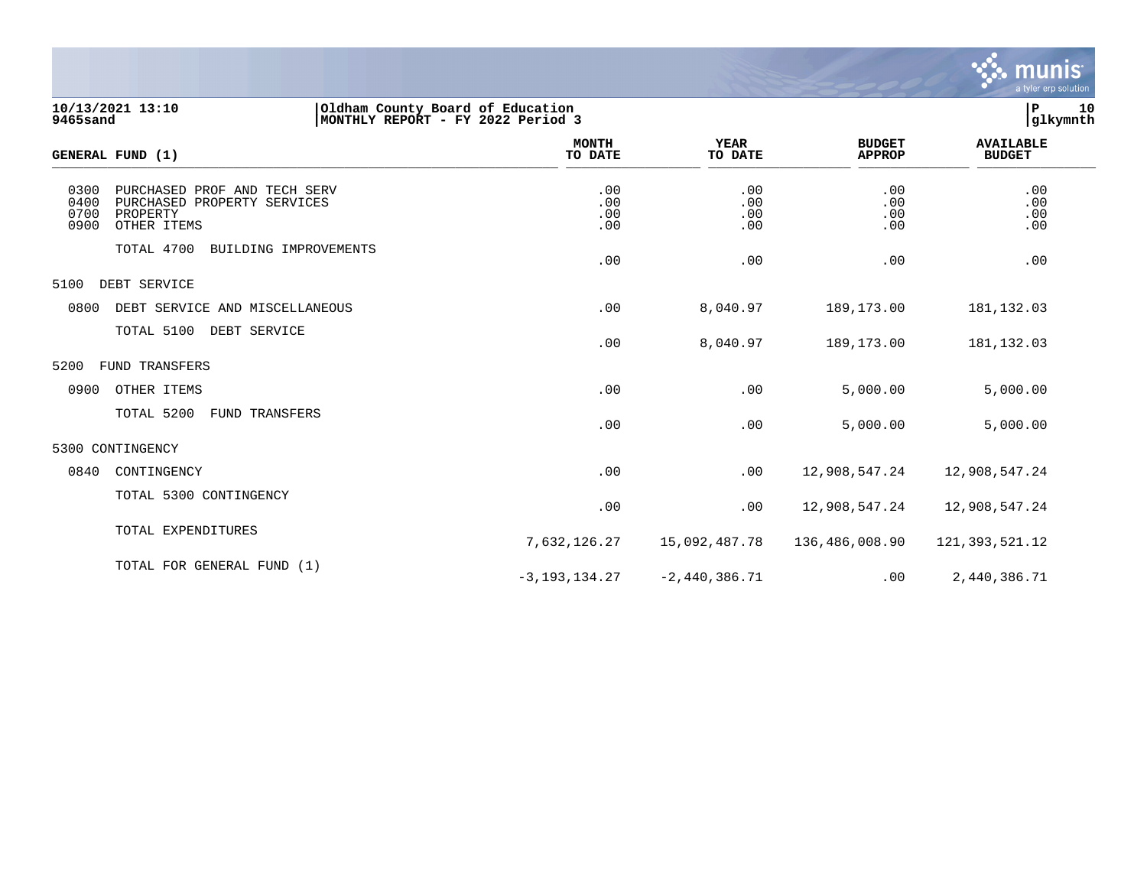

**10/13/2021 13:10 |Oldham County Board of Education |P 10 9465sand |MONTHLY REPORT - FY 2022 Period 3 |glkymnth**

| GENERAL FUND (1)                                                                                                       | <b>MONTH</b><br>TO DATE  | <b>YEAR</b><br>TO DATE   | <b>BUDGET</b><br><b>APPROP</b> | <b>AVAILABLE</b><br><b>BUDGET</b> |  |
|------------------------------------------------------------------------------------------------------------------------|--------------------------|--------------------------|--------------------------------|-----------------------------------|--|
| 0300<br>PURCHASED PROF AND TECH SERV<br>0400<br>PURCHASED PROPERTY SERVICES<br>0700<br>PROPERTY<br>0900<br>OTHER ITEMS | .00<br>.00<br>.00<br>.00 | .00<br>.00<br>.00<br>.00 | .00<br>.00<br>.00<br>.00       | .00<br>.00<br>.00<br>.00          |  |
| TOTAL 4700<br>BUILDING IMPROVEMENTS                                                                                    | .00                      | .00                      | .00                            | .00                               |  |
| 5100<br>DEBT SERVICE                                                                                                   |                          |                          |                                |                                   |  |
| 0800<br>DEBT SERVICE AND MISCELLANEOUS                                                                                 | .00                      | 8,040.97                 | 189,173.00                     | 181,132.03                        |  |
| TOTAL 5100<br>DEBT SERVICE                                                                                             | .00                      | 8,040.97                 | 189,173.00                     | 181, 132.03                       |  |
| FUND TRANSFERS<br>5200                                                                                                 |                          |                          |                                |                                   |  |
| 0900<br>OTHER ITEMS                                                                                                    | .00                      | .00                      | 5,000.00                       | 5,000.00                          |  |
| TOTAL 5200<br>FUND TRANSFERS                                                                                           | .00                      | .00                      | 5,000.00                       | 5,000.00                          |  |
| 5300 CONTINGENCY                                                                                                       |                          |                          |                                |                                   |  |
| 0840<br>CONTINGENCY                                                                                                    | .00                      | .00                      | 12,908,547.24                  | 12,908,547.24                     |  |
| TOTAL 5300 CONTINGENCY                                                                                                 | .00                      | .00                      | 12,908,547.24                  | 12,908,547.24                     |  |
| TOTAL EXPENDITURES                                                                                                     | 7,632,126.27             | 15,092,487.78            | 136,486,008.90                 | 121, 393, 521. 12                 |  |
| TOTAL FOR GENERAL FUND (1)                                                                                             | $-3, 193, 134.27$        | $-2,440,386.71$          | .00                            | 2,440,386.71                      |  |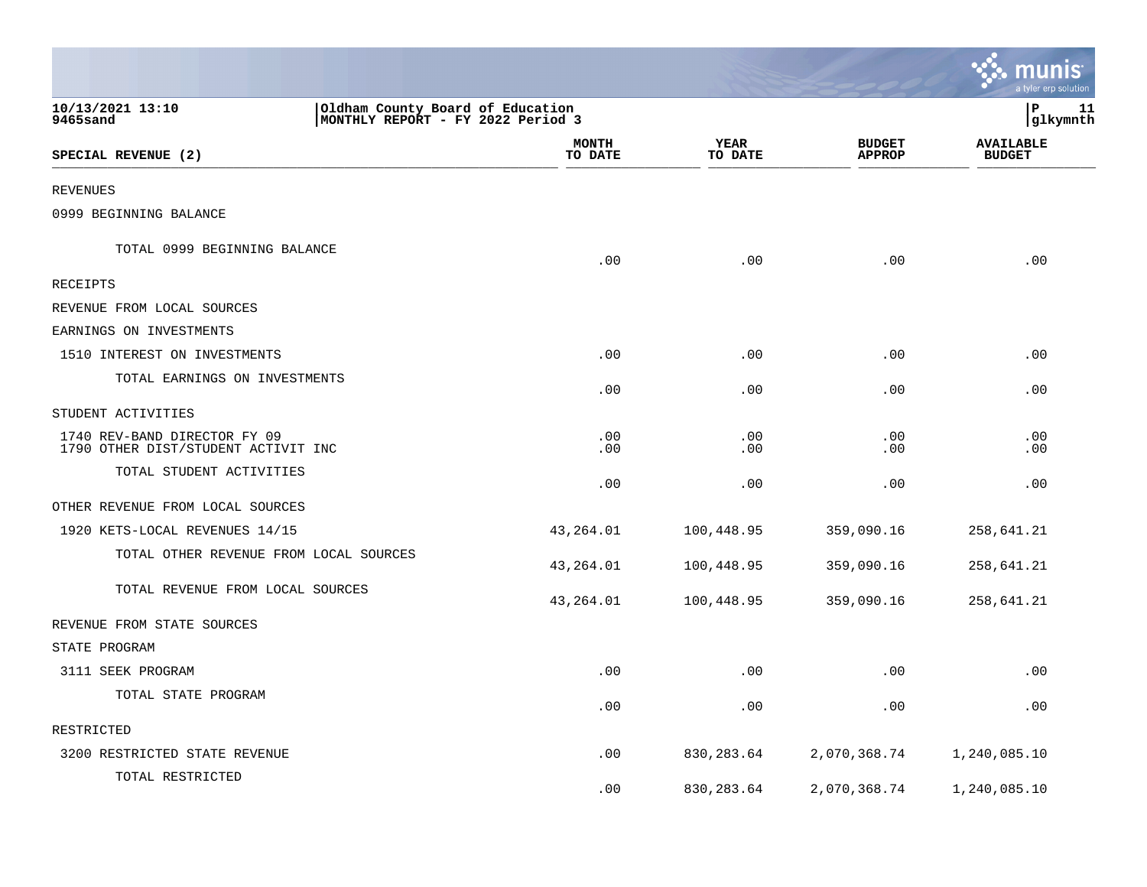|                                                                                                        |                         |                 |                                | <u>ः munis</u><br>a tyler erp solution |
|--------------------------------------------------------------------------------------------------------|-------------------------|-----------------|--------------------------------|----------------------------------------|
| 10/13/2021 13:10<br>Oldham County Board of Education<br>9465sand<br> MONTHLY REPORT - FY 2022 Period 3 |                         |                 |                                | lР<br>11<br> glkymnth                  |
| SPECIAL REVENUE (2)                                                                                    | <b>MONTH</b><br>TO DATE | YEAR<br>TO DATE | <b>BUDGET</b><br><b>APPROP</b> | <b>AVAILABLE</b><br><b>BUDGET</b>      |
| REVENUES                                                                                               |                         |                 |                                |                                        |
| 0999 BEGINNING BALANCE                                                                                 |                         |                 |                                |                                        |
| TOTAL 0999 BEGINNING BALANCE                                                                           | .00                     | .00             | .00                            | .00                                    |
| RECEIPTS                                                                                               |                         |                 |                                |                                        |
| REVENUE FROM LOCAL SOURCES                                                                             |                         |                 |                                |                                        |
| EARNINGS ON INVESTMENTS                                                                                |                         |                 |                                |                                        |
| 1510 INTEREST ON INVESTMENTS                                                                           | .00                     | .00             | .00                            | .00                                    |
| TOTAL EARNINGS ON INVESTMENTS                                                                          | .00                     | .00             | .00                            | .00                                    |
| STUDENT ACTIVITIES                                                                                     |                         |                 |                                |                                        |
| 1740 REV-BAND DIRECTOR FY 09<br>1790 OTHER DIST/STUDENT ACTIVIT INC                                    | .00<br>.00              | .00<br>.00      | .00<br>.00                     | .00<br>.00                             |
| TOTAL STUDENT ACTIVITIES                                                                               | .00                     | .00             | .00                            | .00                                    |
| OTHER REVENUE FROM LOCAL SOURCES                                                                       |                         |                 |                                |                                        |
| 1920 KETS-LOCAL REVENUES 14/15                                                                         | 43,264.01               | 100,448.95      | 359,090.16                     | 258,641.21                             |
| TOTAL OTHER REVENUE FROM LOCAL SOURCES                                                                 | 43,264.01               | 100,448.95      | 359,090.16                     | 258,641.21                             |
| TOTAL REVENUE FROM LOCAL SOURCES                                                                       | 43,264.01               | 100,448.95      | 359,090.16                     | 258,641.21                             |
| REVENUE FROM STATE SOURCES                                                                             |                         |                 |                                |                                        |
| STATE PROGRAM                                                                                          |                         |                 |                                |                                        |
| 3111 SEEK PROGRAM                                                                                      | .00                     | .00             | .00                            | .00                                    |
| TOTAL STATE PROGRAM                                                                                    | .00                     | .00             | .00                            | .00                                    |
| RESTRICTED                                                                                             |                         |                 |                                |                                        |
| 3200 RESTRICTED STATE REVENUE                                                                          | .00                     | 830,283.64      | 2,070,368.74                   | 1,240,085.10                           |
| TOTAL RESTRICTED                                                                                       | .00                     | 830, 283.64     | 2,070,368.74                   | 1,240,085.10                           |

the control of the state of the control of the control of the control of the control of the control of the control of the control of the control of the control of the control of the control of the control of the control of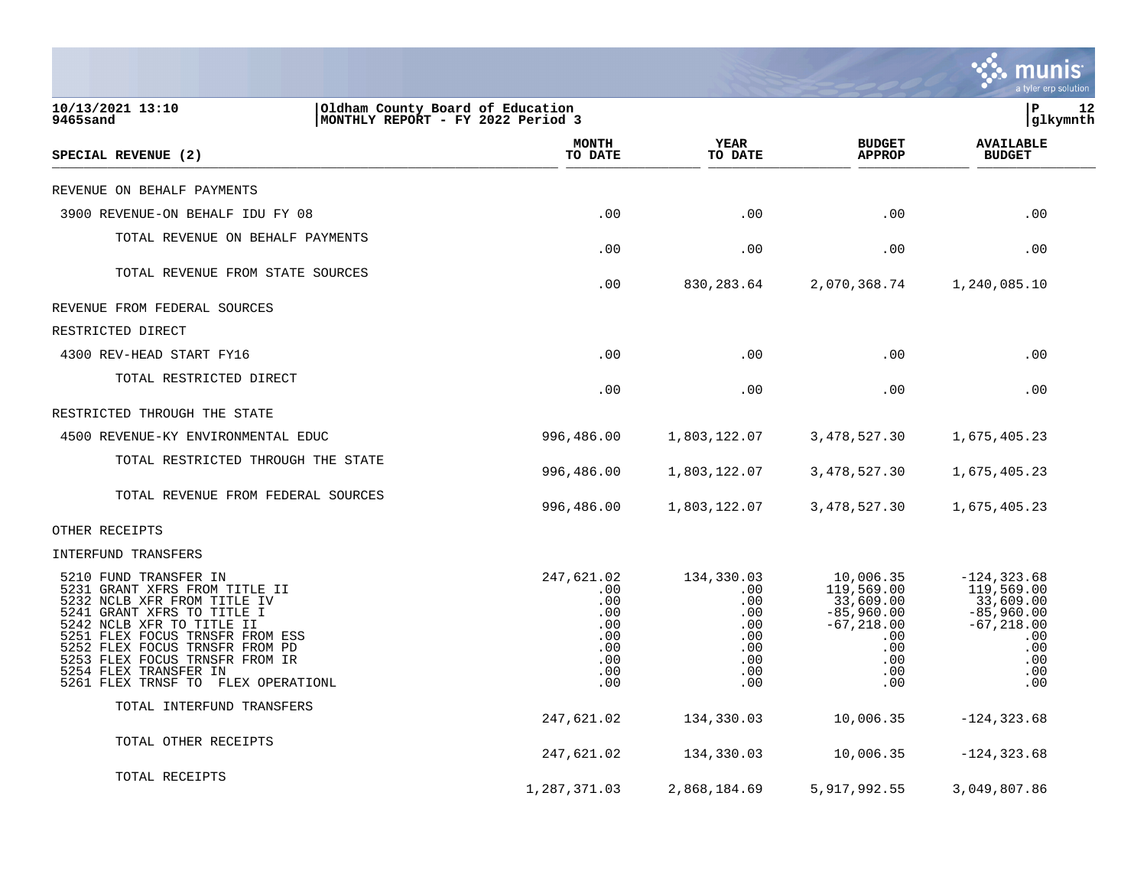|                                                                                                                                                                                                                                                                                                                        |                                                                           |                                                                           |                                                                                                               | munis<br>a tyler erp solution                                                                                |
|------------------------------------------------------------------------------------------------------------------------------------------------------------------------------------------------------------------------------------------------------------------------------------------------------------------------|---------------------------------------------------------------------------|---------------------------------------------------------------------------|---------------------------------------------------------------------------------------------------------------|--------------------------------------------------------------------------------------------------------------|
| 10/13/2021 13:10<br>Oldham County Board of Education<br>9465sand<br>MONTHLY REPORT - FY 2022 Period 3                                                                                                                                                                                                                  |                                                                           |                                                                           |                                                                                                               | lР<br>12<br> glkymnth                                                                                        |
| SPECIAL REVENUE (2)                                                                                                                                                                                                                                                                                                    | <b>MONTH</b><br>TO DATE                                                   | <b>YEAR</b><br>TO DATE                                                    | <b>BUDGET</b><br><b>APPROP</b>                                                                                | <b>AVAILABLE</b><br><b>BUDGET</b>                                                                            |
| REVENUE ON BEHALF PAYMENTS                                                                                                                                                                                                                                                                                             |                                                                           |                                                                           |                                                                                                               |                                                                                                              |
| 3900 REVENUE-ON BEHALF IDU FY 08                                                                                                                                                                                                                                                                                       | .00                                                                       | .00                                                                       | .00                                                                                                           | .00                                                                                                          |
| TOTAL REVENUE ON BEHALF PAYMENTS                                                                                                                                                                                                                                                                                       | .00                                                                       | .00                                                                       | .00                                                                                                           | .00                                                                                                          |
| TOTAL REVENUE FROM STATE SOURCES                                                                                                                                                                                                                                                                                       | .00                                                                       | 830, 283.64                                                               | 2,070,368.74                                                                                                  | 1,240,085.10                                                                                                 |
| REVENUE FROM FEDERAL SOURCES                                                                                                                                                                                                                                                                                           |                                                                           |                                                                           |                                                                                                               |                                                                                                              |
| RESTRICTED DIRECT                                                                                                                                                                                                                                                                                                      |                                                                           |                                                                           |                                                                                                               |                                                                                                              |
| 4300 REV-HEAD START FY16                                                                                                                                                                                                                                                                                               | .00                                                                       | .00                                                                       | .00                                                                                                           | .00                                                                                                          |
| TOTAL RESTRICTED DIRECT                                                                                                                                                                                                                                                                                                | .00                                                                       | .00                                                                       | .00                                                                                                           | .00                                                                                                          |
| RESTRICTED THROUGH THE STATE                                                                                                                                                                                                                                                                                           |                                                                           |                                                                           |                                                                                                               |                                                                                                              |
| 4500 REVENUE-KY ENVIRONMENTAL EDUC                                                                                                                                                                                                                                                                                     | 996,486.00                                                                | 1,803,122.07                                                              | 3, 478, 527.30                                                                                                | 1,675,405.23                                                                                                 |
| TOTAL RESTRICTED THROUGH THE STATE                                                                                                                                                                                                                                                                                     | 996,486.00                                                                | 1,803,122.07                                                              | 3,478,527.30                                                                                                  | 1,675,405.23                                                                                                 |
| TOTAL REVENUE FROM FEDERAL SOURCES                                                                                                                                                                                                                                                                                     | 996,486.00                                                                | 1,803,122.07                                                              | 3,478,527.30                                                                                                  | 1,675,405.23                                                                                                 |
| OTHER RECEIPTS                                                                                                                                                                                                                                                                                                         |                                                                           |                                                                           |                                                                                                               |                                                                                                              |
| INTERFUND TRANSFERS                                                                                                                                                                                                                                                                                                    |                                                                           |                                                                           |                                                                                                               |                                                                                                              |
| 5210 FUND TRANSFER IN<br>5231 GRANT XFRS FROM TITLE II<br>5232 NCLB XFR FROM TITLE IV<br>5241 GRANT XFRS TO TITLE I<br>5242 NCLB XFR TO TITLE II<br>5251 FLEX FOCUS TRNSFR FROM ESS<br>5252 FLEX FOCUS TRNSFR FROM PD<br>5253 FLEX FOCUS TRNSFR FROM IR<br>5254 FLEX TRANSFER IN<br>5261 FLEX TRNSF TO FLEX OPERATIONL | 247,621.02<br>.00<br>.00<br>.00<br>.00<br>.00<br>.00<br>.00<br>.00<br>.00 | 134,330.03<br>.00<br>.00<br>.00<br>.00<br>.00<br>.00<br>.00<br>.00<br>.00 | 10,006.35<br>119,569.00<br>33,609.00<br>$-85,960.00$<br>$-67,218.00$<br>$.00 \,$<br>.00<br>.00<br>.00.<br>.00 | $-124, 323.68$<br>119,569.00<br>33,609.00<br>$-85,960.00$<br>$-67,218.00$<br>.00<br>.00<br>.00<br>.00<br>.00 |
| TOTAL INTERFUND TRANSFERS                                                                                                                                                                                                                                                                                              | 247,621.02                                                                | 134,330.03                                                                | 10,006.35                                                                                                     | $-124, 323.68$                                                                                               |
| TOTAL OTHER RECEIPTS                                                                                                                                                                                                                                                                                                   | 247,621.02                                                                | 134,330.03                                                                | 10,006.35                                                                                                     | $-124, 323.68$                                                                                               |
| TOTAL RECEIPTS                                                                                                                                                                                                                                                                                                         | 1,287,371.03                                                              | 2,868,184.69                                                              | 5,917,992.55                                                                                                  | 3,049,807.86                                                                                                 |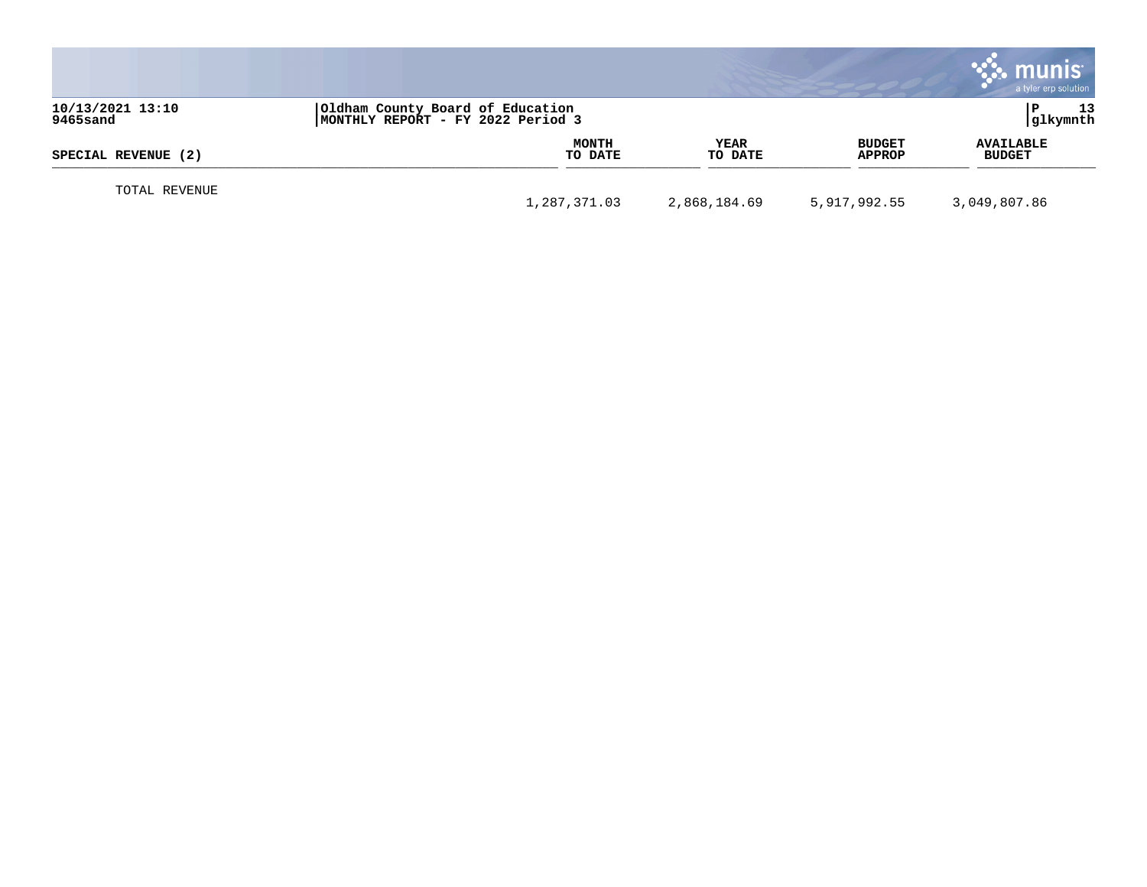|                              |                                                                       |                        |                                | munis<br>a tyler erp solution     |
|------------------------------|-----------------------------------------------------------------------|------------------------|--------------------------------|-----------------------------------|
| 10/13/2021 13:10<br>9465sand | Oldham County Board of Education<br>MONTHLY REPORT - FY 2022 Period 3 |                        |                                | 13<br> glkymnth                   |
| SPECIAL REVENUE (2)          | <b>MONTH</b><br>TO DATE                                               | <b>YEAR</b><br>TO DATE | <b>BUDGET</b><br><b>APPROP</b> | <b>AVAILABLE</b><br><b>BUDGET</b> |
| TOTAL REVENUE                | 1,287,371.03                                                          | 2,868,184.69           | 5,917,992.55                   | 3,049,807.86                      |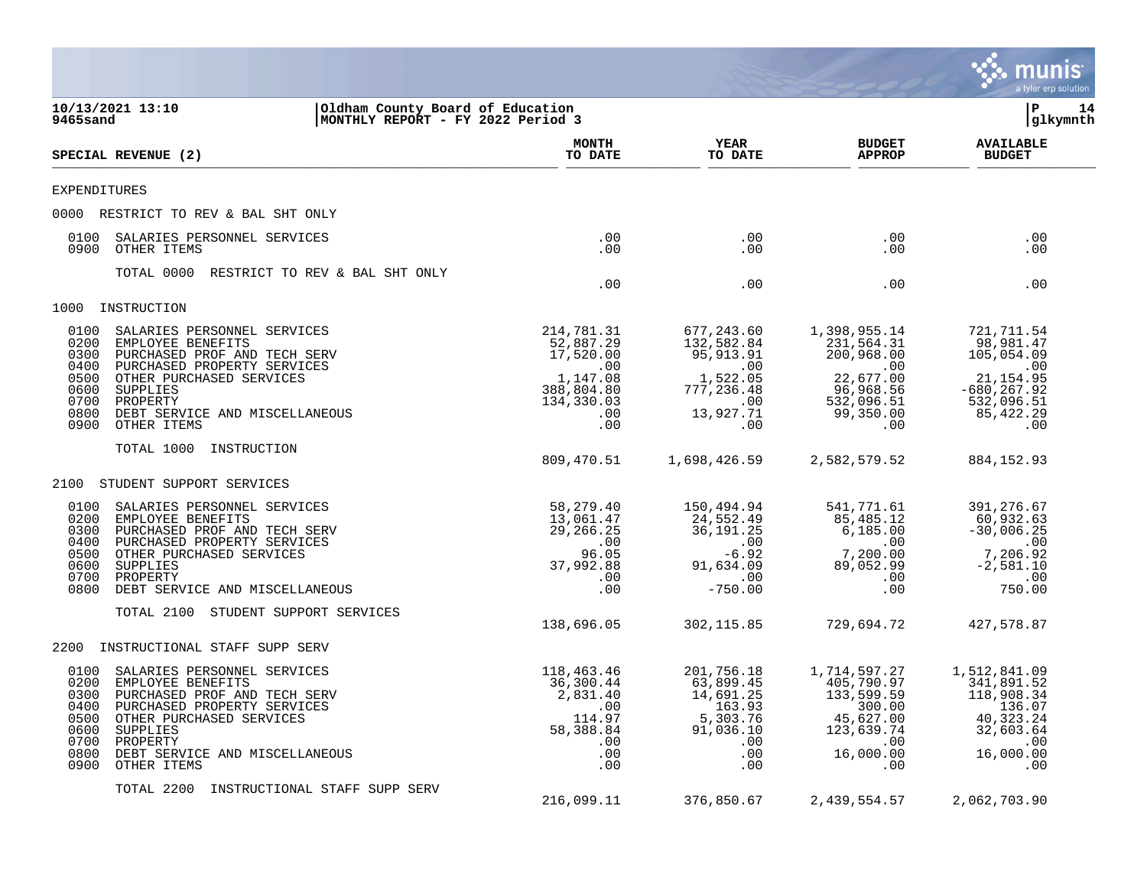|                                                                                                                                                                                                                                                                                              |                                                                                                        |                                                                                                         |                                                                                                                  | munis<br>a tyler erp solution                                                                                          |
|----------------------------------------------------------------------------------------------------------------------------------------------------------------------------------------------------------------------------------------------------------------------------------------------|--------------------------------------------------------------------------------------------------------|---------------------------------------------------------------------------------------------------------|------------------------------------------------------------------------------------------------------------------|------------------------------------------------------------------------------------------------------------------------|
| 10/13/2021 13:10<br>Oldham County Board of Education<br> MONTHLY REPORT - FY 2022 Period 3<br>9465sand                                                                                                                                                                                       |                                                                                                        |                                                                                                         |                                                                                                                  | ΙP<br>14<br> glkymnth                                                                                                  |
| SPECIAL REVENUE (2)                                                                                                                                                                                                                                                                          | <b>MONTH</b><br>TO DATE                                                                                | <b>YEAR</b><br>TO DATE                                                                                  | <b>BUDGET</b><br><b>APPROP</b>                                                                                   | <b>AVAILABLE</b><br><b>BUDGET</b>                                                                                      |
| EXPENDITURES                                                                                                                                                                                                                                                                                 |                                                                                                        |                                                                                                         |                                                                                                                  |                                                                                                                        |
| 0000 RESTRICT TO REV & BAL SHT ONLY                                                                                                                                                                                                                                                          |                                                                                                        |                                                                                                         |                                                                                                                  |                                                                                                                        |
| 0100<br>SALARIES PERSONNEL SERVICES<br>0900<br>OTHER ITEMS                                                                                                                                                                                                                                   | $.00 \,$<br>.00                                                                                        | .00<br>.00                                                                                              | $.00 \,$<br>$.00 \,$                                                                                             | .00<br>.00                                                                                                             |
| TOTAL 0000<br>RESTRICT TO REV & BAL SHT ONLY                                                                                                                                                                                                                                                 | .00                                                                                                    | .00                                                                                                     | $.00 \,$                                                                                                         | .00                                                                                                                    |
| 1000<br>INSTRUCTION                                                                                                                                                                                                                                                                          |                                                                                                        |                                                                                                         |                                                                                                                  |                                                                                                                        |
| 0100<br>SALARIES PERSONNEL SERVICES<br>0200<br>EMPLOYEE BENEFITS<br>PURCHASED PROF AND TECH SERV<br>0300<br>0400<br>PURCHASED PROPERTY SERVICES<br>0500<br>OTHER PURCHASED SERVICES<br>0600<br>SUPPLIES<br>0700<br>PROPERTY<br>0800<br>DEBT SERVICE AND MISCELLANEOUS<br>0900<br>OTHER ITEMS | 214,781.31<br>52,887.29<br>17,520.00<br>$\ldots$<br>1,147.08<br>388,804.80<br>134,330.03<br>.00<br>.00 | 677,243.60<br>132,582.84<br>95,913.91<br>.00<br>1,522.05<br>777,236.48<br>$\sim 00$<br>13,927.71<br>.00 | 1,398,955.14<br>231,564.31<br>200,968.00<br>.00<br>22,677.00<br>96,968.56<br>532,096.51<br>99,350.00<br>$.00 \,$ | 721,711.54<br>98,981.47<br>105,054.09<br>$\sim 00$<br>21, 154.95<br>$-680, 267.92$<br>532,096.51<br>85, 422, 29<br>.00 |
| TOTAL 1000<br>INSTRUCTION                                                                                                                                                                                                                                                                    | 809,470.51                                                                                             | 1,698,426.59                                                                                            | 2,582,579.52                                                                                                     | 884, 152.93                                                                                                            |
| STUDENT SUPPORT SERVICES<br>2100                                                                                                                                                                                                                                                             |                                                                                                        |                                                                                                         |                                                                                                                  |                                                                                                                        |
| 0100<br>SALARIES PERSONNEL SERVICES<br>0200<br>EMPLOYEE BENEFITS<br>0300<br>PURCHASED PROF AND TECH SERV<br>0400<br>PURCHASED PROPERTY SERVICES<br>0500<br>OTHER PURCHASED SERVICES<br>0600<br>SUPPLIES<br>0700<br>PROPERTY<br>0800<br>DEBT SERVICE AND MISCELLANEOUS                        | 58,279.40<br>13,061.47<br>29,266.25<br>.00<br>96.05<br>37,992.88<br>.00<br>.00                         | 150,494.94<br>24,552.49<br>36,191.25<br>$\,.\,00$<br>$-6.92$<br>91,634.09<br>.00<br>$-750.00$           | 541,771.61<br>85,485.12<br>6,185.00<br>$.00 \,$<br>7,200.00<br>89,052.99<br>$.00 \,$<br>$.00 \,$                 | 391,276.67<br>60,932.63<br>$-30,006.25$<br>$\,$ .00<br>7,206.92<br>$-2,581.10$<br>$\ldots$<br>750.00                   |
| STUDENT SUPPORT SERVICES<br>TOTAL 2100                                                                                                                                                                                                                                                       | 138,696.05                                                                                             | 302, 115.85                                                                                             | 729,694.72                                                                                                       | 427,578.87                                                                                                             |
| INSTRUCTIONAL STAFF SUPP SERV<br>2200                                                                                                                                                                                                                                                        |                                                                                                        |                                                                                                         |                                                                                                                  |                                                                                                                        |
| 0100<br>SALARIES PERSONNEL SERVICES<br>EMPLOYEE BENEFITS<br>0200<br>0300 PURCHASED PROF AND TECH SERV<br>0400 PURCHASED PROPERTY SERVICES<br>0500<br>OTHER PURCHASED SERVICES<br>0600<br>SUPPLIES<br>0700<br>PROPERTY<br>0800<br>DEBT SERVICE AND MISCELLANEOUS<br>0900<br>OTHER ITEMS       | 118,463.46<br>36,300.44<br>2,831.40<br>.00<br>114.97<br>58,388.84<br>.00<br>.00<br>.00                 | 201,756.18<br>63,899.45<br>14,691.25<br>163.93<br>5,303.76<br>91,036.10<br>.00<br>.00<br>.00            | 1,714,597.27<br>405,790.97<br>133,599.59<br>300.00<br>45,627.00<br>123,639.74<br>$.00 \,$<br>16,000.00<br>.00    | 1,512,841.09<br>341,891.52<br>118,908.34<br>136.07<br>40, 323. 24<br>32,603.64<br>.00<br>16,000.00<br>.00              |
| TOTAL 2200<br>INSTRUCTIONAL STAFF SUPP SERV                                                                                                                                                                                                                                                  | 216,099.11                                                                                             | 376,850.67                                                                                              | 2,439,554.57                                                                                                     | 2,062,703.90                                                                                                           |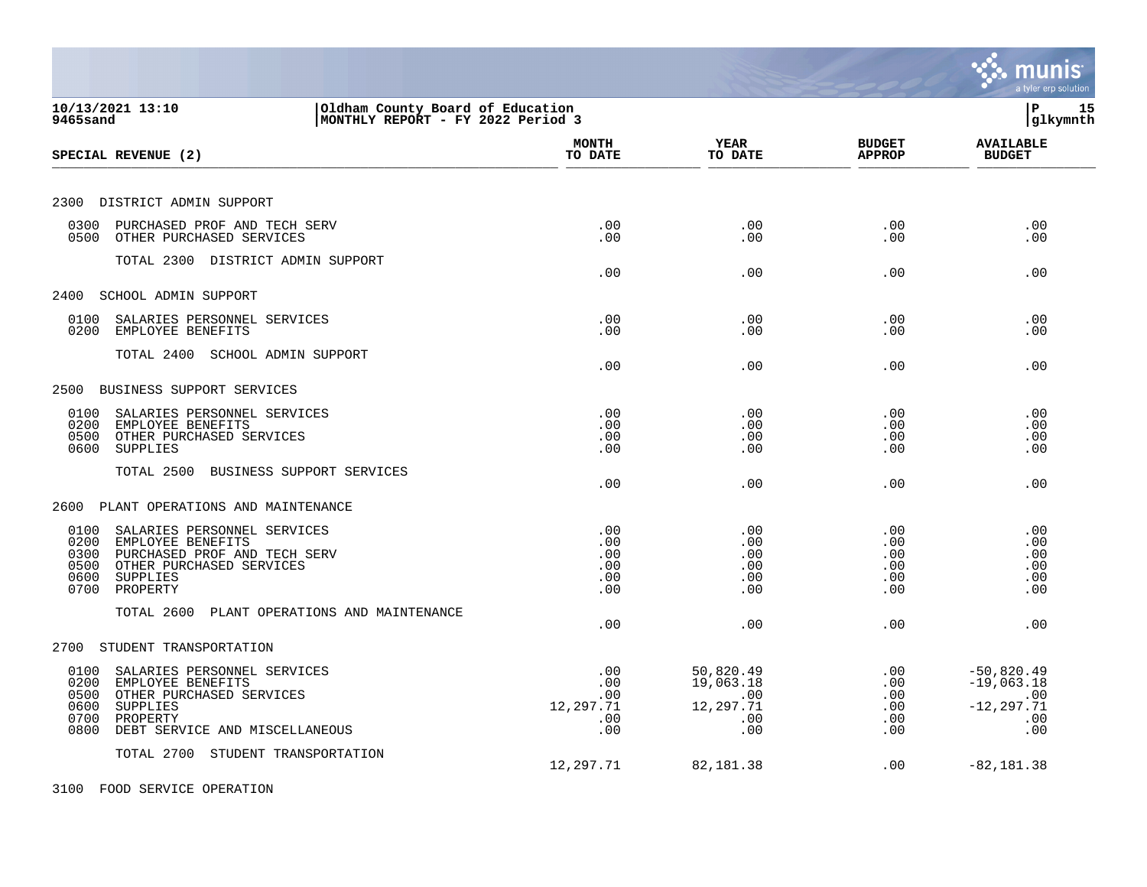|                                                                                                                                                                                        |                                              |                                                          |                                             | a tyler erp solution                                               |
|----------------------------------------------------------------------------------------------------------------------------------------------------------------------------------------|----------------------------------------------|----------------------------------------------------------|---------------------------------------------|--------------------------------------------------------------------|
| 10/13/2021 13:10<br>Oldham County Board of Education<br>MONTHLY REPORT - FY 2022 Period 3<br>9465sand                                                                                  |                                              |                                                          |                                             | l P<br>15<br> glkymnth                                             |
| SPECIAL REVENUE (2)                                                                                                                                                                    | <b>MONTH</b><br>TO DATE                      | <b>YEAR</b><br>TO DATE                                   | <b>BUDGET</b><br><b>APPROP</b>              | <b>AVAILABLE</b><br><b>BUDGET</b>                                  |
| 2300 DISTRICT ADMIN SUPPORT                                                                                                                                                            |                                              |                                                          |                                             |                                                                    |
| 0300<br>PURCHASED PROF AND TECH SERV<br>0500<br>OTHER PURCHASED SERVICES                                                                                                               | .00<br>.00                                   | .00<br>.00                                               | .00<br>.00                                  | .00<br>.00                                                         |
| TOTAL 2300 DISTRICT ADMIN SUPPORT                                                                                                                                                      | .00                                          | .00                                                      | .00                                         | .00                                                                |
| 2400<br>SCHOOL ADMIN SUPPORT                                                                                                                                                           |                                              |                                                          |                                             |                                                                    |
| 0100<br>SALARIES PERSONNEL SERVICES<br>0200<br>EMPLOYEE BENEFITS                                                                                                                       | .00<br>.00                                   | .00<br>.00                                               | .00<br>.00                                  | .00<br>.00                                                         |
| TOTAL 2400 SCHOOL ADMIN SUPPORT                                                                                                                                                        | .00                                          | .00                                                      | .00                                         | .00                                                                |
| 2500<br>BUSINESS SUPPORT SERVICES                                                                                                                                                      |                                              |                                                          |                                             |                                                                    |
| 0100<br>SALARIES PERSONNEL SERVICES<br>0200<br>EMPLOYEE BENEFITS<br>OTHER PURCHASED SERVICES<br>0500<br><b>SUPPLIES</b><br>0600                                                        | .00<br>.00<br>.00<br>.00                     | .00<br>.00<br>.00<br>.00                                 | .00<br>.00<br>.00<br>.00                    | .00<br>.00<br>.00<br>.00                                           |
| TOTAL 2500<br>BUSINESS SUPPORT SERVICES                                                                                                                                                | .00                                          | .00                                                      | .00                                         | .00                                                                |
| 2600<br>PLANT OPERATIONS AND MAINTENANCE                                                                                                                                               |                                              |                                                          |                                             |                                                                    |
| 0100<br>SALARIES PERSONNEL SERVICES<br>0200<br>EMPLOYEE BENEFITS<br>PURCHASED PROF AND TECH SERV<br>0300<br>OTHER PURCHASED SERVICES<br>0500<br>0600<br>SUPPLIES<br>PROPERTY<br>0700   | .00<br>.00<br>.00<br>.00<br>.00<br>.00       | .00<br>.00<br>.00<br>.00<br>.00<br>.00                   | .00<br>.00<br>$.00 \,$<br>.00<br>.00<br>.00 | .00<br>.00<br>.00<br>.00<br>.00<br>.00                             |
| TOTAL 2600 PLANT OPERATIONS AND MAINTENANCE                                                                                                                                            | .00                                          | .00                                                      | .00                                         | .00                                                                |
| STUDENT TRANSPORTATION<br>2700                                                                                                                                                         |                                              |                                                          |                                             |                                                                    |
| 0100<br>SALARIES PERSONNEL SERVICES<br>0200<br>EMPLOYEE BENEFITS<br>0500<br>OTHER PURCHASED SERVICES<br>0600<br>SUPPLIES<br>0700<br>PROPERTY<br>DEBT SERVICE AND MISCELLANEOUS<br>0800 | .00<br>.00<br>.00<br>12,297.71<br>.00<br>.00 | 50,820.49<br>19,063.18<br>.00<br>12,297.71<br>.00<br>.00 | .00<br>.00<br>.00<br>.00<br>.00<br>$.00 \,$ | $-50,820.49$<br>$-19,063.18$<br>.00<br>$-12, 297.71$<br>.00<br>.00 |
| TOTAL 2700 STUDENT TRANSPORTATION                                                                                                                                                      | 12,297.71                                    | 82,181.38                                                | .00                                         | $-82, 181.38$                                                      |
| 3100 FOOD SERVICE OPERATION                                                                                                                                                            |                                              |                                                          |                                             |                                                                    |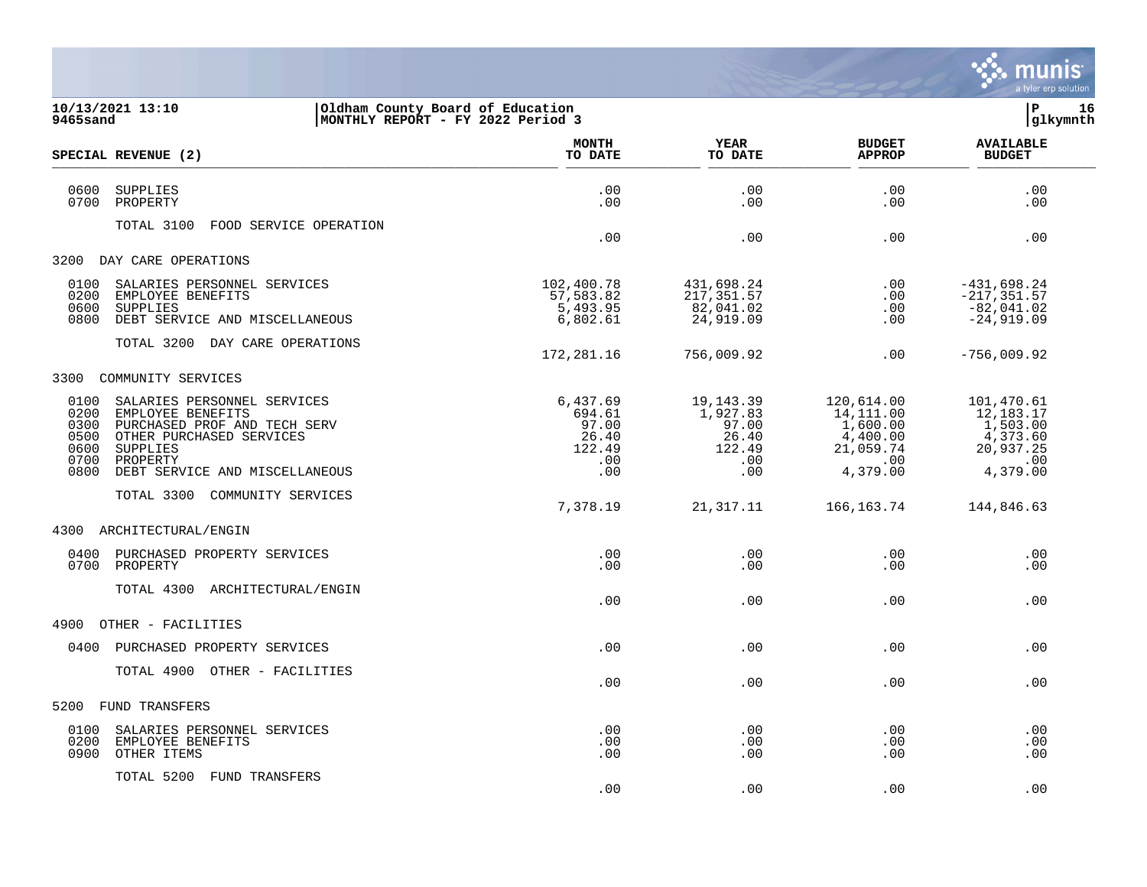

| 9465sand                                             | 10/13/2021 13:10                                                                                                                                                       | Oldham County Board of Education<br>MONTHLY REPORT - FY 2022 Period 3 |                                                                 |                                                                                  | 16<br>l P<br>glkymnth                                                                  |
|------------------------------------------------------|------------------------------------------------------------------------------------------------------------------------------------------------------------------------|-----------------------------------------------------------------------|-----------------------------------------------------------------|----------------------------------------------------------------------------------|----------------------------------------------------------------------------------------|
|                                                      | SPECIAL REVENUE (2)                                                                                                                                                    | <b>MONTH</b><br>TO DATE                                               | YEAR<br>TO DATE                                                 | <b>BUDGET</b><br><b>APPROP</b>                                                   | <b>AVAILABLE</b><br><b>BUDGET</b>                                                      |
| 0600<br>0700                                         | <b>SUPPLIES</b><br>PROPERTY                                                                                                                                            | .00<br>.00                                                            | .00<br>.00                                                      | .00<br>.00                                                                       | .00<br>.00                                                                             |
|                                                      | TOTAL 3100<br>FOOD SERVICE OPERATION                                                                                                                                   | .00                                                                   | .00                                                             | .00                                                                              | .00                                                                                    |
| 3200                                                 | DAY CARE OPERATIONS                                                                                                                                                    |                                                                       |                                                                 |                                                                                  |                                                                                        |
| 0100<br>0200<br>0600<br>0800                         | SALARIES PERSONNEL SERVICES<br>EMPLOYEE BENEFITS<br>SUPPLIES<br>DEBT SERVICE AND MISCELLANEOUS                                                                         | 102,400.78<br>57,583.82<br>5,493.95<br>6,802.61                       | 431,698.24<br>217,351.57<br>82,041.02<br>24,919.09              | .00<br>.00<br>.00<br>.00                                                         | $-431,698.24$<br>$-217, 351.57$<br>$-82,041.02$<br>$-24,919.09$                        |
|                                                      | TOTAL 3200 DAY CARE OPERATIONS                                                                                                                                         | 172,281.16                                                            | 756,009.92                                                      | .00                                                                              | $-756,009.92$                                                                          |
|                                                      | 3300 COMMUNITY SERVICES                                                                                                                                                |                                                                       |                                                                 |                                                                                  |                                                                                        |
| 0100<br>0200<br>0300<br>0500<br>0600<br>0700<br>0800 | SALARIES PERSONNEL SERVICES<br>EMPLOYEE BENEFITS<br>PURCHASED PROF AND TECH SERV<br>OTHER PURCHASED SERVICES<br>SUPPLIES<br>PROPERTY<br>DEBT SERVICE AND MISCELLANEOUS | 6,437.69<br>694.61<br>97.00<br>26.40<br>122.49<br>.00<br>.00          | 19,143.39<br>1,927.83<br>97.00<br>26.40<br>122.49<br>.00<br>.00 | 120,614.00<br>14, 111.00<br>1,600.00<br>4,400.00<br>21,059.74<br>.00<br>4,379.00 | 101,470.61<br>12,183.17<br>1,503.00<br>4,373.60<br>20,937.25<br>$\cdot$ 00<br>4,379.00 |
|                                                      | TOTAL 3300 COMMUNITY SERVICES                                                                                                                                          | 7,378.19                                                              | 21, 317. 11                                                     | 166,163.74                                                                       | 144,846.63                                                                             |
|                                                      | 4300 ARCHITECTURAL/ENGIN                                                                                                                                               |                                                                       |                                                                 |                                                                                  |                                                                                        |
| 0400<br>0700                                         | PURCHASED PROPERTY SERVICES<br>PROPERTY                                                                                                                                | .00<br>.00                                                            | .00<br>.00                                                      | .00<br>.00                                                                       | .00<br>.00                                                                             |
|                                                      | TOTAL 4300 ARCHITECTURAL/ENGIN                                                                                                                                         | .00                                                                   | .00                                                             | .00                                                                              | .00                                                                                    |
| 4900                                                 | OTHER - FACILITIES                                                                                                                                                     |                                                                       |                                                                 |                                                                                  |                                                                                        |
| 0400                                                 | PURCHASED PROPERTY SERVICES                                                                                                                                            | .00                                                                   | .00                                                             | .00                                                                              | .00                                                                                    |
|                                                      | TOTAL 4900 OTHER - FACILITIES                                                                                                                                          | .00                                                                   | .00                                                             | .00                                                                              | .00                                                                                    |
| 5200                                                 | FUND TRANSFERS                                                                                                                                                         |                                                                       |                                                                 |                                                                                  |                                                                                        |
| 0100<br>0200<br>0900                                 | SALARIES PERSONNEL SERVICES<br>EMPLOYEE BENEFITS<br>OTHER ITEMS                                                                                                        | .00<br>.00<br>.00                                                     | .00<br>.00<br>.00                                               | .00<br>.00<br>.00                                                                | .00<br>.00<br>.00                                                                      |

TOTAL 5200 FUND TRANSFERS

.00 .00 .00 .00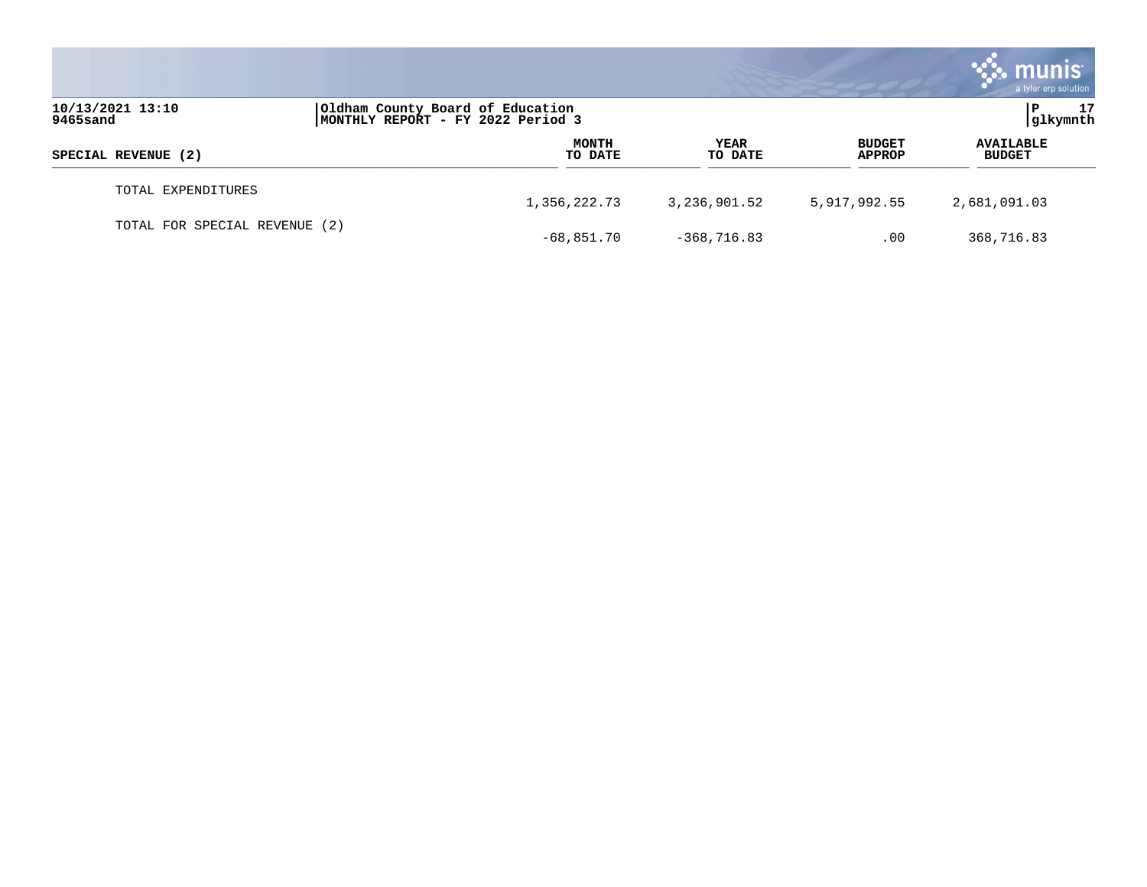|                               |                                                                        |                        |                                | <b>munis</b><br>a tyler erp solution |
|-------------------------------|------------------------------------------------------------------------|------------------------|--------------------------------|--------------------------------------|
| 10/13/2021 13:10<br>9465sand  | Oldham County Board of Education<br> MONTHLY REPORT - FY 2022 Period 3 |                        |                                | 17<br> glkymnth                      |
| SPECIAL REVENUE (2)           | <b>MONTH</b><br>TO DATE                                                | <b>YEAR</b><br>TO DATE | <b>BUDGET</b><br><b>APPROP</b> | <b>AVAILABLE</b><br><b>BUDGET</b>    |
| TOTAL EXPENDITURES            | 1,356,222.73                                                           | 3,236,901.52           | 5,917,992.55                   | 2,681,091.03                         |
| TOTAL FOR SPECIAL REVENUE (2) | $-68,851.70$                                                           | $-368,716.83$          | .00                            | 368,716.83                           |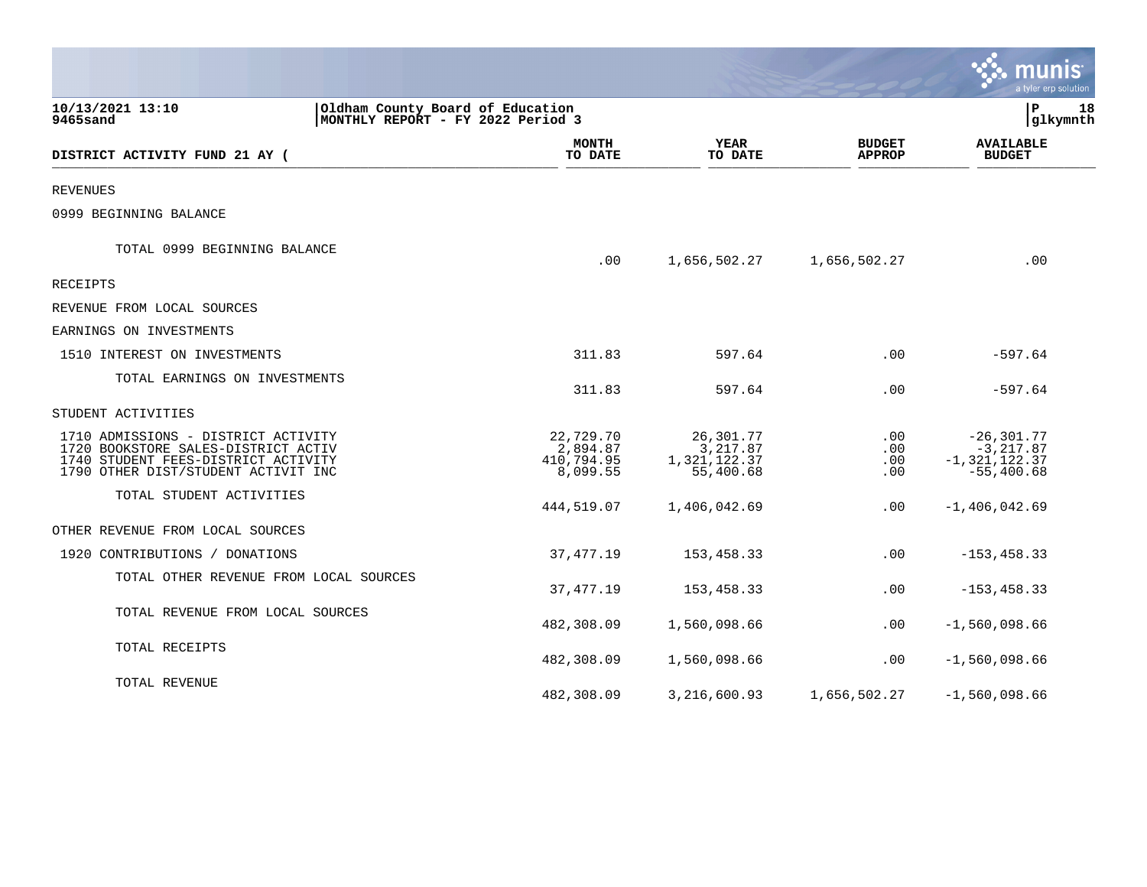|                                                                                                                                                          |                                                                       |                                                    |                                | munis<br>a tyler erp solution                                    |
|----------------------------------------------------------------------------------------------------------------------------------------------------------|-----------------------------------------------------------------------|----------------------------------------------------|--------------------------------|------------------------------------------------------------------|
| 10/13/2021 13:10<br>9465sand                                                                                                                             | Oldham County Board of Education<br>MONTHLY REPORT - FY 2022 Period 3 |                                                    |                                | P<br>18<br>glkymnth                                              |
| DISTRICT ACTIVITY FUND 21 AY (                                                                                                                           | <b>MONTH</b><br>TO DATE                                               | <b>YEAR</b><br>TO DATE                             | <b>BUDGET</b><br><b>APPROP</b> | <b>AVAILABLE</b><br><b>BUDGET</b>                                |
| <b>REVENUES</b>                                                                                                                                          |                                                                       |                                                    |                                |                                                                  |
| 0999 BEGINNING BALANCE                                                                                                                                   |                                                                       |                                                    |                                |                                                                  |
| TOTAL 0999 BEGINNING BALANCE                                                                                                                             | .00                                                                   | 1,656,502.27                                       | 1,656,502.27                   | .00                                                              |
| RECEIPTS                                                                                                                                                 |                                                                       |                                                    |                                |                                                                  |
| REVENUE FROM LOCAL SOURCES                                                                                                                               |                                                                       |                                                    |                                |                                                                  |
| EARNINGS ON INVESTMENTS                                                                                                                                  |                                                                       |                                                    |                                |                                                                  |
| 1510 INTEREST ON INVESTMENTS                                                                                                                             | 311.83                                                                | 597.64                                             | .00                            | $-597.64$                                                        |
| TOTAL EARNINGS ON INVESTMENTS                                                                                                                            | 311.83                                                                | 597.64                                             | .00                            | $-597.64$                                                        |
| STUDENT ACTIVITIES                                                                                                                                       |                                                                       |                                                    |                                |                                                                  |
| 1710 ADMISSIONS - DISTRICT ACTIVITY<br>1720 BOOKSTORE SALES-DISTRICT ACTIV<br>1740 STUDENT FEES-DISTRICT ACTIVITY<br>1790 OTHER DIST/STUDENT ACTIVIT INC | 22,729.70<br>2,894.87<br>410,794.95<br>8,099.55                       | 26,301.77<br>3,217.87<br>1,321,122.37<br>55,400.68 | .00<br>.00<br>$.00 \,$<br>.00  | $-26, 301.77$<br>$-3, 217.87$<br>$-1,321,122.37$<br>$-55,400.68$ |
| TOTAL STUDENT ACTIVITIES                                                                                                                                 | 444,519.07                                                            | 1,406,042.69                                       | $.00 \,$                       | $-1,406,042.69$                                                  |
| OTHER REVENUE FROM LOCAL SOURCES                                                                                                                         |                                                                       |                                                    |                                |                                                                  |
| 1920 CONTRIBUTIONS / DONATIONS                                                                                                                           | 37, 477.19                                                            | 153,458.33                                         | .00                            | $-153, 458.33$                                                   |
| TOTAL OTHER REVENUE FROM LOCAL SOURCES                                                                                                                   | 37, 477.19                                                            | 153,458.33                                         | .00                            | $-153, 458.33$                                                   |
| TOTAL REVENUE FROM LOCAL SOURCES                                                                                                                         | 482,308.09                                                            | 1,560,098.66                                       | .00                            | $-1,560,098.66$                                                  |
| TOTAL RECEIPTS                                                                                                                                           | 482,308.09                                                            | 1,560,098.66                                       | $.00 \,$                       | $-1,560,098.66$                                                  |
| TOTAL REVENUE                                                                                                                                            | 482,308.09                                                            | 3, 216, 600.93                                     | 1,656,502.27                   | $-1,560,098.66$                                                  |

a sa mga magaalang na mga magaalang ng mga magaalang ng mga magaalang ng magaalang ng magaalang ng magaalang n

the contract of the contract of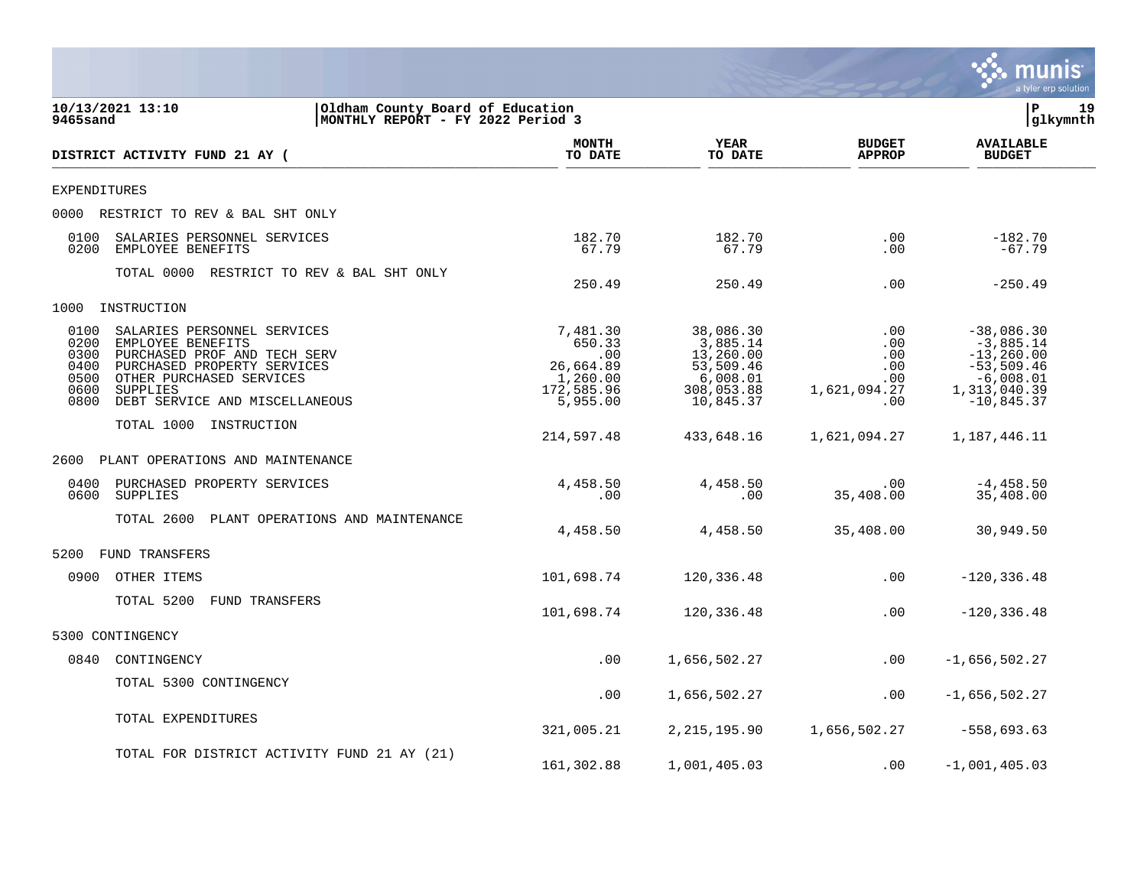

| 10/13/2021 13:10<br>Oldham County Board of Education<br>MONTHLY REPORT - FY 2022 Period 3<br>9465sand                                                                                                                                             |                                             |                                                                              |                                                                                        | lР<br>19<br>glkymnth                                   |                                                                                                             |  |
|---------------------------------------------------------------------------------------------------------------------------------------------------------------------------------------------------------------------------------------------------|---------------------------------------------|------------------------------------------------------------------------------|----------------------------------------------------------------------------------------|--------------------------------------------------------|-------------------------------------------------------------------------------------------------------------|--|
| DISTRICT ACTIVITY FUND 21 AY (                                                                                                                                                                                                                    |                                             | <b>MONTH</b><br>TO DATE                                                      | <b>YEAR</b><br>TO DATE                                                                 | <b>BUDGET</b><br><b>APPROP</b>                         | <b>AVAILABLE</b><br><b>BUDGET</b>                                                                           |  |
| EXPENDITURES                                                                                                                                                                                                                                      |                                             |                                                                              |                                                                                        |                                                        |                                                                                                             |  |
| 0000 RESTRICT TO REV & BAL SHT ONLY                                                                                                                                                                                                               |                                             |                                                                              |                                                                                        |                                                        |                                                                                                             |  |
| 0100<br>SALARIES PERSONNEL SERVICES<br>0200<br>EMPLOYEE BENEFITS                                                                                                                                                                                  |                                             | 182.70<br>67.79                                                              | 182.70<br>67.79                                                                        | .00<br>.00                                             | $-182.70$<br>$-67.79$                                                                                       |  |
|                                                                                                                                                                                                                                                   | TOTAL 0000 RESTRICT TO REV & BAL SHT ONLY   | 250.49                                                                       | 250.49                                                                                 | .00                                                    | $-250.49$                                                                                                   |  |
| 1000 INSTRUCTION                                                                                                                                                                                                                                  |                                             |                                                                              |                                                                                        |                                                        |                                                                                                             |  |
| 0100<br>SALARIES PERSONNEL SERVICES<br>0200<br>EMPLOYEE BENEFITS<br>PURCHASED PROF AND TECH SERV<br>0300<br>PURCHASED PROPERTY SERVICES<br>0400<br>0500<br>OTHER PURCHASED SERVICES<br>0600<br>SUPPLIES<br>0800<br>DEBT SERVICE AND MISCELLANEOUS |                                             | 7,481.30<br>650.33<br>.00<br>26,664.89<br>1,260.00<br>172,585.96<br>5,955.00 | 38,086.30<br>3,885.14<br>13,260.00<br>53,509.46<br>6,008.01<br>308,053.88<br>10,845.37 | .00<br>.00<br>.00<br>.00<br>.00<br>1,621,094.27<br>.00 | $-38,086.30$<br>$-3,885.14$<br>$-13, 260.00$<br>$-53,509.46$<br>$-6,008.01$<br>1,313,040.39<br>$-10,845.37$ |  |
| TOTAL 1000 INSTRUCTION                                                                                                                                                                                                                            |                                             | 214,597.48                                                                   | 433,648.16                                                                             |                                                        |                                                                                                             |  |
| 2600 PLANT OPERATIONS AND MAINTENANCE                                                                                                                                                                                                             |                                             |                                                                              |                                                                                        |                                                        |                                                                                                             |  |
| 0400<br>PURCHASED PROPERTY SERVICES<br>0600<br>SUPPLIES                                                                                                                                                                                           |                                             | 4,458.50<br>.00                                                              | 4,458.50<br>.00                                                                        | .00<br>35,408.00                                       | $-4, 458.50$<br>35,408.00                                                                                   |  |
|                                                                                                                                                                                                                                                   | TOTAL 2600 PLANT OPERATIONS AND MAINTENANCE | 4,458.50                                                                     | 4,458.50                                                                               | 35,408.00                                              | 30,949.50                                                                                                   |  |
| 5200<br>FUND TRANSFERS                                                                                                                                                                                                                            |                                             |                                                                              |                                                                                        |                                                        |                                                                                                             |  |
| 0900 OTHER ITEMS                                                                                                                                                                                                                                  |                                             | 101,698.74                                                                   | 120,336.48                                                                             | .00                                                    | $-120, 336.48$                                                                                              |  |
| TOTAL 5200 FUND TRANSFERS                                                                                                                                                                                                                         |                                             | 101,698.74                                                                   | 120,336.48                                                                             | .00                                                    | $-120, 336.48$                                                                                              |  |
| 5300 CONTINGENCY                                                                                                                                                                                                                                  |                                             |                                                                              |                                                                                        |                                                        |                                                                                                             |  |
| 0840<br>CONTINGENCY                                                                                                                                                                                                                               |                                             | .00                                                                          | 1,656,502.27                                                                           | .00                                                    | $-1,656,502.27$                                                                                             |  |
| TOTAL 5300 CONTINGENCY                                                                                                                                                                                                                            |                                             | .00                                                                          | 1,656,502.27                                                                           | .00                                                    | $-1,656,502.27$                                                                                             |  |
| TOTAL EXPENDITURES                                                                                                                                                                                                                                |                                             | 321,005.21                                                                   |                                                                                        | 2, 215, 195.90 1, 656, 502.27                          | $-558,693.63$                                                                                               |  |
|                                                                                                                                                                                                                                                   | TOTAL FOR DISTRICT ACTIVITY FUND 21 AY (21) | 161,302.88                                                                   | 1,001,405.03                                                                           | .00                                                    | $-1,001,405.03$                                                                                             |  |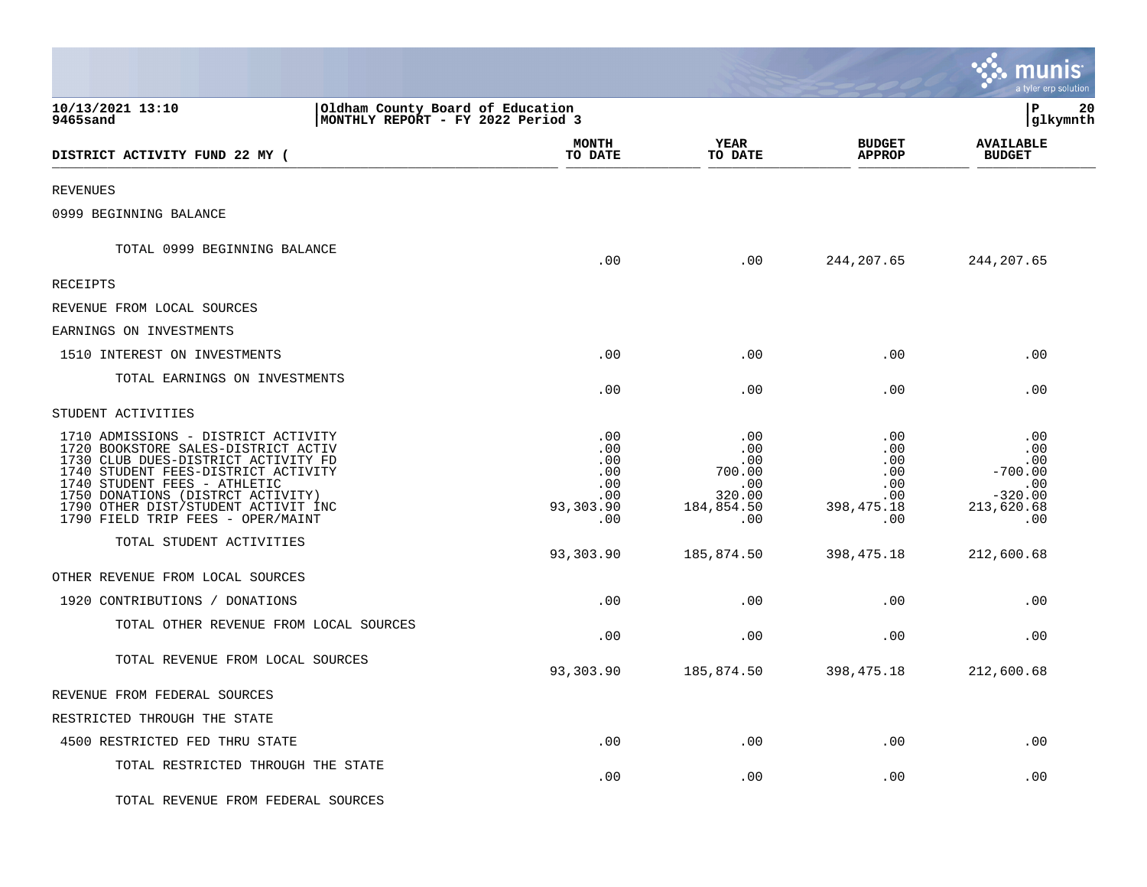|                                                                                                                                                                                                                                                                                                           |                                                            |                                                                   |                                                                                  | munis<br>a tyler erp solution                                           |    |
|-----------------------------------------------------------------------------------------------------------------------------------------------------------------------------------------------------------------------------------------------------------------------------------------------------------|------------------------------------------------------------|-------------------------------------------------------------------|----------------------------------------------------------------------------------|-------------------------------------------------------------------------|----|
| 10/13/2021 13:10<br>Oldham County Board of Education<br>MONTHLY REPORT - FY 2022 Period 3<br>9465sand                                                                                                                                                                                                     |                                                            |                                                                   |                                                                                  | l P<br> glkymnth                                                        | 20 |
| DISTRICT ACTIVITY FUND 22 MY (                                                                                                                                                                                                                                                                            | <b>MONTH</b><br>TO DATE                                    | YEAR<br>TO DATE                                                   | <b>BUDGET</b><br><b>APPROP</b>                                                   | <b>AVAILABLE</b><br><b>BUDGET</b>                                       |    |
| <b>REVENUES</b>                                                                                                                                                                                                                                                                                           |                                                            |                                                                   |                                                                                  |                                                                         |    |
| 0999 BEGINNING BALANCE                                                                                                                                                                                                                                                                                    |                                                            |                                                                   |                                                                                  |                                                                         |    |
| TOTAL 0999 BEGINNING BALANCE                                                                                                                                                                                                                                                                              | .00                                                        | .00                                                               | 244, 207.65                                                                      | 244, 207.65                                                             |    |
| RECEIPTS                                                                                                                                                                                                                                                                                                  |                                                            |                                                                   |                                                                                  |                                                                         |    |
| REVENUE FROM LOCAL SOURCES                                                                                                                                                                                                                                                                                |                                                            |                                                                   |                                                                                  |                                                                         |    |
| EARNINGS ON INVESTMENTS                                                                                                                                                                                                                                                                                   |                                                            |                                                                   |                                                                                  |                                                                         |    |
| 1510 INTEREST ON INVESTMENTS                                                                                                                                                                                                                                                                              | .00                                                        | .00                                                               | .00                                                                              | .00                                                                     |    |
| TOTAL EARNINGS ON INVESTMENTS                                                                                                                                                                                                                                                                             | .00                                                        | .00                                                               | .00                                                                              | .00                                                                     |    |
| STUDENT ACTIVITIES                                                                                                                                                                                                                                                                                        |                                                            |                                                                   |                                                                                  |                                                                         |    |
| 1710 ADMISSIONS - DISTRICT ACTIVITY<br>1720 BOOKSTORE SALES-DISTRICT ACTIV<br>1730 CLUB DUES-DISTRICT ACTIVITY FD<br>1740 STUDENT FEES-DISTRICT ACTIVITY<br>1740 STUDENT FEES - ATHLETIC<br>1750 DONATIONS (DISTRCT ACTIVITY)<br>1790 OTHER DIST/STUDENT ACTIVIT INC<br>1790 FIELD TRIP FEES - OPER/MAINT | .00<br>.00<br>.00<br>.00<br>.00<br>.00<br>93,303.90<br>.00 | .00<br>.00<br>.00<br>700.00<br>.00<br>320.00<br>184,854.50<br>.00 | .00<br>$.00 \ \rm$<br>$.00 \ \rm$<br>.00<br>.00<br>$.00 \,$<br>398,475.18<br>.00 | .00<br>.00<br>.00<br>$-700.00$<br>.00<br>$-320.00$<br>213,620.68<br>.00 |    |
| TOTAL STUDENT ACTIVITIES                                                                                                                                                                                                                                                                                  | 93,303.90                                                  | 185,874.50                                                        | 398, 475. 18                                                                     | 212,600.68                                                              |    |
| OTHER REVENUE FROM LOCAL SOURCES                                                                                                                                                                                                                                                                          |                                                            |                                                                   |                                                                                  |                                                                         |    |
| 1920 CONTRIBUTIONS / DONATIONS                                                                                                                                                                                                                                                                            | .00                                                        | .00                                                               | .00                                                                              | .00                                                                     |    |
| TOTAL OTHER REVENUE FROM LOCAL SOURCES                                                                                                                                                                                                                                                                    | .00                                                        | .00                                                               | .00                                                                              | .00                                                                     |    |
| TOTAL REVENUE FROM LOCAL SOURCES                                                                                                                                                                                                                                                                          | 93,303.90                                                  | 185,874.50                                                        | 398,475.18                                                                       | 212,600.68                                                              |    |
| REVENUE FROM FEDERAL SOURCES                                                                                                                                                                                                                                                                              |                                                            |                                                                   |                                                                                  |                                                                         |    |
| RESTRICTED THROUGH THE STATE                                                                                                                                                                                                                                                                              |                                                            |                                                                   |                                                                                  |                                                                         |    |
| 4500 RESTRICTED FED THRU STATE                                                                                                                                                                                                                                                                            | .00                                                        | .00                                                               | .00                                                                              | .00                                                                     |    |
| TOTAL RESTRICTED THROUGH THE STATE                                                                                                                                                                                                                                                                        | .00                                                        | .00                                                               | .00                                                                              | .00                                                                     |    |
| TOTAL REVENUE FROM FEDERAL SOURCES                                                                                                                                                                                                                                                                        |                                                            |                                                                   |                                                                                  |                                                                         |    |

 $\mathcal{L}$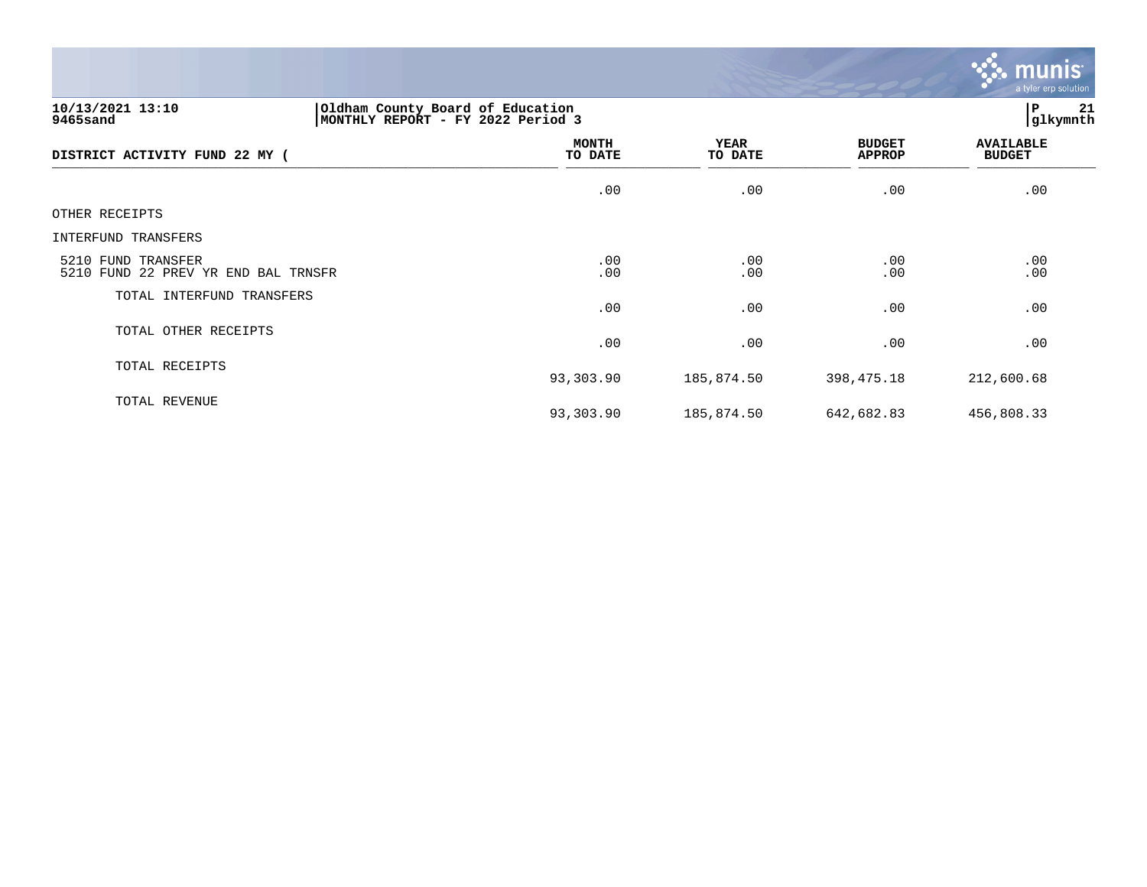

# **10/13/2021 13:10 |Oldham County Board of Education |P 21 9465sand |MONTHLY REPORT - FY 2022 Period 3 |glkymnth**

| DISTRICT ACTIVITY FUND 22 MY (                            | <b>MONTH</b><br>TO DATE | YEAR<br>TO DATE | <b>BUDGET</b><br><b>APPROP</b> | <b>AVAILABLE</b><br><b>BUDGET</b> |
|-----------------------------------------------------------|-------------------------|-----------------|--------------------------------|-----------------------------------|
|                                                           | .00                     | .00             | .00                            | .00                               |
| OTHER RECEIPTS                                            |                         |                 |                                |                                   |
| INTERFUND TRANSFERS                                       |                         |                 |                                |                                   |
| 5210 FUND TRANSFER<br>5210 FUND 22 PREV YR END BAL TRNSFR | .00<br>.00              | .00<br>.00      | .00<br>.00                     | .00<br>.00                        |
| TOTAL INTERFUND TRANSFERS                                 | .00                     | .00             | .00                            | .00                               |
| TOTAL OTHER RECEIPTS                                      | .00                     | .00             | .00                            | .00                               |
| TOTAL RECEIPTS                                            | 93,303.90               | 185,874.50      | 398,475.18                     | 212,600.68                        |
| TOTAL REVENUE                                             | 93,303.90               | 185,874.50      | 642,682.83                     | 456,808.33                        |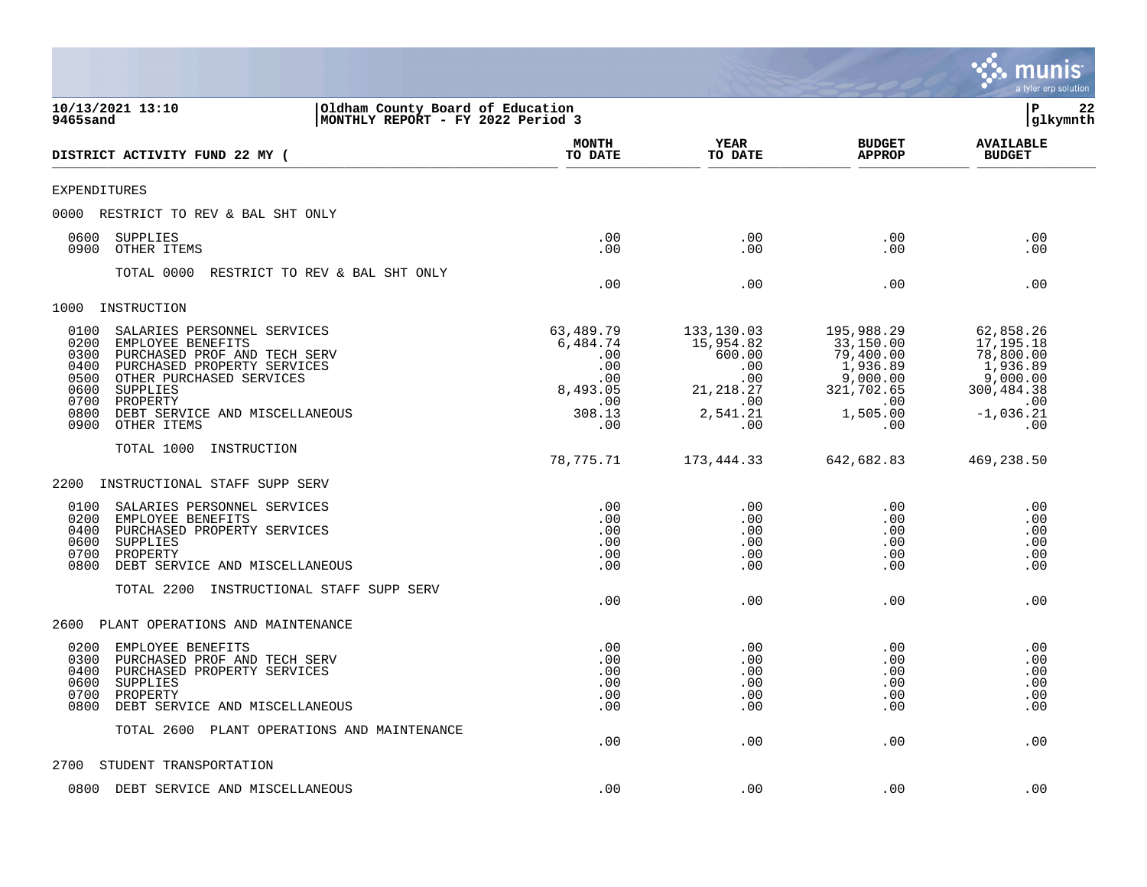|                                                                                                                                                                                                                                                                                                     |                                                                                |                                                                                         |                                                                                                      | a tyler erp solution                                                                                     |
|-----------------------------------------------------------------------------------------------------------------------------------------------------------------------------------------------------------------------------------------------------------------------------------------------------|--------------------------------------------------------------------------------|-----------------------------------------------------------------------------------------|------------------------------------------------------------------------------------------------------|----------------------------------------------------------------------------------------------------------|
| 10/13/2021 13:10<br>Oldham County Board of Education<br>9465sand<br>MONTHLY REPORT - FY 2022 Period 3                                                                                                                                                                                               |                                                                                |                                                                                         |                                                                                                      | ∣P<br>22<br>glkymnth                                                                                     |
| DISTRICT ACTIVITY FUND 22 MY (                                                                                                                                                                                                                                                                      | MONTH<br>TO DATE                                                               | YEAR<br>TO DATE                                                                         | <b>BUDGET</b><br><b>APPROP</b>                                                                       | <b>AVAILABLE</b><br><b>BUDGET</b>                                                                        |
| <b>EXPENDITURES</b>                                                                                                                                                                                                                                                                                 |                                                                                |                                                                                         |                                                                                                      |                                                                                                          |
| 0000 RESTRICT TO REV & BAL SHT ONLY                                                                                                                                                                                                                                                                 |                                                                                |                                                                                         |                                                                                                      |                                                                                                          |
| 0600<br>SUPPLIES<br>0900<br>OTHER ITEMS                                                                                                                                                                                                                                                             | .00<br>.00                                                                     | .00<br>.00                                                                              | .00<br>.00                                                                                           | .00<br>.00                                                                                               |
| TOTAL 0000<br>RESTRICT TO REV & BAL SHT ONLY                                                                                                                                                                                                                                                        | .00                                                                            | .00                                                                                     | .00                                                                                                  | .00                                                                                                      |
| 1000<br>INSTRUCTION                                                                                                                                                                                                                                                                                 |                                                                                |                                                                                         |                                                                                                      |                                                                                                          |
| 0100<br>SALARIES PERSONNEL SERVICES<br>0200<br>EMPLOYEE BENEFITS<br>0300<br>PURCHASED PROF AND TECH SERV<br>0400<br>PURCHASED PROPERTY SERVICES<br>0500<br>OTHER PURCHASED SERVICES<br>0600<br><b>SUPPLIES</b><br>0700<br>PROPERTY<br>0800<br>DEBT SERVICE AND MISCELLANEOUS<br>0900<br>OTHER ITEMS | 63,489.79<br>6,484.74<br>.00<br>.00<br>.00<br>8,493.05<br>.00<br>308.13<br>.00 | 133,130.03<br>15,954.82<br>600.00<br>.00<br>.00<br>21, 218.27<br>.00<br>2,541.21<br>.00 | 195,988.29<br>33,150.00<br>79,400.00<br>1,936.89<br>9,000.00<br>321,702.65<br>.00<br>1,505.00<br>.00 | 62,858.26<br>17, 195. 18<br>78,800.00<br>1,936.89<br>9,000.00<br>300,484.38<br>.00<br>$-1,036.21$<br>.00 |
| INSTRUCTION<br>TOTAL 1000                                                                                                                                                                                                                                                                           |                                                                                |                                                                                         |                                                                                                      |                                                                                                          |
|                                                                                                                                                                                                                                                                                                     | 78,775.71                                                                      | 173,444.33                                                                              | 642,682.83                                                                                           | 469,238.50                                                                                               |
| 2200<br>INSTRUCTIONAL STAFF SUPP SERV                                                                                                                                                                                                                                                               |                                                                                |                                                                                         |                                                                                                      |                                                                                                          |
| SALARIES PERSONNEL SERVICES<br>0100<br>0200<br>EMPLOYEE BENEFITS<br>0400<br>PURCHASED PROPERTY SERVICES<br>0600<br>SUPPLIES<br>0700<br>PROPERTY<br>0800<br>DEBT SERVICE AND MISCELLANEOUS                                                                                                           | .00<br>.00<br>.00<br>.00<br>.00<br>.00                                         | .00<br>.00<br>.00<br>.00<br>.00<br>.00                                                  | .00<br>.00<br>.00<br>.00<br>.00<br>.00                                                               | .00<br>.00<br>.00<br>.00<br>.00<br>.00                                                                   |
| TOTAL 2200<br>INSTRUCTIONAL STAFF SUPP SERV                                                                                                                                                                                                                                                         | .00                                                                            | .00                                                                                     | .00                                                                                                  | .00                                                                                                      |
| 2600<br>PLANT OPERATIONS AND MAINTENANCE                                                                                                                                                                                                                                                            |                                                                                |                                                                                         |                                                                                                      |                                                                                                          |
| 0200<br>EMPLOYEE BENEFITS<br>0300<br>PURCHASED PROF AND TECH SERV<br>PURCHASED PROPERTY SERVICES<br>0400<br>0600<br>SUPPLIES<br>0700<br>PROPERTY<br>0800<br>DEBT SERVICE AND MISCELLANEOUS                                                                                                          | .00<br>.00<br>.00<br>.00<br>.00<br>.00                                         | .00<br>.00<br>.00<br>.00<br>.00<br>.00                                                  | .00<br>.00<br>.00<br>.00<br>.00<br>.00                                                               | .00<br>.00<br>.00<br>.00<br>.00<br>.00                                                                   |
| TOTAL 2600 PLANT OPERATIONS AND MAINTENANCE                                                                                                                                                                                                                                                         | .00                                                                            | .00                                                                                     | .00                                                                                                  | .00                                                                                                      |
| 2700<br>STUDENT TRANSPORTATION                                                                                                                                                                                                                                                                      |                                                                                |                                                                                         |                                                                                                      |                                                                                                          |
| 0800<br>DEBT SERVICE AND MISCELLANEOUS                                                                                                                                                                                                                                                              | .00                                                                            | .00                                                                                     | .00                                                                                                  | .00                                                                                                      |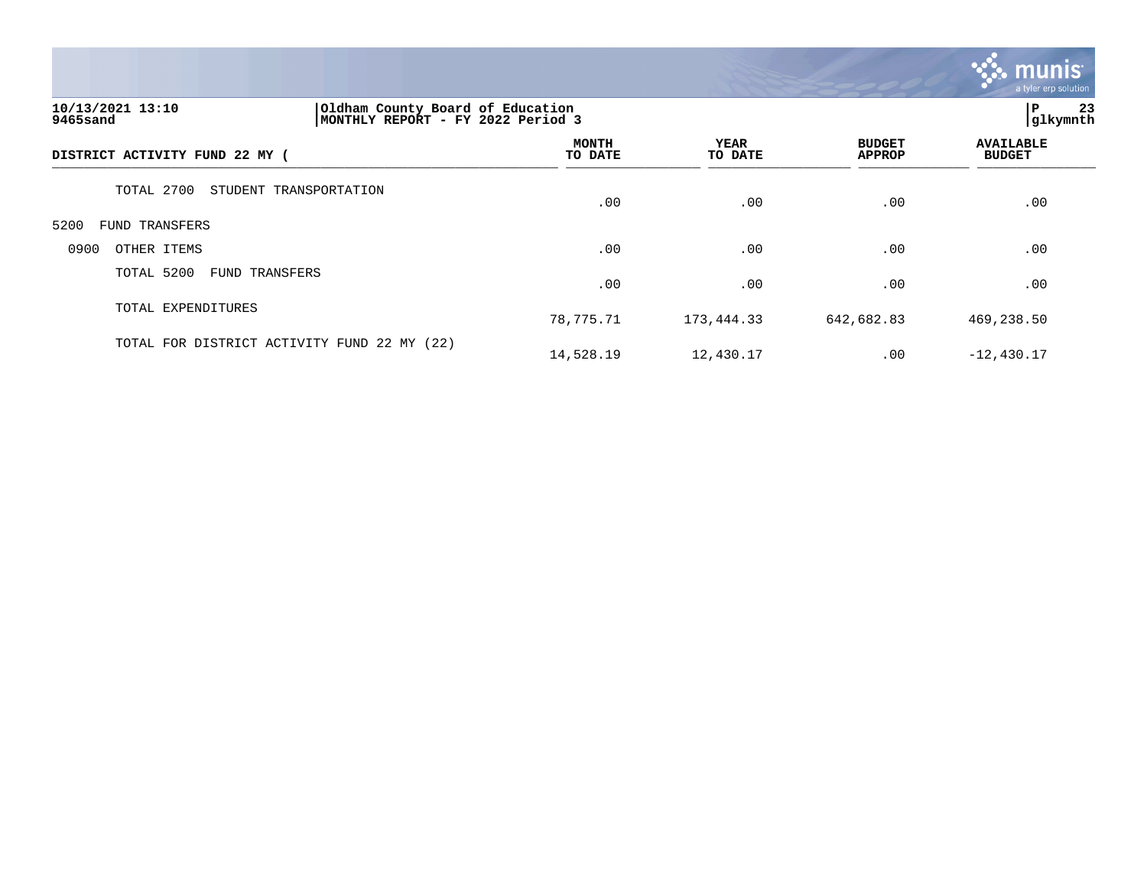

# **10/13/2021 13:10 |Oldham County Board of Education |P 23 9465sand |MONTHLY REPORT - FY 2022 Period 3 |glkymnth**

|                                             |                         |                 |                                | $\overline{\phantom{a}}$          |  |
|---------------------------------------------|-------------------------|-----------------|--------------------------------|-----------------------------------|--|
| DISTRICT ACTIVITY FUND 22 MY (              | <b>MONTH</b><br>TO DATE | YEAR<br>TO DATE | <b>BUDGET</b><br><b>APPROP</b> | <b>AVAILABLE</b><br><b>BUDGET</b> |  |
| TOTAL 2700<br>STUDENT TRANSPORTATION        | .00                     | .00             | .00                            | .00                               |  |
| 5200<br>FUND TRANSFERS                      |                         |                 |                                |                                   |  |
| 0900<br>OTHER ITEMS                         | .00                     | .00             | .00                            | .00                               |  |
| TOTAL 5200<br><b>FUND TRANSFERS</b>         | .00                     | .00             | .00                            | .00                               |  |
| TOTAL EXPENDITURES                          | 78,775.71               | 173,444.33      | 642,682.83                     | 469,238.50                        |  |
| TOTAL FOR DISTRICT ACTIVITY FUND 22 MY (22) | 14,528.19               | 12,430.17       | .00                            | $-12,430.17$                      |  |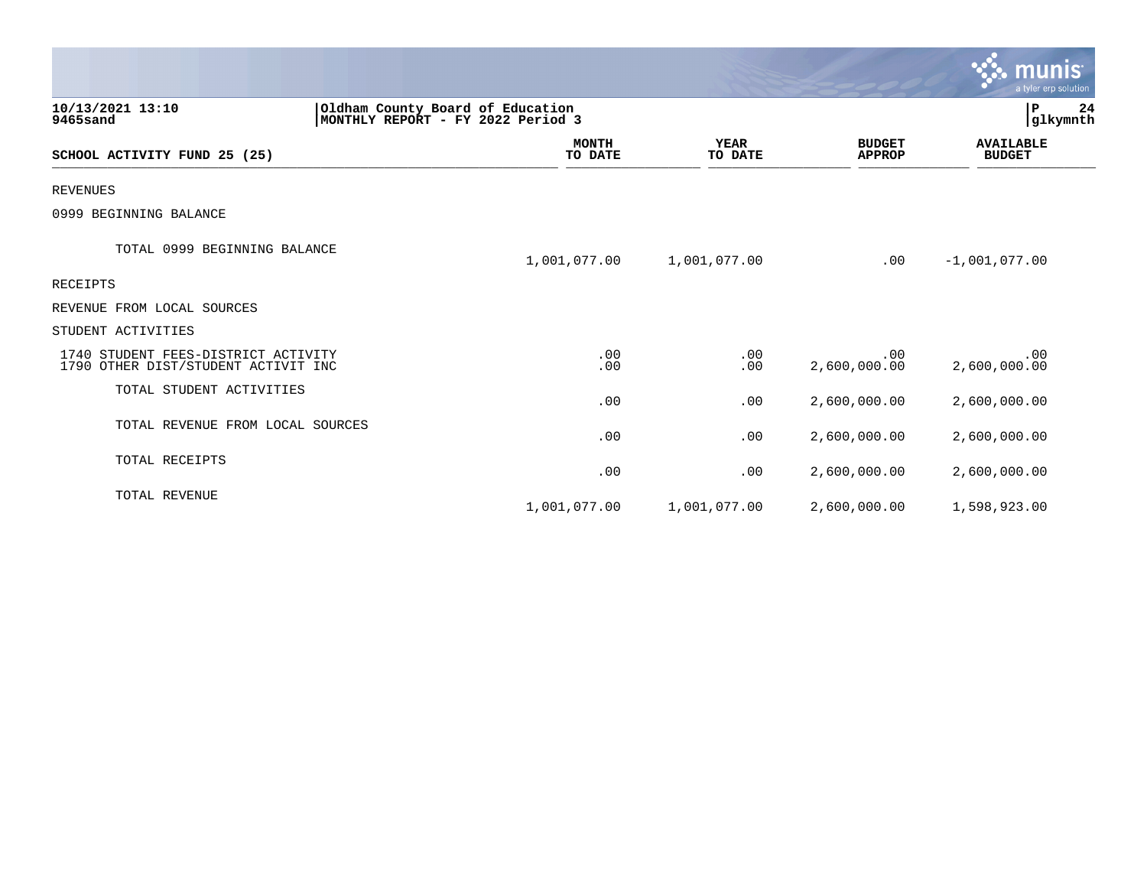|                                                                            |                                                                       |                        |                                | <u>munis'</u><br>a tyler erp solution |
|----------------------------------------------------------------------------|-----------------------------------------------------------------------|------------------------|--------------------------------|---------------------------------------|
| 10/13/2021 13:10<br>9465sand                                               | Oldham County Board of Education<br>MONTHLY REPORT - FY 2022 Period 3 |                        |                                | $\mathbf P$<br>24<br>glkymnth         |
| SCHOOL ACTIVITY FUND 25 (25)                                               | <b>MONTH</b><br>TO DATE                                               | <b>YEAR</b><br>TO DATE | <b>BUDGET</b><br><b>APPROP</b> | <b>AVAILABLE</b><br><b>BUDGET</b>     |
| <b>REVENUES</b>                                                            |                                                                       |                        |                                |                                       |
| 0999 BEGINNING BALANCE                                                     |                                                                       |                        |                                |                                       |
| TOTAL 0999 BEGINNING BALANCE                                               | 1,001,077.00                                                          | 1,001,077.00           | .00                            | $-1,001,077.00$                       |
| RECEIPTS                                                                   |                                                                       |                        |                                |                                       |
| REVENUE FROM LOCAL SOURCES                                                 |                                                                       |                        |                                |                                       |
| STUDENT ACTIVITIES                                                         |                                                                       |                        |                                |                                       |
| 1740 STUDENT FEES-DISTRICT ACTIVITY<br>1790 OTHER DIST/STUDENT ACTIVIT INC | .00<br>.00                                                            | .00<br>.00             | .00<br>2,600,000.00            | .00<br>2,600,000.00                   |
| TOTAL STUDENT ACTIVITIES                                                   | .00                                                                   | .00                    | 2,600,000.00                   | 2,600,000.00                          |
| TOTAL REVENUE FROM LOCAL SOURCES                                           | .00                                                                   | .00                    | 2,600,000.00                   | 2,600,000.00                          |
| TOTAL RECEIPTS                                                             | .00                                                                   | .00                    | 2,600,000.00                   | 2,600,000.00                          |
| TOTAL REVENUE                                                              | 1,001,077.00                                                          | 1,001,077.00           | 2,600,000.00                   | 1,598,923.00                          |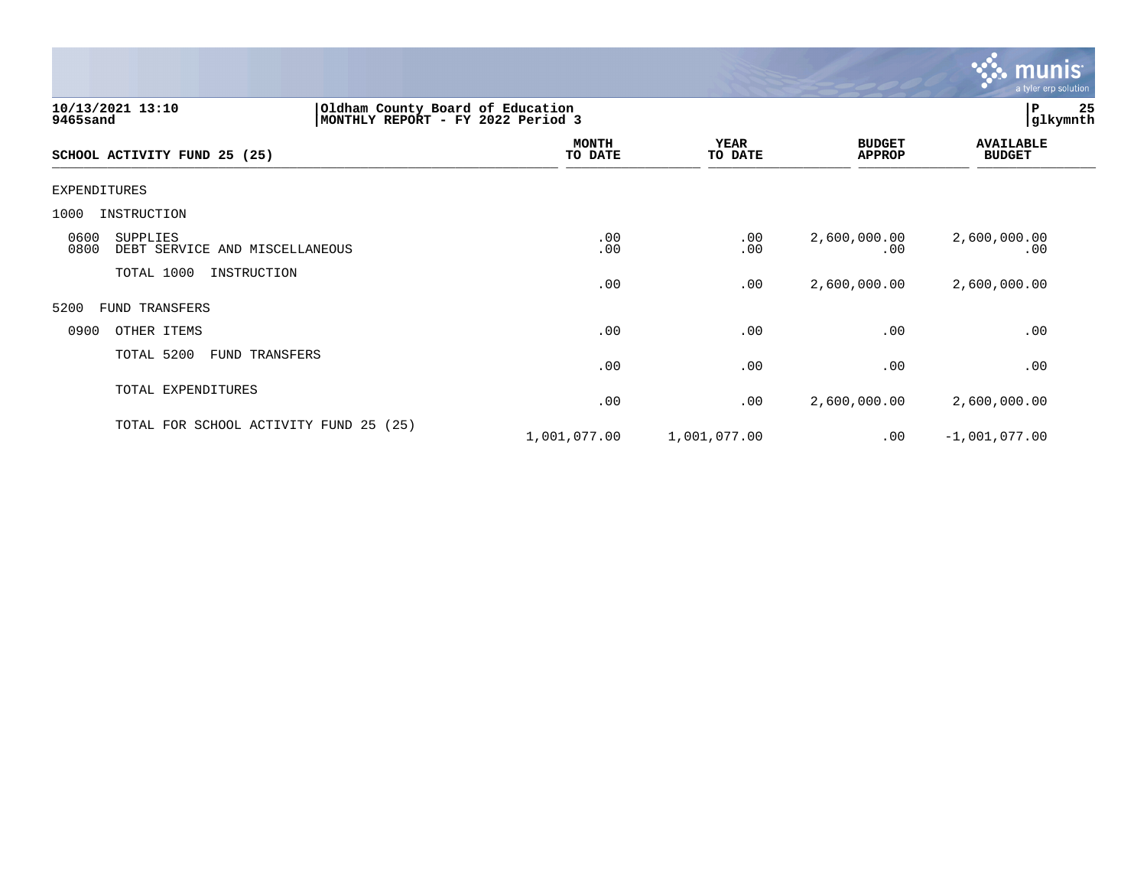

| 10/13/2021 13:10<br>9465sand                               | Oldham County Board of Education<br>MONTHLY REPORT - FY 2022 Period 3 |                         |                        |                                | ${\bf P}$<br> glkymnth            | 25 |
|------------------------------------------------------------|-----------------------------------------------------------------------|-------------------------|------------------------|--------------------------------|-----------------------------------|----|
| SCHOOL ACTIVITY FUND 25 (25)                               |                                                                       | <b>MONTH</b><br>TO DATE | <b>YEAR</b><br>TO DATE | <b>BUDGET</b><br><b>APPROP</b> | <b>AVAILABLE</b><br><b>BUDGET</b> |    |
| <b>EXPENDITURES</b>                                        |                                                                       |                         |                        |                                |                                   |    |
| 1000<br>INSTRUCTION                                        |                                                                       |                         |                        |                                |                                   |    |
| 0600<br>SUPPLIES<br>0800<br>DEBT SERVICE AND MISCELLANEOUS |                                                                       | .00<br>.00              | .00<br>.00             | 2,600,000.00<br>.00            | 2,600,000.00<br>.00               |    |
| TOTAL 1000<br>INSTRUCTION                                  |                                                                       | .00                     | .00                    | 2,600,000.00                   | 2,600,000.00                      |    |
| 5200<br><b>FUND TRANSFERS</b>                              |                                                                       |                         |                        |                                |                                   |    |
| 0900<br>OTHER ITEMS                                        |                                                                       | .00                     | .00                    | .00                            | .00                               |    |
| TOTAL 5200<br>FUND TRANSFERS                               |                                                                       | .00                     | .00                    | .00                            | .00                               |    |
| TOTAL EXPENDITURES                                         |                                                                       | .00                     | .00                    | 2,600,000.00                   | 2,600,000.00                      |    |
| TOTAL FOR SCHOOL ACTIVITY FUND 25 (25)                     |                                                                       | 1,001,077.00            | 1,001,077.00           | $.00 \,$                       | $-1,001,077.00$                   |    |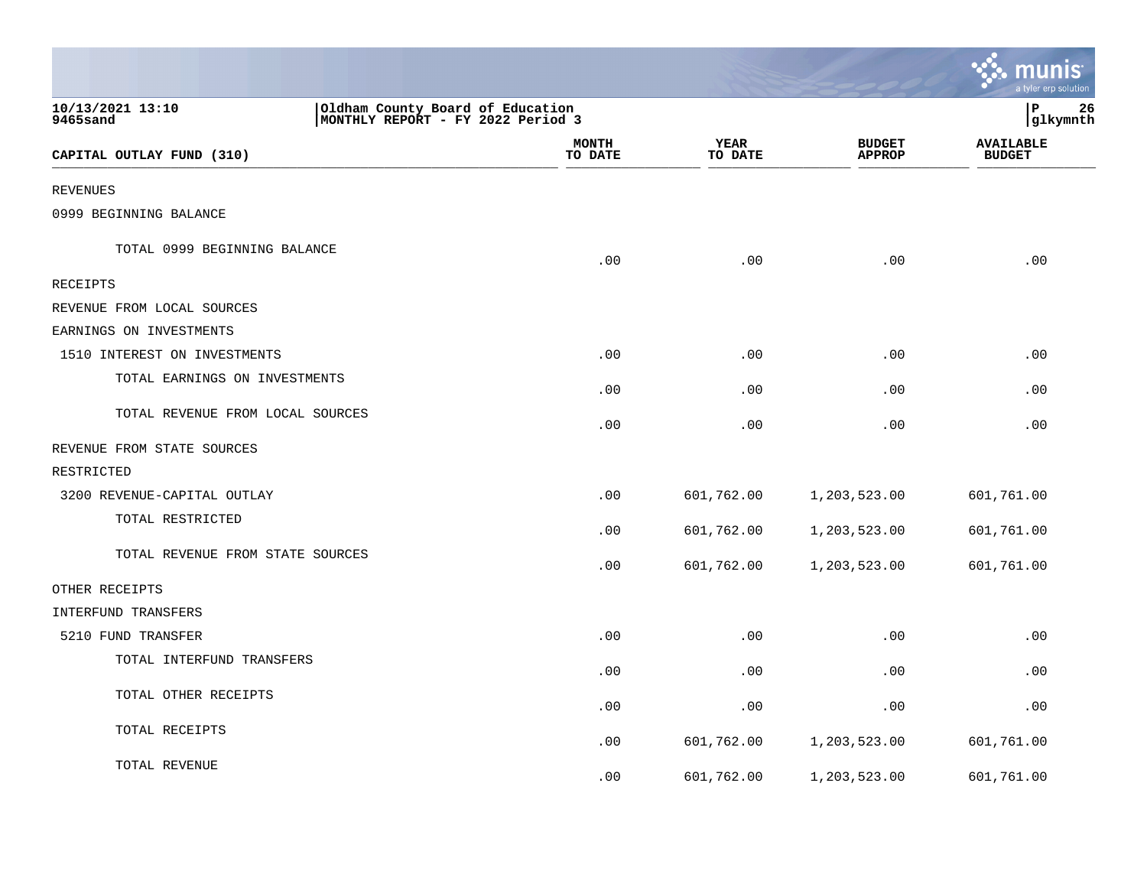|                                                                                                       |                         |                        |                                | <u>ः munis</u><br>a tyler erp solution |
|-------------------------------------------------------------------------------------------------------|-------------------------|------------------------|--------------------------------|----------------------------------------|
| 10/13/2021 13:10<br>Oldham County Board of Education<br>9465sand<br>MONTHLY REPORT - FY 2022 Period 3 |                         |                        |                                | ∣P<br>26<br> glkymnth                  |
| CAPITAL OUTLAY FUND (310)                                                                             | <b>MONTH</b><br>TO DATE | <b>YEAR</b><br>TO DATE | <b>BUDGET</b><br><b>APPROP</b> | <b>AVAILABLE</b><br><b>BUDGET</b>      |
| <b>REVENUES</b>                                                                                       |                         |                        |                                |                                        |
| 0999 BEGINNING BALANCE                                                                                |                         |                        |                                |                                        |
| TOTAL 0999 BEGINNING BALANCE                                                                          | .00                     | .00                    | .00                            | .00                                    |
| RECEIPTS                                                                                              |                         |                        |                                |                                        |
| REVENUE FROM LOCAL SOURCES                                                                            |                         |                        |                                |                                        |
| EARNINGS ON INVESTMENTS                                                                               |                         |                        |                                |                                        |
| 1510 INTEREST ON INVESTMENTS                                                                          | .00                     | .00                    | .00                            | .00                                    |
| TOTAL EARNINGS ON INVESTMENTS                                                                         | .00                     | .00                    | .00                            | .00                                    |
| TOTAL REVENUE FROM LOCAL SOURCES                                                                      | .00                     | .00                    | .00                            | .00                                    |
| REVENUE FROM STATE SOURCES                                                                            |                         |                        |                                |                                        |
| RESTRICTED                                                                                            |                         |                        |                                |                                        |
| 3200 REVENUE-CAPITAL OUTLAY                                                                           | .00                     | 601,762.00             | 1,203,523.00                   | 601,761.00                             |
| TOTAL RESTRICTED                                                                                      | .00                     | 601,762.00             | 1,203,523.00                   | 601,761.00                             |
| TOTAL REVENUE FROM STATE SOURCES                                                                      | .00                     | 601,762.00             | 1,203,523.00                   | 601,761.00                             |
| OTHER RECEIPTS                                                                                        |                         |                        |                                |                                        |
| <b>INTERFUND TRANSFERS</b>                                                                            |                         |                        |                                |                                        |
| 5210 FUND TRANSFER                                                                                    | .00                     | .00                    | .00                            | .00                                    |
| TOTAL INTERFUND TRANSFERS                                                                             | .00                     | .00                    | .00                            | .00                                    |
| TOTAL OTHER RECEIPTS                                                                                  | .00                     | .00                    | .00                            | .00                                    |
| TOTAL RECEIPTS                                                                                        | .00                     | 601,762.00             | 1,203,523.00                   | 601,761.00                             |
| TOTAL REVENUE                                                                                         | .00                     | 601,762.00             | 1,203,523.00                   | 601,761.00                             |

the control of the state of the control of the control of the control of the control of the control of the control of the control of the control of the control of the control of the control of the control of the control of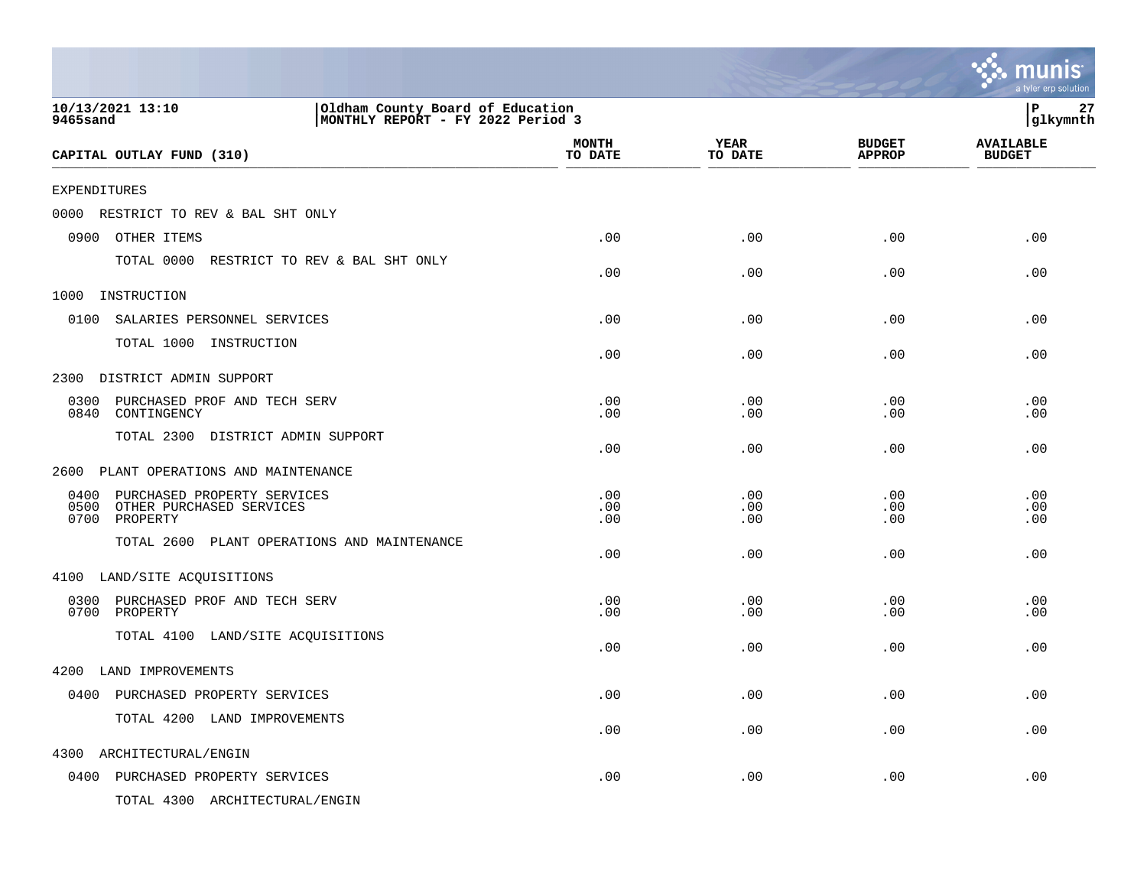|                                                                                                       |                         |                        |                                | munis<br>a tyler erp solution     |
|-------------------------------------------------------------------------------------------------------|-------------------------|------------------------|--------------------------------|-----------------------------------|
| 10/13/2021 13:10<br>Oldham County Board of Education<br>MONTHLY REPORT - FY 2022 Period 3<br>9465sand |                         |                        |                                | 27<br>P<br> glkymnth              |
| CAPITAL OUTLAY FUND (310)                                                                             | <b>MONTH</b><br>TO DATE | <b>YEAR</b><br>TO DATE | <b>BUDGET</b><br><b>APPROP</b> | <b>AVAILABLE</b><br><b>BUDGET</b> |
| <b>EXPENDITURES</b>                                                                                   |                         |                        |                                |                                   |
| 0000<br>RESTRICT TO REV & BAL SHT ONLY                                                                |                         |                        |                                |                                   |
| 0900<br>OTHER ITEMS                                                                                   | .00                     | .00                    | .00                            | .00                               |
| TOTAL 0000 RESTRICT TO REV & BAL SHT ONLY                                                             | .00                     | .00                    | .00                            | .00                               |
| 1000<br>INSTRUCTION                                                                                   |                         |                        |                                |                                   |
| 0100<br>SALARIES PERSONNEL SERVICES                                                                   | .00                     | .00                    | .00                            | .00                               |
| TOTAL 1000 INSTRUCTION                                                                                | .00                     | .00                    | .00                            | .00                               |
| DISTRICT ADMIN SUPPORT<br>2300                                                                        |                         |                        |                                |                                   |
| 0300<br>PURCHASED PROF AND TECH SERV<br>0840<br>CONTINGENCY                                           | .00<br>.00              | .00<br>.00             | .00<br>.00                     | .00<br>.00                        |
| TOTAL 2300 DISTRICT ADMIN SUPPORT                                                                     | .00                     | .00                    | .00                            | .00                               |
| PLANT OPERATIONS AND MAINTENANCE<br>2600                                                              |                         |                        |                                |                                   |
| 0400<br>PURCHASED PROPERTY SERVICES<br>0500<br>OTHER PURCHASED SERVICES<br>0700<br>PROPERTY           | .00<br>.00<br>.00       | .00<br>.00<br>.00      | .00<br>.00<br>.00              | .00<br>.00<br>.00                 |
| TOTAL 2600 PLANT OPERATIONS AND MAINTENANCE                                                           | .00                     | .00                    | .00                            | .00                               |
| 4100 LAND/SITE ACQUISITIONS                                                                           |                         |                        |                                |                                   |
| 0300<br>PURCHASED PROF AND TECH SERV<br>0700<br>PROPERTY                                              | .00<br>.00              | .00<br>.00             | .00<br>.00                     | .00<br>.00                        |
| TOTAL 4100 LAND/SITE ACQUISITIONS                                                                     | .00                     | .00                    | .00                            | .00                               |
| 4200 LAND IMPROVEMENTS                                                                                |                         |                        |                                |                                   |
| 0400 PURCHASED PROPERTY SERVICES                                                                      | .00                     | .00                    | .00                            | .00                               |
| TOTAL 4200 LAND IMPROVEMENTS                                                                          | .00                     | .00                    | .00                            | .00                               |
| 4300<br>ARCHITECTURAL/ENGIN                                                                           |                         |                        |                                |                                   |
| 0400 PURCHASED PROPERTY SERVICES                                                                      | .00                     | .00                    | .00                            | .00                               |
| TOTAL 4300 ARCHITECTURAL/ENGIN                                                                        |                         |                        |                                |                                   |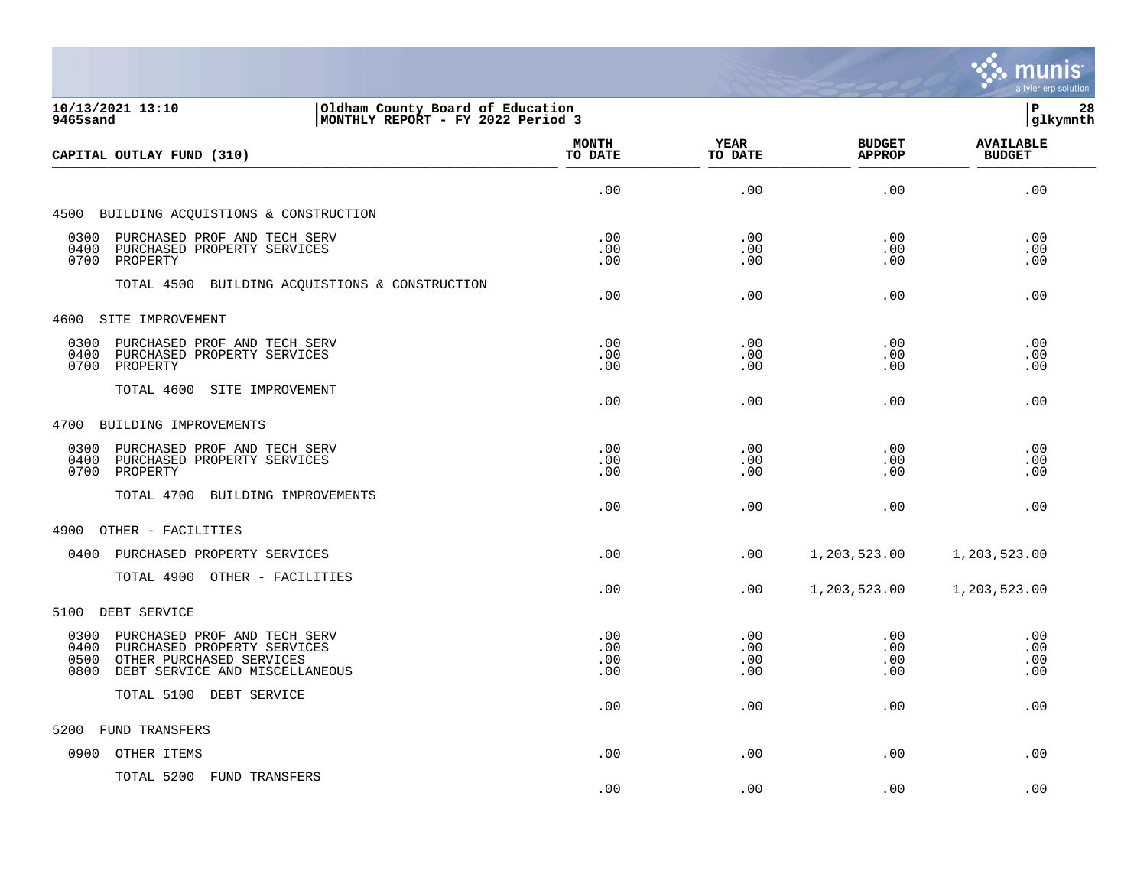

| 10/13/2021 13:10<br>Oldham County Board of Education<br>MONTHLY REPORT - FY 2022 Period 3<br>9465sand                                                     |                          |                          |                                |                                   |
|-----------------------------------------------------------------------------------------------------------------------------------------------------------|--------------------------|--------------------------|--------------------------------|-----------------------------------|
| CAPITAL OUTLAY FUND (310)                                                                                                                                 | <b>MONTH</b><br>TO DATE  | <b>YEAR</b><br>TO DATE   | <b>BUDGET</b><br><b>APPROP</b> | <b>AVAILABLE</b><br><b>BUDGET</b> |
|                                                                                                                                                           | .00                      | .00                      | .00                            | .00                               |
| 4500 BUILDING ACQUISTIONS & CONSTRUCTION                                                                                                                  |                          |                          |                                |                                   |
| 0300 PURCHASED PROF AND TECH SERV<br>0400<br>PURCHASED PROPERTY SERVICES<br>0700<br>PROPERTY                                                              | .00<br>.00<br>.00        | .00<br>.00<br>.00        | .00<br>.00<br>.00              | .00<br>.00<br>.00                 |
| TOTAL 4500 BUILDING ACQUISTIONS & CONSTRUCTION                                                                                                            | .00                      | .00                      | .00                            | .00                               |
| SITE IMPROVEMENT<br>4600                                                                                                                                  |                          |                          |                                |                                   |
| 0300 PURCHASED PROF AND TECH SERV<br>0400<br>PURCHASED PROPERTY SERVICES<br>0700 PROPERTY                                                                 | .00<br>.00<br>.00        | .00<br>.00<br>.00        | .00<br>.00<br>.00              | .00<br>.00<br>.00                 |
| TOTAL 4600 SITE IMPROVEMENT                                                                                                                               | .00                      | .00                      | .00                            | .00                               |
| 4700 BUILDING IMPROVEMENTS                                                                                                                                |                          |                          |                                |                                   |
| PURCHASED PROF AND TECH SERV<br>0300<br>0400<br>PURCHASED PROPERTY SERVICES<br>0700<br>PROPERTY                                                           | .00<br>.00<br>.00        | .00<br>.00<br>.00        | .00<br>$.00 \,$<br>.00         | .00<br>.00<br>.00                 |
| TOTAL 4700 BUILDING IMPROVEMENTS                                                                                                                          | .00                      | .00                      | .00                            | .00                               |
| 4900<br>OTHER - FACILITIES                                                                                                                                |                          |                          |                                |                                   |
| PURCHASED PROPERTY SERVICES<br>0400                                                                                                                       | .00                      | .00                      | 1,203,523.00                   | 1,203,523.00                      |
| TOTAL 4900 OTHER - FACILITIES                                                                                                                             | .00                      | .00                      | 1,203,523.00                   | 1,203,523.00                      |
| 5100<br>DEBT SERVICE                                                                                                                                      |                          |                          |                                |                                   |
| 0300<br>PURCHASED PROF AND TECH SERV<br>0400<br>PURCHASED PROPERTY SERVICES<br>OTHER PURCHASED SERVICES<br>0500<br>0800<br>DEBT SERVICE AND MISCELLANEOUS | .00<br>.00<br>.00<br>.00 | .00<br>.00<br>.00<br>.00 | .00<br>.00<br>.00<br>.00       | .00<br>.00<br>.00<br>.00          |
| TOTAL 5100 DEBT SERVICE                                                                                                                                   | .00                      | .00                      | $.00 \,$                       | .00                               |
| FUND TRANSFERS<br>5200                                                                                                                                    |                          |                          |                                |                                   |
| 0900<br>OTHER ITEMS                                                                                                                                       | .00                      | .00                      | .00                            | .00                               |
| TOTAL 5200 FUND TRANSFERS                                                                                                                                 |                          |                          |                                |                                   |

 $.00$  .  $.00$  .  $.00$  .  $.00$  .  $.00$  .  $.00$  .  $.00$  .  $.00$  .  $.00$  .  $.00$  .  $.00$  .  $.00$  .  $.00$  .  $.00$  .  $.00$  .  $.00$  .  $.00$  .  $.00$  .  $.00$  .  $.00$  .  $.00$  .  $.00$  .  $.00$  .  $.00$  .  $.00$  .  $.00$  .  $.00$  .  $.00$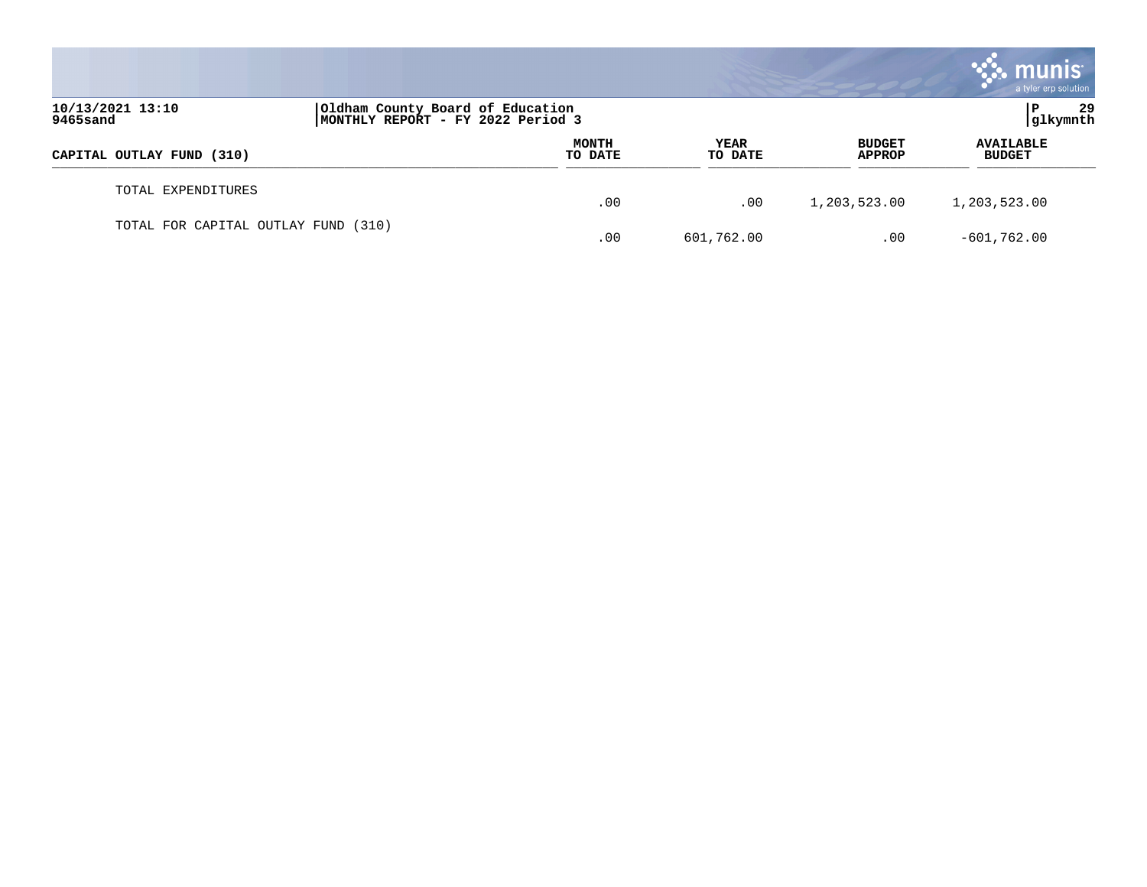|                                     |                                                                       |                  |                 |                                | munis<br>a tyler erp solution     |
|-------------------------------------|-----------------------------------------------------------------------|------------------|-----------------|--------------------------------|-----------------------------------|
| 10/13/2021 13:10<br>9465sand        | Oldham County Board of Education<br>MONTHLY REPORT - FY 2022 Period 3 |                  |                 |                                | 29<br> glkymnth                   |
| CAPITAL OUTLAY FUND (310)           |                                                                       | MONTH<br>TO DATE | YEAR<br>TO DATE | <b>BUDGET</b><br><b>APPROP</b> | <b>AVAILABLE</b><br><b>BUDGET</b> |
| TOTAL EXPENDITURES                  |                                                                       | .00              | .00             | 1,203,523.00                   | 1,203,523.00                      |
| TOTAL FOR CAPITAL OUTLAY FUND (310) |                                                                       | .00              | 601,762.00      | .00                            | $-601,762.00$                     |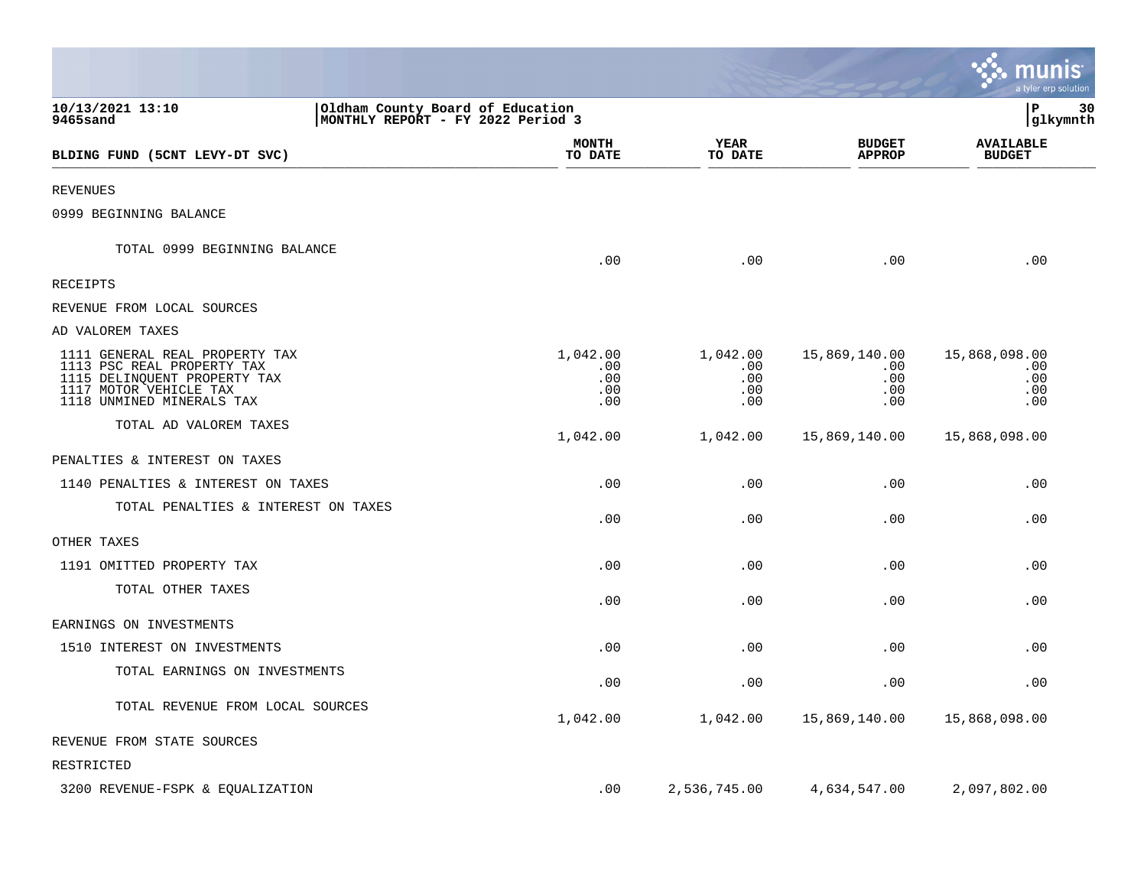|                                                                                                                                                     |                                                                       |                                      |                                           | a tyler erp solution                      |
|-----------------------------------------------------------------------------------------------------------------------------------------------------|-----------------------------------------------------------------------|--------------------------------------|-------------------------------------------|-------------------------------------------|
| 10/13/2021 13:10<br>9465sand                                                                                                                        | Oldham County Board of Education<br>MONTHLY REPORT - FY 2022 Period 3 |                                      |                                           | 30<br>ΙP<br>glkymnth                      |
| BLDING FUND (5CNT LEVY-DT SVC)                                                                                                                      | <b>MONTH</b><br>TO DATE                                               | YEAR<br>TO DATE                      | <b>BUDGET</b><br><b>APPROP</b>            | <b>AVAILABLE</b><br><b>BUDGET</b>         |
| <b>REVENUES</b>                                                                                                                                     |                                                                       |                                      |                                           |                                           |
| 0999 BEGINNING BALANCE                                                                                                                              |                                                                       |                                      |                                           |                                           |
| TOTAL 0999 BEGINNING BALANCE                                                                                                                        | .00                                                                   | .00                                  | .00                                       | .00                                       |
| RECEIPTS                                                                                                                                            |                                                                       |                                      |                                           |                                           |
| REVENUE FROM LOCAL SOURCES                                                                                                                          |                                                                       |                                      |                                           |                                           |
| AD VALOREM TAXES                                                                                                                                    |                                                                       |                                      |                                           |                                           |
| 1111 GENERAL REAL PROPERTY TAX<br>1113 PSC REAL PROPERTY TAX<br>1115 DELINQUENT PROPERTY TAX<br>1117 MOTOR VEHICLE TAX<br>1118 UNMINED MINERALS TAX | 1,042.00<br>.00<br>.00<br>.00<br>.00                                  | 1,042.00<br>.00<br>.00<br>.00<br>.00 | 15,869,140.00<br>.00<br>.00<br>.00<br>.00 | 15,868,098.00<br>.00<br>.00<br>.00<br>.00 |
| TOTAL AD VALOREM TAXES                                                                                                                              | 1,042.00                                                              | 1,042.00                             | 15,869,140.00                             | 15,868,098.00                             |
| PENALTIES & INTEREST ON TAXES                                                                                                                       |                                                                       |                                      |                                           |                                           |
| 1140 PENALTIES & INTEREST ON TAXES                                                                                                                  | .00                                                                   | .00                                  | .00                                       | .00                                       |
| TOTAL PENALTIES & INTEREST ON TAXES                                                                                                                 | .00                                                                   | .00                                  | .00                                       | .00                                       |
| OTHER TAXES                                                                                                                                         |                                                                       |                                      |                                           |                                           |
| 1191 OMITTED PROPERTY TAX                                                                                                                           | .00                                                                   | .00                                  | .00                                       | .00                                       |
| TOTAL OTHER TAXES                                                                                                                                   | .00                                                                   | .00                                  | .00                                       | .00                                       |
| EARNINGS ON INVESTMENTS                                                                                                                             |                                                                       |                                      |                                           |                                           |
| 1510 INTEREST ON INVESTMENTS                                                                                                                        | .00                                                                   | .00                                  | .00                                       | .00                                       |
| TOTAL EARNINGS ON INVESTMENTS                                                                                                                       | .00                                                                   | .00                                  | .00                                       | .00                                       |
| TOTAL REVENUE FROM LOCAL SOURCES                                                                                                                    | 1,042.00                                                              | 1,042.00                             | 15,869,140.00                             | 15,868,098.00                             |
| REVENUE FROM STATE SOURCES                                                                                                                          |                                                                       |                                      |                                           |                                           |
| RESTRICTED                                                                                                                                          |                                                                       |                                      |                                           |                                           |
| 3200 REVENUE-FSPK & EQUALIZATION                                                                                                                    | .00                                                                   | 2,536,745.00                         | 4,634,547.00                              | 2,097,802.00                              |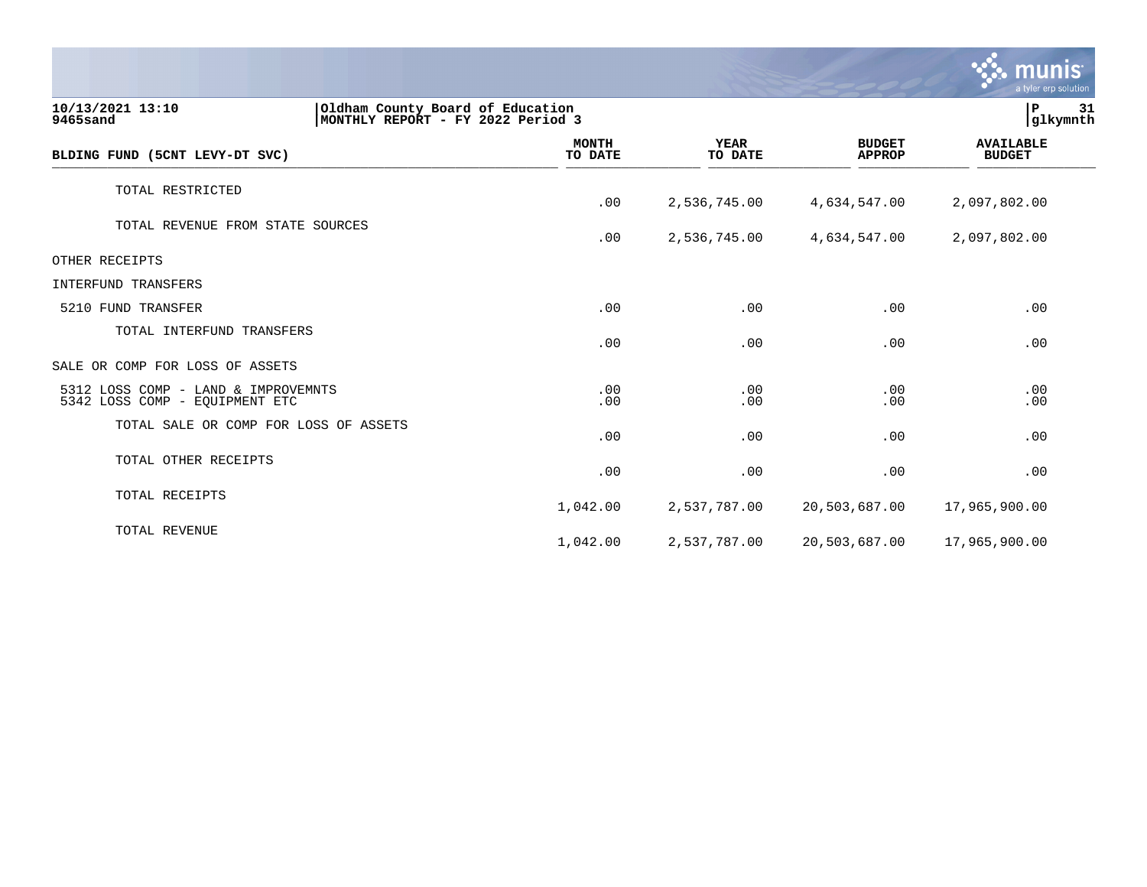|                                                                                                       |                         |                        |                                | <b>munis</b><br>a tyler erp solution |
|-------------------------------------------------------------------------------------------------------|-------------------------|------------------------|--------------------------------|--------------------------------------|
| 10/13/2021 13:10<br>Oldham County Board of Education<br>9465sand<br>MONTHLY REPORT - FY 2022 Period 3 |                         |                        |                                | $\, {\bf P}$<br>31<br> glkymnth      |
| BLDING FUND (5CNT LEVY-DT SVC)                                                                        | <b>MONTH</b><br>TO DATE | <b>YEAR</b><br>TO DATE | <b>BUDGET</b><br><b>APPROP</b> | <b>AVAILABLE</b><br><b>BUDGET</b>    |
| TOTAL RESTRICTED                                                                                      | .00                     | 2,536,745.00           | 4,634,547.00                   | 2,097,802.00                         |
| TOTAL REVENUE FROM STATE SOURCES                                                                      | .00                     | 2,536,745.00           | 4,634,547.00                   | 2,097,802.00                         |
| OTHER RECEIPTS                                                                                        |                         |                        |                                |                                      |
| INTERFUND TRANSFERS                                                                                   |                         |                        |                                |                                      |
| 5210 FUND TRANSFER                                                                                    | .00                     | .00                    | .00                            | .00                                  |
| TOTAL INTERFUND TRANSFERS                                                                             | .00                     | .00                    | .00                            | .00                                  |
| SALE OR COMP FOR LOSS OF ASSETS                                                                       |                         |                        |                                |                                      |
| 5312 LOSS COMP - LAND & IMPROVEMNTS<br>5342 LOSS COMP - EQUIPMENT ETC                                 | .00<br>.00              | .00<br>.00             | .00<br>.00                     | .00<br>.00                           |
| TOTAL SALE OR COMP FOR LOSS OF ASSETS                                                                 | .00                     | .00                    | .00                            | .00                                  |
| TOTAL OTHER RECEIPTS                                                                                  | .00                     | .00                    | .00                            | .00                                  |
| TOTAL RECEIPTS                                                                                        | 1,042.00                | 2,537,787.00           | 20,503,687.00                  | 17,965,900.00                        |
| TOTAL REVENUE                                                                                         | 1,042.00                | 2,537,787.00           | 20,503,687.00                  | 17,965,900.00                        |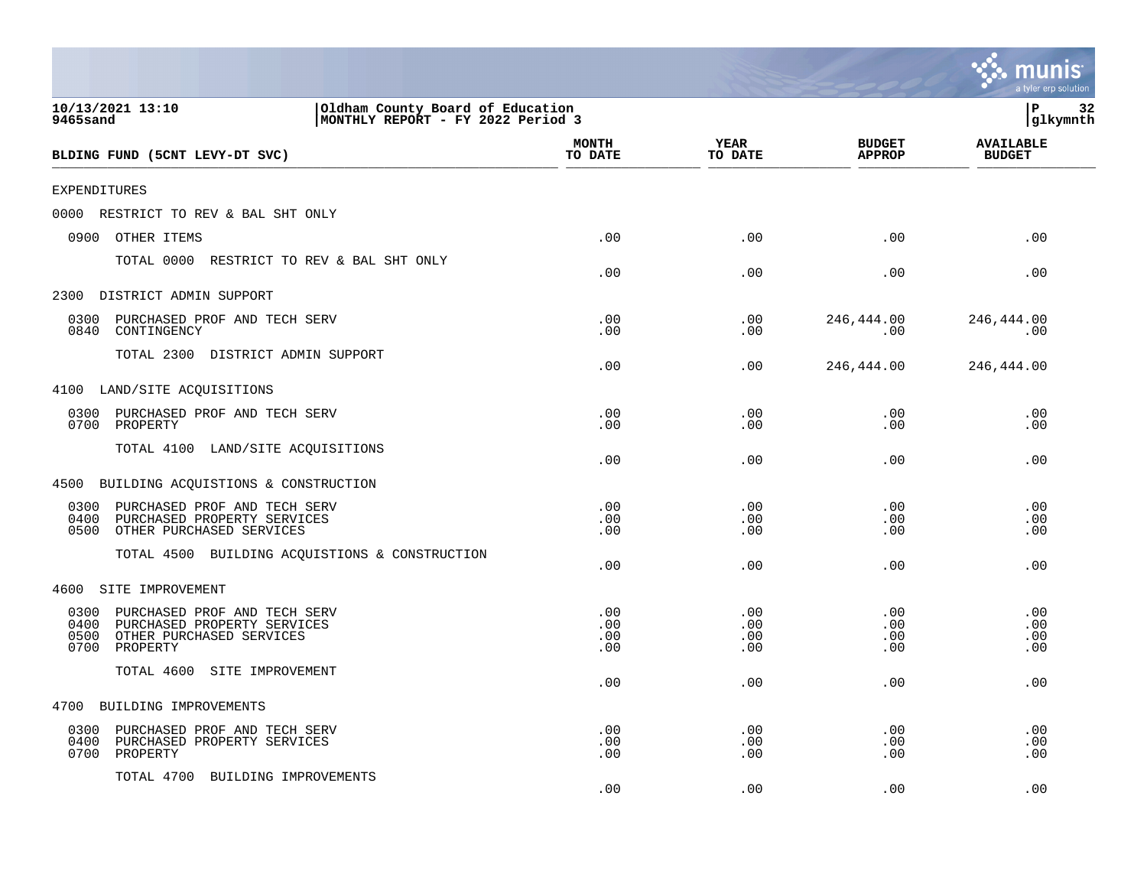|                                                                                                                                     |                                                                       |                          |                          |                                | a tyler erp solution              |
|-------------------------------------------------------------------------------------------------------------------------------------|-----------------------------------------------------------------------|--------------------------|--------------------------|--------------------------------|-----------------------------------|
| 10/13/2021 13:10<br>9465sand                                                                                                        | Oldham County Board of Education<br>MONTHLY REPORT - FY 2022 Period 3 |                          |                          |                                | P<br>32<br>glkymnth               |
| BLDING FUND (5CNT LEVY-DT SVC)                                                                                                      |                                                                       | MONTH<br>TO DATE         | YEAR<br>TO DATE          | <b>BUDGET</b><br><b>APPROP</b> | <b>AVAILABLE</b><br><b>BUDGET</b> |
| <b>EXPENDITURES</b>                                                                                                                 |                                                                       |                          |                          |                                |                                   |
| 0000<br>RESTRICT TO REV & BAL SHT ONLY                                                                                              |                                                                       |                          |                          |                                |                                   |
| 0900<br>OTHER ITEMS                                                                                                                 |                                                                       | .00                      | .00                      | .00                            | .00                               |
| TOTAL 0000                                                                                                                          | RESTRICT TO REV & BAL SHT ONLY                                        | .00                      | .00                      | .00                            | .00                               |
| 2300<br>DISTRICT ADMIN SUPPORT                                                                                                      |                                                                       |                          |                          |                                |                                   |
| 0300<br>PURCHASED PROF AND TECH SERV<br>0840<br>CONTINGENCY                                                                         |                                                                       | .00<br>.00               | .00<br>.00               | 246,444.00<br>.00              | 246,444.00<br>.00                 |
| TOTAL 2300 DISTRICT ADMIN SUPPORT                                                                                                   |                                                                       | .00                      | .00                      | 246,444.00                     | 246,444.00                        |
| 4100 LAND/SITE ACQUISITIONS                                                                                                         |                                                                       |                          |                          |                                |                                   |
| 0300<br>PURCHASED PROF AND TECH SERV<br>0700<br>PROPERTY                                                                            |                                                                       | .00<br>.00               | .00<br>.00               | .00<br>.00                     | .00<br>.00                        |
| TOTAL 4100<br>LAND/SITE ACQUISITIONS                                                                                                |                                                                       | .00                      | .00                      | .00                            | .00                               |
| BUILDING ACQUISTIONS & CONSTRUCTION<br>4500                                                                                         |                                                                       |                          |                          |                                |                                   |
| 0300<br>PURCHASED PROF AND TECH SERV<br>0400<br>PURCHASED PROPERTY SERVICES<br>0500<br>OTHER PURCHASED SERVICES                     |                                                                       | .00<br>.00<br>.00        | .00<br>.00<br>.00        | .00<br>.00<br>.00              | .00<br>.00<br>.00                 |
| TOTAL 4500                                                                                                                          | BUILDING ACQUISTIONS & CONSTRUCTION                                   | .00                      | .00                      | .00                            | .00                               |
| 4600<br>SITE IMPROVEMENT                                                                                                            |                                                                       |                          |                          |                                |                                   |
| 0300<br>PURCHASED PROF AND TECH SERV<br>0400<br>PURCHASED PROPERTY SERVICES<br>0500<br>OTHER PURCHASED SERVICES<br>0700<br>PROPERTY |                                                                       | .00<br>.00<br>.00<br>.00 | .00<br>.00<br>.00<br>.00 | .00<br>.00<br>.00<br>.00       | .00<br>.00<br>.00<br>.00          |
| TOTAL 4600<br>SITE IMPROVEMENT                                                                                                      |                                                                       | .00                      | .00                      | .00                            | .00                               |
| 4700<br>BUILDING IMPROVEMENTS                                                                                                       |                                                                       |                          |                          |                                |                                   |
| PURCHASED PROF AND TECH SERV<br>0300<br>0400<br>PURCHASED PROPERTY SERVICES<br>0700<br>PROPERTY                                     |                                                                       | .00<br>.00<br>.00        | .00<br>.00<br>.00        | .00<br>.00<br>.00              | .00<br>.00<br>.00                 |
| TOTAL 4700<br>BUILDING IMPROVEMENTS                                                                                                 |                                                                       | .00                      | .00                      | .00                            | .00                               |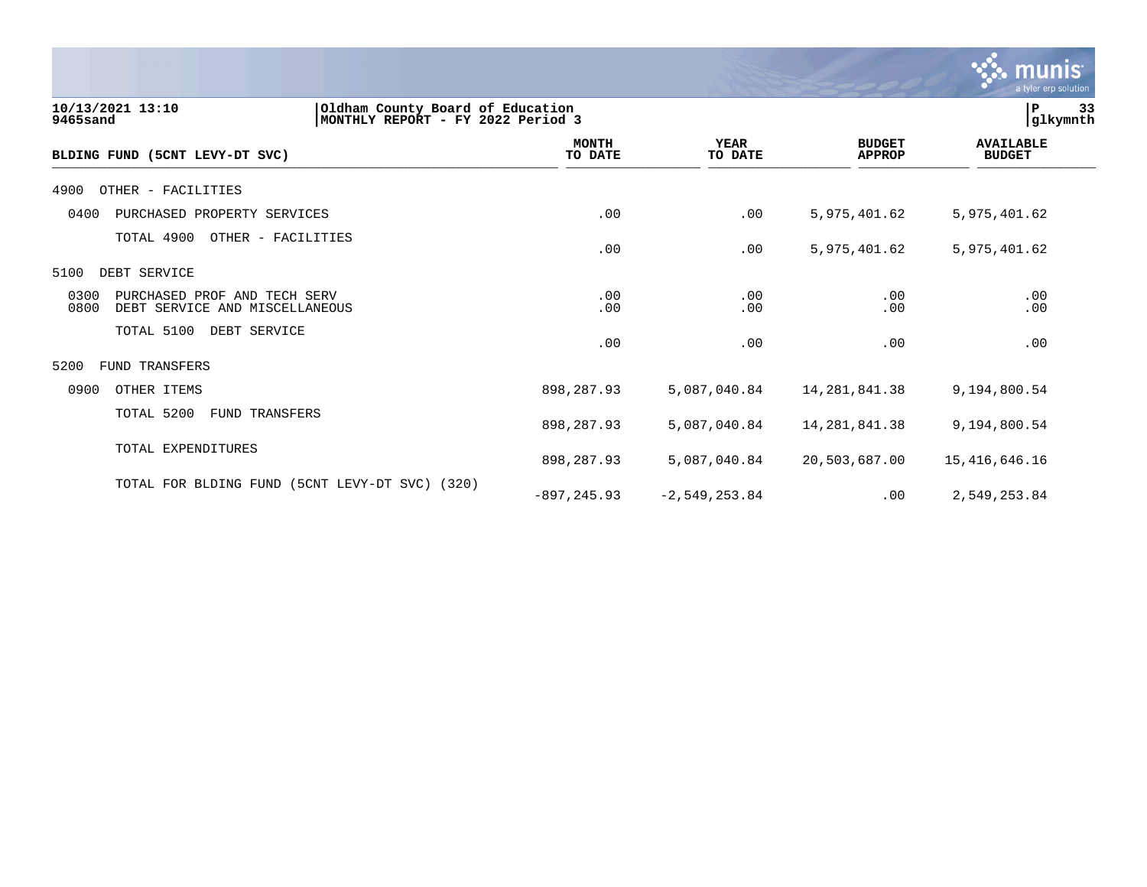

| 10/13/2021 13:10<br>9465sand                                                   | Oldham County Board of Education<br>MONTHLY REPORT - FY 2022 Period 3 |                        |                                |                                   |  |
|--------------------------------------------------------------------------------|-----------------------------------------------------------------------|------------------------|--------------------------------|-----------------------------------|--|
| BLDING FUND (5CNT LEVY-DT SVC)                                                 | <b>MONTH</b><br>TO DATE                                               | <b>YEAR</b><br>TO DATE | <b>BUDGET</b><br><b>APPROP</b> | <b>AVAILABLE</b><br><b>BUDGET</b> |  |
| 4900<br>OTHER - FACILITIES                                                     |                                                                       |                        |                                |                                   |  |
| 0400<br>PURCHASED PROPERTY SERVICES                                            | .00                                                                   | .00                    | 5,975,401.62                   | 5,975,401.62                      |  |
| TOTAL 4900<br>OTHER - FACILITIES                                               | .00                                                                   | .00                    | 5,975,401.62                   | 5,975,401.62                      |  |
| DEBT SERVICE<br>5100                                                           |                                                                       |                        |                                |                                   |  |
| 0300<br>PURCHASED PROF AND TECH SERV<br>0800<br>DEBT SERVICE AND MISCELLANEOUS | .00<br>.00                                                            | .00<br>.00             | .00<br>.00                     | .00<br>.00                        |  |
| TOTAL 5100<br>DEBT SERVICE                                                     | .00                                                                   | .00                    | .00                            | .00                               |  |
| 5200<br><b>FUND TRANSFERS</b>                                                  |                                                                       |                        |                                |                                   |  |
| 0900<br>OTHER ITEMS                                                            | 898,287.93                                                            | 5,087,040.84           | 14, 281, 841.38                | 9,194,800.54                      |  |
| TOTAL 5200<br><b>FUND TRANSFERS</b>                                            | 898,287.93                                                            | 5,087,040.84           | 14,281,841.38                  | 9,194,800.54                      |  |
| TOTAL EXPENDITURES                                                             | 898,287.93                                                            | 5,087,040.84           | 20,503,687.00                  | 15,416,646.16                     |  |
| (5CNT LEVY-DT SVC)<br>TOTAL FOR BLDING FUND                                    | (320)<br>$-897, 245.93$                                               | $-2,549,253.84$        | .00                            | 2,549,253.84                      |  |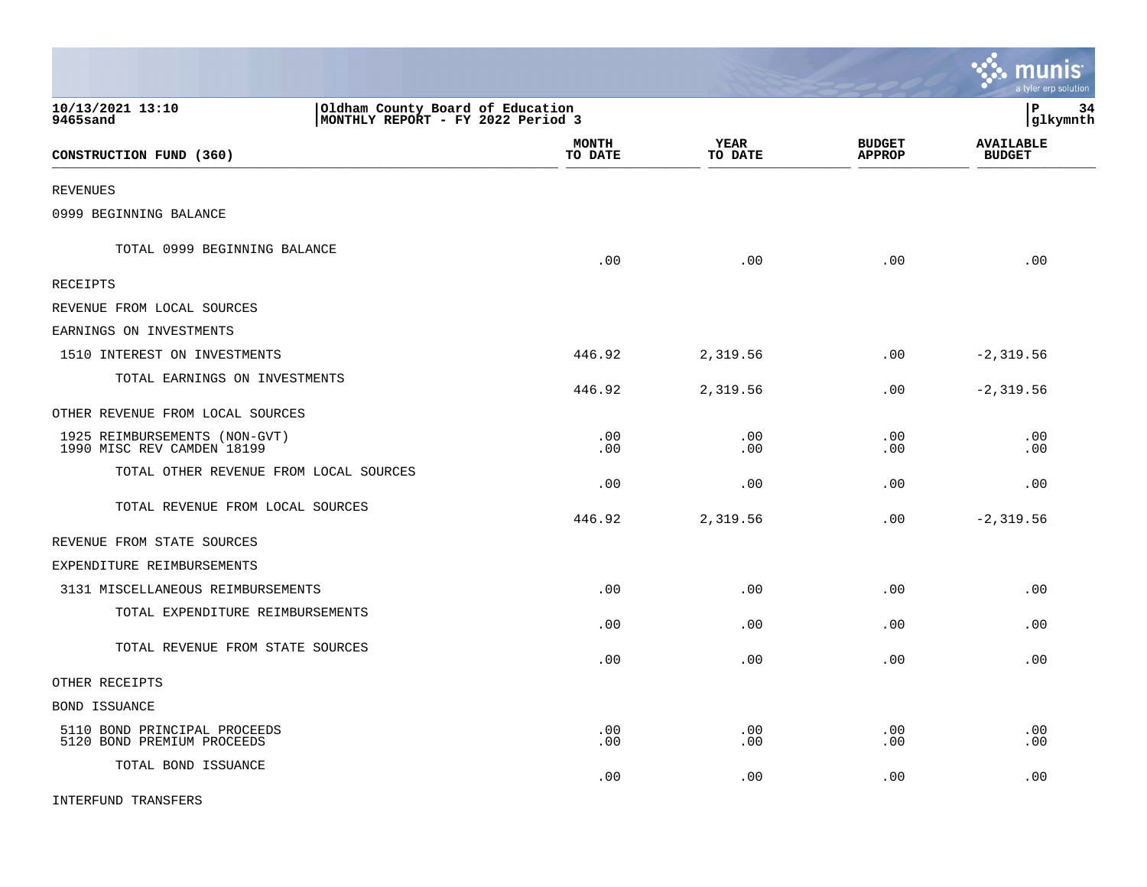|                                                                                                       |                         |                 |                                | munis<br>a tyler erp solution     |
|-------------------------------------------------------------------------------------------------------|-------------------------|-----------------|--------------------------------|-----------------------------------|
| 10/13/2021 13:10<br>Oldham County Board of Education<br>9465sand<br>MONTHLY REPORT - FY 2022 Period 3 |                         |                 |                                | l P<br>34<br> glkymnth            |
| CONSTRUCTION FUND (360)                                                                               | <b>MONTH</b><br>TO DATE | YEAR<br>TO DATE | <b>BUDGET</b><br><b>APPROP</b> | <b>AVAILABLE</b><br><b>BUDGET</b> |
| <b>REVENUES</b>                                                                                       |                         |                 |                                |                                   |
| 0999 BEGINNING BALANCE                                                                                |                         |                 |                                |                                   |
| TOTAL 0999 BEGINNING BALANCE                                                                          | .00                     | .00             | .00                            | .00                               |
| <b>RECEIPTS</b>                                                                                       |                         |                 |                                |                                   |
| REVENUE FROM LOCAL SOURCES                                                                            |                         |                 |                                |                                   |
| EARNINGS ON INVESTMENTS                                                                               |                         |                 |                                |                                   |
| 1510 INTEREST ON INVESTMENTS                                                                          | 446.92                  | 2,319.56        | .00                            | $-2, 319.56$                      |
| TOTAL EARNINGS ON INVESTMENTS                                                                         | 446.92                  | 2,319.56        | $.00 \,$                       | $-2, 319.56$                      |
| OTHER REVENUE FROM LOCAL SOURCES                                                                      |                         |                 |                                |                                   |
| 1925 REIMBURSEMENTS (NON-GVT)<br>1990 MISC REV CAMDEN 18199                                           | .00<br>.00              | .00<br>.00      | .00<br>.00                     | .00<br>.00                        |
| TOTAL OTHER REVENUE FROM LOCAL SOURCES                                                                | .00                     | .00             | .00                            | .00                               |
| TOTAL REVENUE FROM LOCAL SOURCES                                                                      | 446.92                  | 2,319.56        | .00                            | $-2, 319.56$                      |
| REVENUE FROM STATE SOURCES                                                                            |                         |                 |                                |                                   |
| EXPENDITURE REIMBURSEMENTS                                                                            |                         |                 |                                |                                   |
| 3131 MISCELLANEOUS REIMBURSEMENTS                                                                     | .00                     | .00             | .00                            | .00                               |
| TOTAL EXPENDITURE REIMBURSEMENTS                                                                      | .00                     | .00             | .00                            | .00                               |
| TOTAL REVENUE FROM STATE SOURCES                                                                      | .00                     | .00             | .00                            | .00                               |
| OTHER RECEIPTS                                                                                        |                         |                 |                                |                                   |
| <b>BOND ISSUANCE</b>                                                                                  |                         |                 |                                |                                   |
| 5110 BOND PRINCIPAL PROCEEDS<br>5120 BOND PREMIUM PROCEEDS                                            | .00<br>.00              | .00<br>.00      | .00<br>.00                     | .00<br>.00                        |
| TOTAL BOND ISSUANCE                                                                                   | .00                     | .00             | .00                            | .00                               |
| <b>INTERFUND TRANSFERS</b>                                                                            |                         |                 |                                |                                   |

 $\mathcal{L}$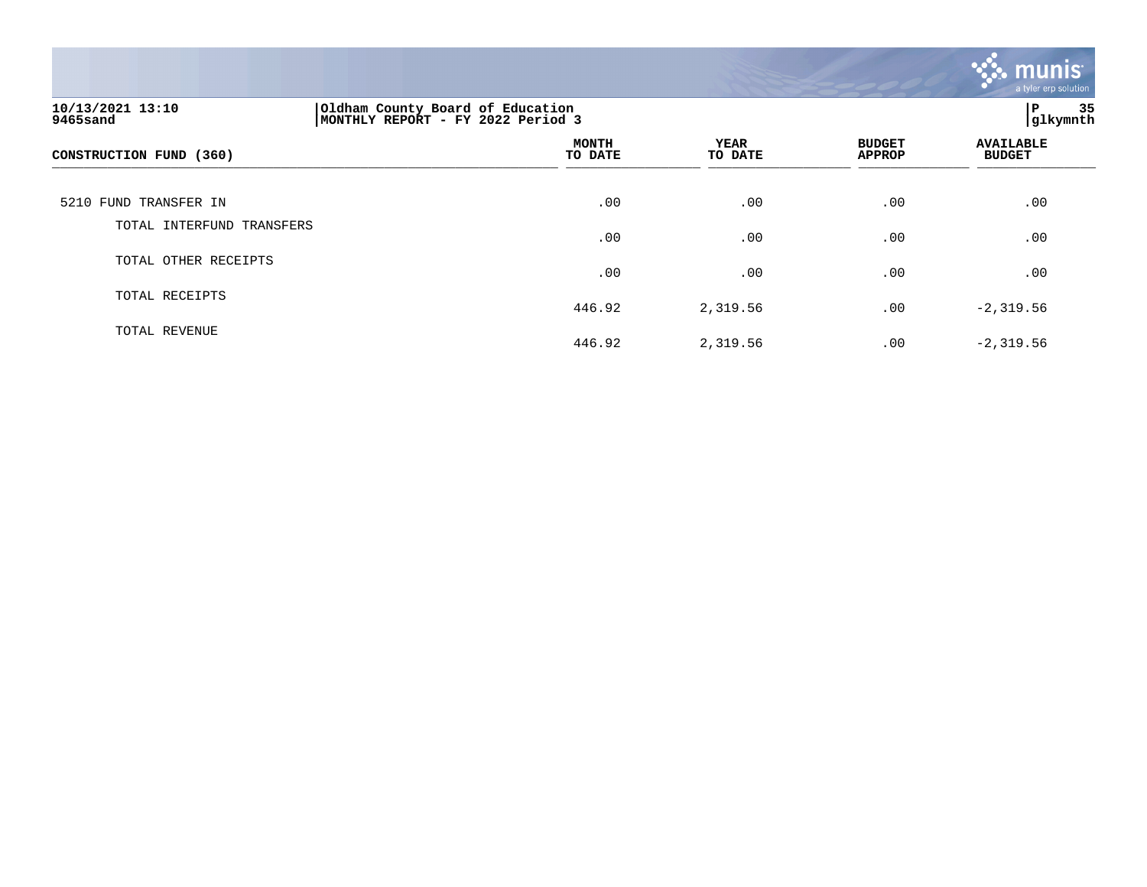

| 10/13/2021 13:10<br>9465sand | Oldham County Board of Education<br>MONTHLY REPORT - FY 2022 Period 3 | 35<br>IΡ<br>glkymnth   |                                |                                   |
|------------------------------|-----------------------------------------------------------------------|------------------------|--------------------------------|-----------------------------------|
| CONSTRUCTION FUND (360)      | <b>MONTH</b><br>TO DATE                                               | <b>YEAR</b><br>TO DATE | <b>BUDGET</b><br><b>APPROP</b> | <b>AVAILABLE</b><br><b>BUDGET</b> |
| 5210 FUND TRANSFER IN        | .00                                                                   | .00                    | .00                            | .00                               |
| TOTAL INTERFUND TRANSFERS    | .00                                                                   | .00                    | .00                            | .00                               |
| TOTAL OTHER RECEIPTS         | .00                                                                   | .00                    | .00                            | .00                               |
| TOTAL RECEIPTS               | 446.92                                                                | 2,319.56               | .00                            | $-2, 319.56$                      |
| TOTAL REVENUE                | 446.92                                                                | 2,319.56               | .00                            | $-2, 319.56$                      |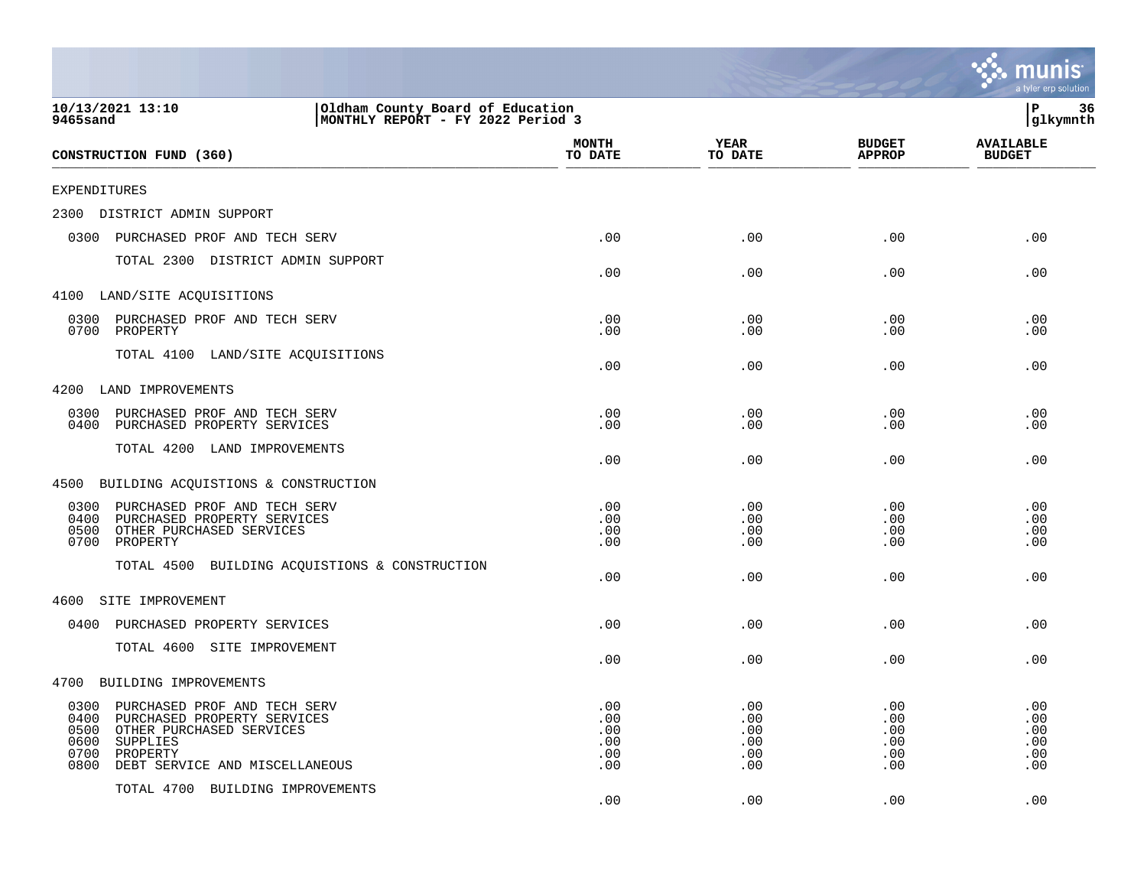|                                                                                                                                                                                                   |                                        |                                        |                                        | mu<br>a tyler erp solution             |
|---------------------------------------------------------------------------------------------------------------------------------------------------------------------------------------------------|----------------------------------------|----------------------------------------|----------------------------------------|----------------------------------------|
| 10/13/2021 13:10<br>Oldham County Board of Education<br>MONTHLY REPORT - FY 2022 Period 3<br>9465sand                                                                                             |                                        |                                        |                                        | ΙP<br>36<br>glkymnth                   |
| CONSTRUCTION FUND (360)                                                                                                                                                                           | <b>MONTH</b><br>TO DATE                | <b>YEAR</b><br>TO DATE                 | <b>BUDGET</b><br><b>APPROP</b>         | <b>AVAILABLE</b><br><b>BUDGET</b>      |
| EXPENDITURES                                                                                                                                                                                      |                                        |                                        |                                        |                                        |
| 2300<br>DISTRICT ADMIN SUPPORT                                                                                                                                                                    |                                        |                                        |                                        |                                        |
| 0300<br>PURCHASED PROF AND TECH SERV                                                                                                                                                              | .00                                    | .00                                    | .00                                    | .00                                    |
| TOTAL 2300 DISTRICT ADMIN SUPPORT                                                                                                                                                                 | .00                                    | .00                                    | .00                                    | .00                                    |
| 4100 LAND/SITE ACQUISITIONS                                                                                                                                                                       |                                        |                                        |                                        |                                        |
| 0300<br>PURCHASED PROF AND TECH SERV<br>0700<br>PROPERTY                                                                                                                                          | .00<br>.00                             | .00<br>.00                             | .00<br>.00                             | .00<br>.00                             |
| TOTAL 4100 LAND/SITE ACQUISITIONS                                                                                                                                                                 | .00                                    | .00                                    | .00                                    | .00                                    |
| 4200<br>LAND IMPROVEMENTS                                                                                                                                                                         |                                        |                                        |                                        |                                        |
| 0300<br>PURCHASED PROF AND TECH SERV<br>0400<br>PURCHASED PROPERTY SERVICES                                                                                                                       | .00<br>.00                             | .00<br>.00                             | .00<br>.00                             | .00<br>.00                             |
| TOTAL 4200 LAND IMPROVEMENTS                                                                                                                                                                      | .00                                    | .00                                    | .00                                    | .00                                    |
| 4500<br>BUILDING ACQUISTIONS & CONSTRUCTION                                                                                                                                                       |                                        |                                        |                                        |                                        |
| 0300<br>PURCHASED PROF AND TECH SERV<br>0400<br>PURCHASED PROPERTY SERVICES<br>0500<br>OTHER PURCHASED SERVICES<br>0700<br>PROPERTY<br>TOTAL 4500<br>BUILDING ACQUISTIONS & CONSTRUCTION          | .00<br>.00<br>.00<br>.00<br>.00        | .00<br>.00<br>.00<br>.00<br>.00        | .00<br>.00<br>.00<br>.00<br>.00        | .00<br>.00<br>.00<br>.00<br>.00        |
| SITE IMPROVEMENT<br>4600                                                                                                                                                                          |                                        |                                        |                                        |                                        |
| 0400<br>PURCHASED PROPERTY SERVICES                                                                                                                                                               | .00                                    | .00                                    | .00                                    | .00                                    |
| TOTAL 4600 SITE IMPROVEMENT                                                                                                                                                                       | .00                                    | .00                                    | .00                                    | .00                                    |
| 4700<br>BUILDING IMPROVEMENTS                                                                                                                                                                     |                                        |                                        |                                        |                                        |
| 0300<br>PURCHASED PROF AND TECH SERV<br>0400<br>PURCHASED PROPERTY SERVICES<br>0500<br>OTHER PURCHASED SERVICES<br>0600<br>SUPPLIES<br>0700<br>PROPERTY<br>0800<br>DEBT SERVICE AND MISCELLANEOUS | .00<br>.00<br>.00<br>.00<br>.00<br>.00 | .00<br>.00<br>.00<br>.00<br>.00<br>.00 | .00<br>.00<br>.00<br>.00<br>.00<br>.00 | .00<br>.00<br>.00<br>.00<br>.00<br>.00 |
| TOTAL 4700 BUILDING IMPROVEMENTS                                                                                                                                                                  | .00                                    | .00                                    | .00                                    | .00                                    |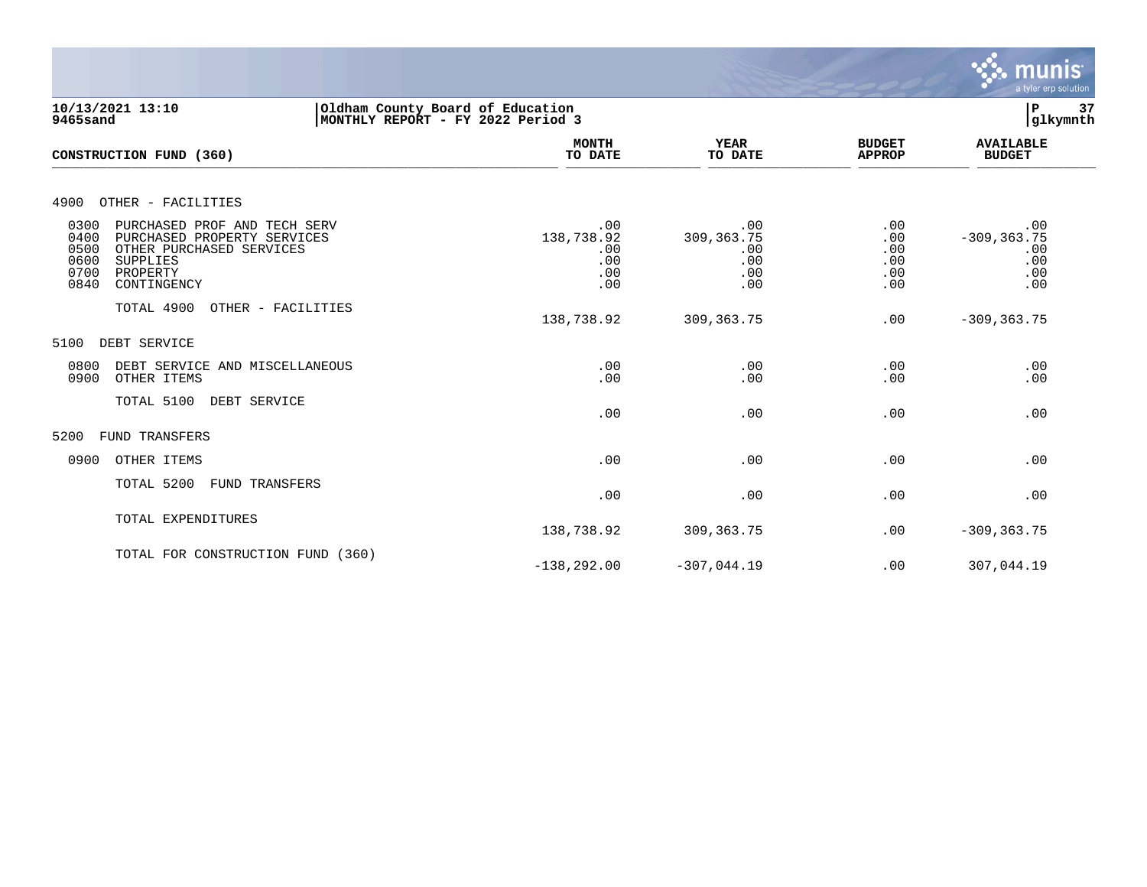

**10/13/2021 13:10 |Oldham County Board of Education |P 37 9465sand |MONTHLY REPORT - FY 2022 Period 3 |glkymnth MONTH AVAILABLE YEAR BUDGET** AVAILABLE **CONSTRUCTION FUND (360) TO DATE TO DATE APPROP BUDGET**   $\overline{10 \text{ MHz}}$  and  $\overline{10 \text{ MHz}}$  and  $\overline{10 \text{ MHz}}$  and  $\overline{10 \text{ MHz}}$  and  $\overline{10 \text{ MHz}}$  and  $\overline{10 \text{ MHz}}$  and  $\overline{10 \text{ MHz}}$  and  $\overline{10 \text{ MHz}}$  and  $\overline{10 \text{ MHz}}$  and  $\overline{10 \text{ MHz}}$  and  $\overline{10 \text{ MHz}}$  and  $\overline{10 \text{ MHz}}$  and  $\overline{$ 4900 OTHER - FACILITIES 0300 PURCHASED PROF AND TECH SERV .00 .00 .00 .00 0400 PURCHASED PROPERTY SERVICES 138,738.92 309,363.75 .00 -309,363.75 .00 .00 .00 .00 .00 .00 .00 .00 .00 .00 .00 .00 .00 .00 .00 0500 OTHER PURCHASED SERVICES .00 .00 .00 .00 0600 SUPPLIES .00 .00 .00 .00 0700 PROPERTY .00 .00 .00 .00 0840 CONTINGENCY TOTAL 4900 OTHER - FACILITIES 138,738.92 309,363.75 .00 -309,363.75 5100 DEBT SERVICE 0800 DEBT SERVICE AND MISCELLANEOUS .00 .00 .00 .00 0900 OTHER ITEMS TOTAL 5100 DEBT SERVICE  $.00$  .  $.00$  .  $.00$  .  $.00$  .  $.00$  .  $.00$  .  $.00$  .  $.00$  .  $.00$  .  $.00$  .  $.00$  .  $.00$  .  $.00$  .  $.00$  .  $.00$  .  $.00$  .  $.00$  .  $.00$  .  $.00$  .  $.00$  .  $.00$  .  $.00$  .  $.00$  .  $.00$  .  $.00$  .  $.00$  .  $.00$  .  $.00$ 5200 FUND TRANSFERS 0900 OTHER ITEMS .00 .00 .00 .00 TOTAL 5200 FUND TRANSFERS  $.00$  .  $.00$  .  $.00$  .  $.00$  .  $.00$  .  $.00$  .  $.00$  .  $.00$  .  $.00$  .  $.00$  .  $.00$  .  $.00$  .  $.00$  .  $.00$  .  $.00$  .  $.00$  .  $.00$  .  $.00$  .  $.00$  .  $.00$  .  $.00$  .  $.00$  .  $.00$  .  $.00$  .  $.00$  .  $.00$  .  $.00$  .  $.00$ TOTAL EXPENDITURES 138,738.92 309,363.75 .00 -309,363.75 TOTAL FOR CONSTRUCTION FUND (360) -138,292.00 -307,044.19 .00 307,044.19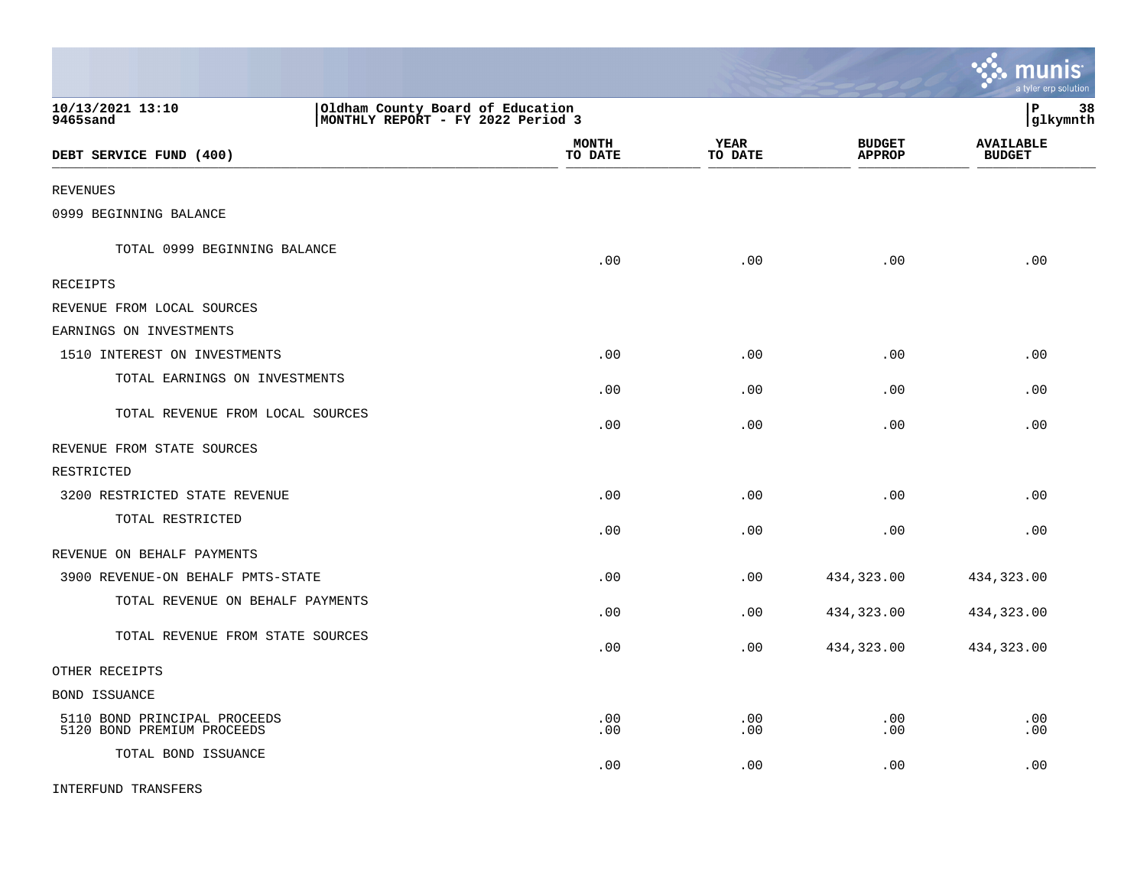|                                                            |                                                                       |                         |                        |                                | <u>munis</u><br>a tyler erp solution |
|------------------------------------------------------------|-----------------------------------------------------------------------|-------------------------|------------------------|--------------------------------|--------------------------------------|
| 10/13/2021 13:10<br>9465sand                               | Oldham County Board of Education<br>MONTHLY REPORT - FY 2022 Period 3 |                         |                        |                                | l P<br>38<br> glkymnth               |
| DEBT SERVICE FUND (400)                                    |                                                                       | <b>MONTH</b><br>TO DATE | <b>YEAR</b><br>TO DATE | <b>BUDGET</b><br><b>APPROP</b> | <b>AVAILABLE</b><br><b>BUDGET</b>    |
| <b>REVENUES</b>                                            |                                                                       |                         |                        |                                |                                      |
| 0999 BEGINNING BALANCE                                     |                                                                       |                         |                        |                                |                                      |
| TOTAL 0999 BEGINNING BALANCE                               |                                                                       | .00                     | .00                    | .00                            | .00                                  |
| RECEIPTS                                                   |                                                                       |                         |                        |                                |                                      |
| REVENUE FROM LOCAL SOURCES                                 |                                                                       |                         |                        |                                |                                      |
| EARNINGS ON INVESTMENTS                                    |                                                                       |                         |                        |                                |                                      |
| 1510 INTEREST ON INVESTMENTS                               |                                                                       | .00                     | .00                    | .00                            | .00                                  |
| TOTAL EARNINGS ON INVESTMENTS                              |                                                                       | .00                     | .00                    | .00                            | .00                                  |
| TOTAL REVENUE FROM LOCAL SOURCES                           |                                                                       | .00                     | .00                    | .00                            | .00                                  |
| REVENUE FROM STATE SOURCES                                 |                                                                       |                         |                        |                                |                                      |
| RESTRICTED                                                 |                                                                       |                         |                        |                                |                                      |
| 3200 RESTRICTED STATE REVENUE                              |                                                                       | .00                     | .00                    | .00                            | .00                                  |
| TOTAL RESTRICTED                                           |                                                                       | .00                     | .00                    | .00                            | .00                                  |
| REVENUE ON BEHALF PAYMENTS                                 |                                                                       |                         |                        |                                |                                      |
| 3900 REVENUE-ON BEHALF PMTS-STATE                          |                                                                       | .00                     | .00                    | 434,323.00                     | 434,323.00                           |
| TOTAL REVENUE ON BEHALF PAYMENTS                           |                                                                       | .00                     | .00                    | 434,323.00                     | 434,323.00                           |
| TOTAL REVENUE FROM STATE SOURCES                           |                                                                       | .00                     | .00                    | 434,323.00                     | 434,323.00                           |
| OTHER RECEIPTS                                             |                                                                       |                         |                        |                                |                                      |
| BOND ISSUANCE                                              |                                                                       |                         |                        |                                |                                      |
| 5110 BOND PRINCIPAL PROCEEDS<br>5120 BOND PREMIUM PROCEEDS |                                                                       | .00<br>.00              | .00<br>.00             | .00<br>.00                     | .00<br>.00                           |
| TOTAL BOND ISSUANCE                                        |                                                                       | .00                     | .00                    | .00                            | .00                                  |
| <b>INTERFUND TRANSFERS</b>                                 |                                                                       |                         |                        |                                |                                      |

 $\mathcal{L}$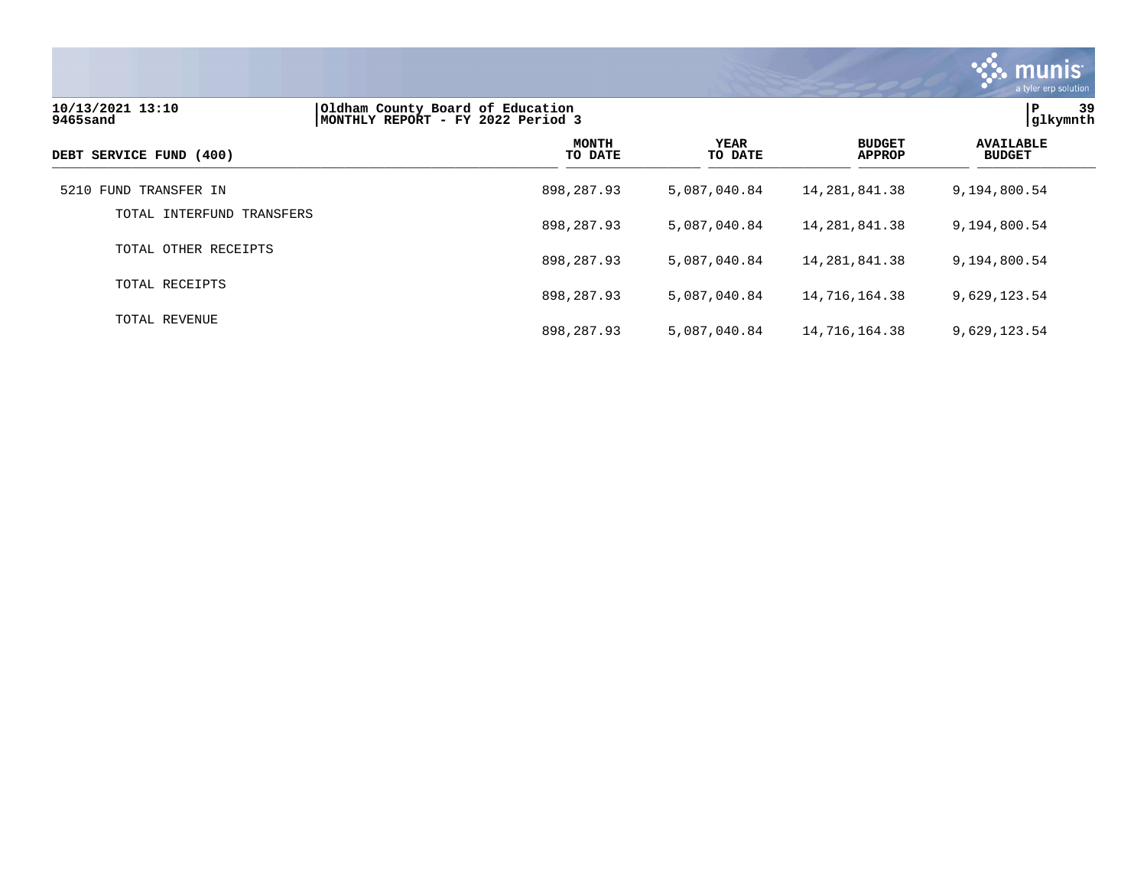

| 10/13/2021 13:10<br>9465sand | Oldham County Board of Education<br>MONTHLY REPORT - FY 2022 Period 3 |                         |                        |                                |                                   |
|------------------------------|-----------------------------------------------------------------------|-------------------------|------------------------|--------------------------------|-----------------------------------|
| DEBT SERVICE FUND (400)      |                                                                       | <b>MONTH</b><br>TO DATE | <b>YEAR</b><br>TO DATE | <b>BUDGET</b><br><b>APPROP</b> | <b>AVAILABLE</b><br><b>BUDGET</b> |
| 5210 FUND TRANSFER IN        | 898,287.93                                                            |                         | 5,087,040.84           | 14, 281, 841. 38               | 9,194,800.54                      |
| TOTAL INTERFUND TRANSFERS    | 898,287.93                                                            |                         | 5,087,040.84           | 14, 281, 841. 38               | 9,194,800.54                      |
| TOTAL OTHER RECEIPTS         | 898,287.93                                                            |                         | 5,087,040.84           | 14, 281, 841. 38               | 9,194,800.54                      |
| TOTAL RECEIPTS               | 898,287.93                                                            |                         | 5,087,040.84           | 14,716,164.38                  | 9,629,123.54                      |
| TOTAL REVENUE                | 898,287.93                                                            |                         | 5,087,040.84           | 14,716,164.38                  | 9,629,123.54                      |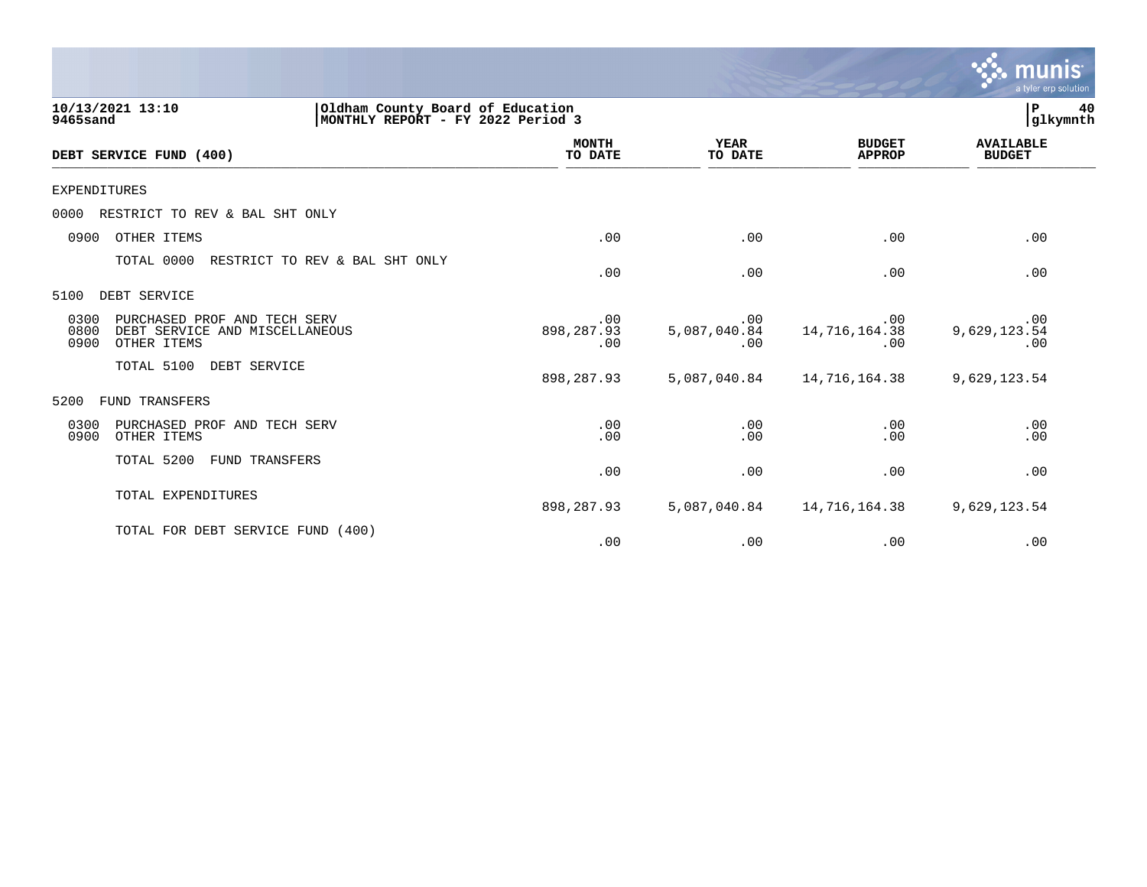|                                                                                                       |                          |                            |                                | munis<br>a tyler erp solution     |
|-------------------------------------------------------------------------------------------------------|--------------------------|----------------------------|--------------------------------|-----------------------------------|
| 10/13/2021 13:10<br>Oldham County Board of Education<br>9465sand<br>MONTHLY REPORT - FY 2022 Period 3 |                          |                            |                                | 40<br>P<br>glkymnth               |
| DEBT SERVICE FUND (400)                                                                               | <b>MONTH</b><br>TO DATE  | <b>YEAR</b><br>TO DATE     | <b>BUDGET</b><br><b>APPROP</b> | <b>AVAILABLE</b><br><b>BUDGET</b> |
| <b>EXPENDITURES</b>                                                                                   |                          |                            |                                |                                   |
| 0000<br>RESTRICT TO REV & BAL SHT ONLY                                                                |                          |                            |                                |                                   |
| OTHER ITEMS<br>0900                                                                                   | .00                      | .00                        | .00                            | .00                               |
| TOTAL 0000<br>RESTRICT TO REV & BAL SHT ONLY                                                          | .00                      | .00                        | .00                            | .00                               |
| DEBT SERVICE<br>5100                                                                                  |                          |                            |                                |                                   |
| 0300<br>PURCHASED PROF AND TECH SERV<br>0800<br>DEBT SERVICE AND MISCELLANEOUS<br>0900<br>OTHER ITEMS | .00<br>898,287.93<br>.00 | .00<br>5,087,040.84<br>.00 | .00<br>14,716,164.38<br>.00    | .00<br>9,629,123.54<br>.00        |
| TOTAL 5100<br>DEBT SERVICE                                                                            | 898,287.93               | 5,087,040.84               | 14,716,164.38                  | 9,629,123.54                      |
| FUND TRANSFERS<br>5200                                                                                |                          |                            |                                |                                   |
| 0300<br>PURCHASED PROF AND TECH SERV<br>0900<br>OTHER ITEMS                                           | .00<br>.00               | .00<br>.00                 | .00<br>.00                     | .00<br>.00                        |
| TOTAL 5200<br><b>FUND TRANSFERS</b>                                                                   | .00                      | .00                        | .00                            | .00                               |
| TOTAL EXPENDITURES                                                                                    | 898,287.93               | 5,087,040.84               | 14,716,164.38                  | 9,629,123.54                      |
| TOTAL FOR DEBT SERVICE FUND (400)                                                                     | .00                      | .00                        | .00                            | .00                               |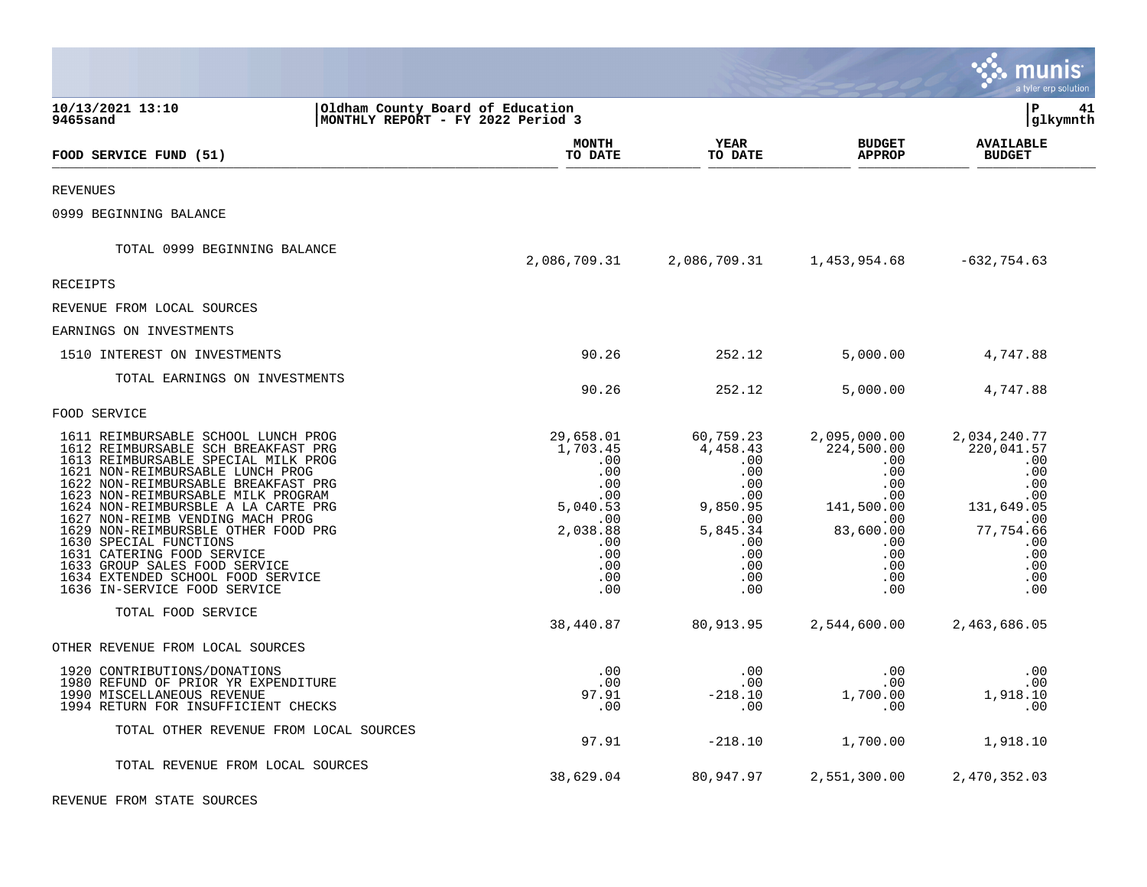|                                                                                                                                                                                                                                                                                                                                                                                                                                                                                                                    |                                                                                                                          |                                                                                                       |                                                                                                                                          | a tyler erp solution                                                                                                              |
|--------------------------------------------------------------------------------------------------------------------------------------------------------------------------------------------------------------------------------------------------------------------------------------------------------------------------------------------------------------------------------------------------------------------------------------------------------------------------------------------------------------------|--------------------------------------------------------------------------------------------------------------------------|-------------------------------------------------------------------------------------------------------|------------------------------------------------------------------------------------------------------------------------------------------|-----------------------------------------------------------------------------------------------------------------------------------|
| 10/13/2021 13:10<br>9465sand                                                                                                                                                                                                                                                                                                                                                                                                                                                                                       | Oldham County Board of Education<br>MONTHLY REPORT - FY 2022 Period 3                                                    |                                                                                                       |                                                                                                                                          | lР<br>41<br> glkymnth                                                                                                             |
| FOOD SERVICE FUND (51)                                                                                                                                                                                                                                                                                                                                                                                                                                                                                             | <b>MONTH</b><br>TO DATE                                                                                                  | YEAR<br>TO DATE                                                                                       | <b>BUDGET</b><br><b>APPROP</b>                                                                                                           | <b>AVAILABLE</b><br><b>BUDGET</b>                                                                                                 |
| <b>REVENUES</b>                                                                                                                                                                                                                                                                                                                                                                                                                                                                                                    |                                                                                                                          |                                                                                                       |                                                                                                                                          |                                                                                                                                   |
| 0999 BEGINNING BALANCE                                                                                                                                                                                                                                                                                                                                                                                                                                                                                             |                                                                                                                          |                                                                                                       |                                                                                                                                          |                                                                                                                                   |
| TOTAL 0999 BEGINNING BALANCE                                                                                                                                                                                                                                                                                                                                                                                                                                                                                       |                                                                                                                          | 2,086,709.31 2,086,709.31 1,453,954.68 -632,754.63                                                    |                                                                                                                                          |                                                                                                                                   |
| <b>RECEIPTS</b>                                                                                                                                                                                                                                                                                                                                                                                                                                                                                                    |                                                                                                                          |                                                                                                       |                                                                                                                                          |                                                                                                                                   |
| REVENUE FROM LOCAL SOURCES                                                                                                                                                                                                                                                                                                                                                                                                                                                                                         |                                                                                                                          |                                                                                                       |                                                                                                                                          |                                                                                                                                   |
| EARNINGS ON INVESTMENTS                                                                                                                                                                                                                                                                                                                                                                                                                                                                                            |                                                                                                                          |                                                                                                       |                                                                                                                                          |                                                                                                                                   |
| 1510 INTEREST ON INVESTMENTS                                                                                                                                                                                                                                                                                                                                                                                                                                                                                       | 90.26                                                                                                                    | 252.12                                                                                                | 5,000.00                                                                                                                                 | 4,747.88                                                                                                                          |
| TOTAL EARNINGS ON INVESTMENTS                                                                                                                                                                                                                                                                                                                                                                                                                                                                                      | 90.26                                                                                                                    | 252.12                                                                                                | 5,000.00                                                                                                                                 | 4,747.88                                                                                                                          |
| FOOD SERVICE                                                                                                                                                                                                                                                                                                                                                                                                                                                                                                       |                                                                                                                          |                                                                                                       |                                                                                                                                          |                                                                                                                                   |
| 1611 REIMBURSABLE SCHOOL LUNCH PROG<br>1612 REIMBURSABLE SCH BREAKFAST PRG<br>1613 REIMBURSABLE SPECIAL MILK PROG<br>1621 NON-REIMBURSABLE LUNCH PROG<br>1622 NON-REIMBURSABLE BREAKFAST PRG<br>1623 NON-REIMBURSABLE MILK PROGRAM<br>1624 NON-REIMBURSBLE A LA CARTE PRG<br>1627 NON-REIMB VENDING MACH PROG<br>1629 NON-REIMBURSBLE OTHER FOOD PRG<br>1630 SPECIAL FUNCTIONS<br>1631 CATERING FOOD SERVICE<br>1633 GROUP SALES FOOD SERVICE<br>1634 EXTENDED SCHOOL FOOD SERVICE<br>1636 IN-SERVICE FOOD SERVICE | 29,658.01<br>1,703.45<br>$.00 \,$<br>.00<br>.00<br>.00<br>5,040.53<br>.00<br>2,038.88<br>.00<br>.00<br>.00<br>.00<br>.00 | 60,759.23<br>4,458.43<br>.00<br>.00<br>.00<br>9,850.95<br>5,845.34<br>.00<br>.00<br>.00<br>.00<br>.00 | 2,095,000.00<br>224,500.00<br>$.00 \ \rm$<br>.00<br>.00<br>$.00 \,$<br>141,500.00<br>.00<br>83,600.00<br>.00<br>.00<br>.00<br>.00<br>.00 | 2,034,240.77<br>220,041.57<br>.00<br>.00<br>.00<br>.00<br>131,649.05<br>$\sim 00$<br>77,754.66<br>.00<br>.00<br>.00<br>.00<br>.00 |
| TOTAL FOOD SERVICE                                                                                                                                                                                                                                                                                                                                                                                                                                                                                                 | 38,440.87                                                                                                                | 80,913.95                                                                                             | 2,544,600.00                                                                                                                             | 2,463,686.05                                                                                                                      |
| OTHER REVENUE FROM LOCAL SOURCES                                                                                                                                                                                                                                                                                                                                                                                                                                                                                   |                                                                                                                          |                                                                                                       |                                                                                                                                          |                                                                                                                                   |
| 1920 CONTRIBUTIONS/DONATIONS<br>1980 REFUND OF PRIOR YR EXPENDITURE<br>1990 MISCELLANEOUS REVENUE<br>1994 RETURN FOR INSUFFICIENT CHECKS                                                                                                                                                                                                                                                                                                                                                                           | .00<br>.00<br>97.91<br>.00                                                                                               | $.00\,$<br>.00<br>$-218.10$<br>.00                                                                    | $.00 \,$<br>.00<br>1,700.00<br>.00                                                                                                       | .00<br>.00<br>1,918.10<br>.00                                                                                                     |
| TOTAL OTHER REVENUE FROM LOCAL SOURCES                                                                                                                                                                                                                                                                                                                                                                                                                                                                             | 97.91                                                                                                                    | $-218.10$                                                                                             | 1,700.00                                                                                                                                 | 1,918.10                                                                                                                          |
| TOTAL REVENUE FROM LOCAL SOURCES                                                                                                                                                                                                                                                                                                                                                                                                                                                                                   | 38,629.04                                                                                                                | 80,947.97                                                                                             | 2,551,300.00                                                                                                                             | 2,470,352.03                                                                                                                      |
| REVENUE FROM STATE SOURCES                                                                                                                                                                                                                                                                                                                                                                                                                                                                                         |                                                                                                                          |                                                                                                       |                                                                                                                                          |                                                                                                                                   |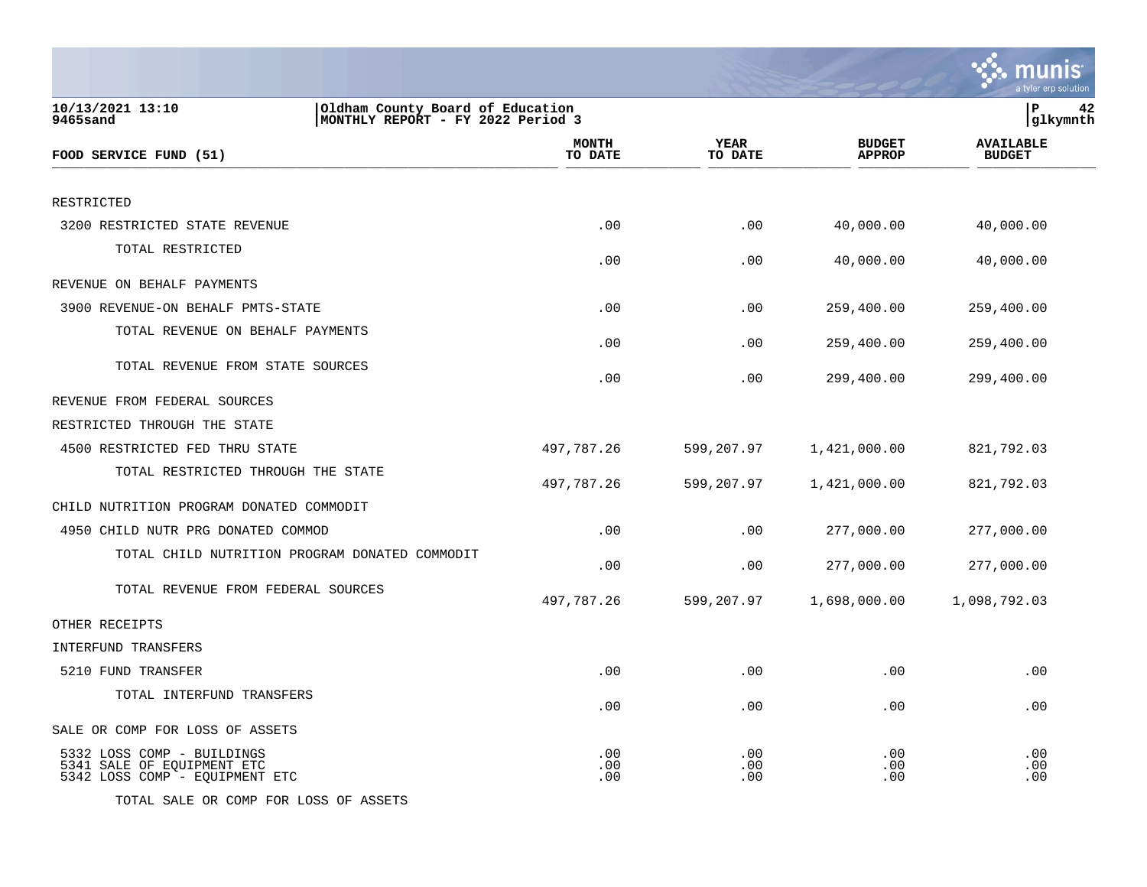|                                                                                                       |                         |                        |                                | a tyler erp solution              |
|-------------------------------------------------------------------------------------------------------|-------------------------|------------------------|--------------------------------|-----------------------------------|
| 10/13/2021 13:10<br>Oldham County Board of Education<br>9465sand<br>MONTHLY REPORT - FY 2022 Period 3 |                         |                        |                                | P<br>42<br>glkymnth               |
| FOOD SERVICE FUND (51)                                                                                | <b>MONTH</b><br>TO DATE | <b>YEAR</b><br>TO DATE | <b>BUDGET</b><br><b>APPROP</b> | <b>AVAILABLE</b><br><b>BUDGET</b> |
| RESTRICTED                                                                                            |                         |                        |                                |                                   |
| 3200 RESTRICTED STATE REVENUE                                                                         | .00                     | .00                    | 40,000.00                      | 40,000.00                         |
| TOTAL RESTRICTED                                                                                      | .00                     | .00                    | 40,000.00                      | 40,000.00                         |
| REVENUE ON BEHALF PAYMENTS                                                                            |                         |                        |                                |                                   |
| 3900 REVENUE-ON BEHALF PMTS-STATE                                                                     | .00                     | .00                    | 259,400.00                     | 259,400.00                        |
| TOTAL REVENUE ON BEHALF PAYMENTS                                                                      | .00                     | .00                    | 259,400.00                     | 259,400.00                        |
| TOTAL REVENUE FROM STATE SOURCES                                                                      | .00                     | .00                    | 299,400.00                     | 299,400.00                        |
| REVENUE FROM FEDERAL SOURCES                                                                          |                         |                        |                                |                                   |
| RESTRICTED THROUGH THE STATE                                                                          |                         |                        |                                |                                   |
| 4500 RESTRICTED FED THRU STATE                                                                        | 497,787.26              | 599,207.97             | 1,421,000.00                   | 821,792.03                        |
| TOTAL RESTRICTED THROUGH THE STATE                                                                    | 497,787.26              | 599,207.97             | 1,421,000.00                   | 821,792.03                        |
| CHILD NUTRITION PROGRAM DONATED COMMODIT                                                              |                         |                        |                                |                                   |
| 4950 CHILD NUTR PRG DONATED COMMOD                                                                    | .00                     | .00                    | 277,000.00                     | 277,000.00                        |
| TOTAL CHILD NUTRITION PROGRAM DONATED COMMODIT                                                        | .00                     | .00                    | 277,000.00                     | 277,000.00                        |
| TOTAL REVENUE FROM FEDERAL SOURCES                                                                    | 497,787.26              | 599,207.97             | 1,698,000.00                   | 1,098,792.03                      |
| OTHER RECEIPTS                                                                                        |                         |                        |                                |                                   |
| INTERFUND TRANSFERS                                                                                   |                         |                        |                                |                                   |
| 5210 FUND TRANSFER                                                                                    | .00                     | .00                    | .00                            | .00                               |
| TOTAL INTERFUND TRANSFERS                                                                             | .00                     | .00                    | .00                            | .00                               |
| SALE OR COMP FOR LOSS OF ASSETS                                                                       |                         |                        |                                |                                   |
| 5332 LOSS COMP - BUILDINGS<br>5341 SALE OF EQUIPMENT ETC<br>5342 LOSS COMP - EQUIPMENT ETC            | .00<br>.00<br>.00       | .00<br>.00<br>.00      | $.00 \,$<br>.00.<br>.00        | .00<br>.00<br>.00                 |
| TOTAL SALE OR COMP FOR LOSS OF ASSETS                                                                 |                         |                        |                                |                                   |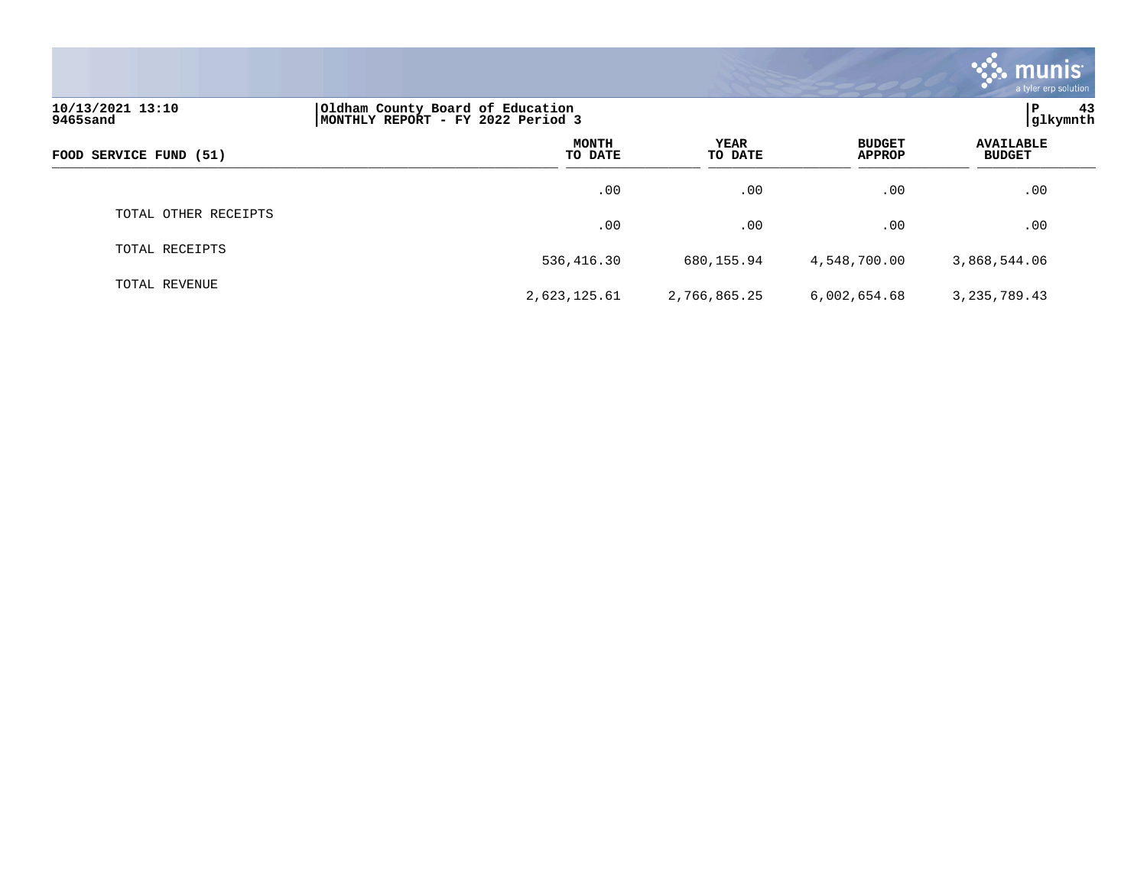|                              |                                                                       |                 |                                | <b>munis</b><br>a tyler erp solution |
|------------------------------|-----------------------------------------------------------------------|-----------------|--------------------------------|--------------------------------------|
| 10/13/2021 13:10<br>9465sand | Oldham County Board of Education<br>MONTHLY REPORT - FY 2022 Period 3 |                 |                                | 43<br>ΙP<br>glkymnth                 |
| FOOD SERVICE FUND (51)       | <b>MONTH</b><br>TO DATE                                               | YEAR<br>TO DATE | <b>BUDGET</b><br><b>APPROP</b> | <b>AVAILABLE</b><br><b>BUDGET</b>    |
|                              | $.00 \,$                                                              | .00             | .00                            | .00                                  |
| TOTAL OTHER RECEIPTS         | .00                                                                   | .00             | .00                            | .00                                  |
| TOTAL RECEIPTS               | 536,416.30                                                            | 680,155.94      | 4,548,700.00                   | 3,868,544.06                         |
| TOTAL REVENUE                | 2,623,125.61                                                          | 2,766,865.25    | 6,002,654.68                   | 3, 235, 789.43                       |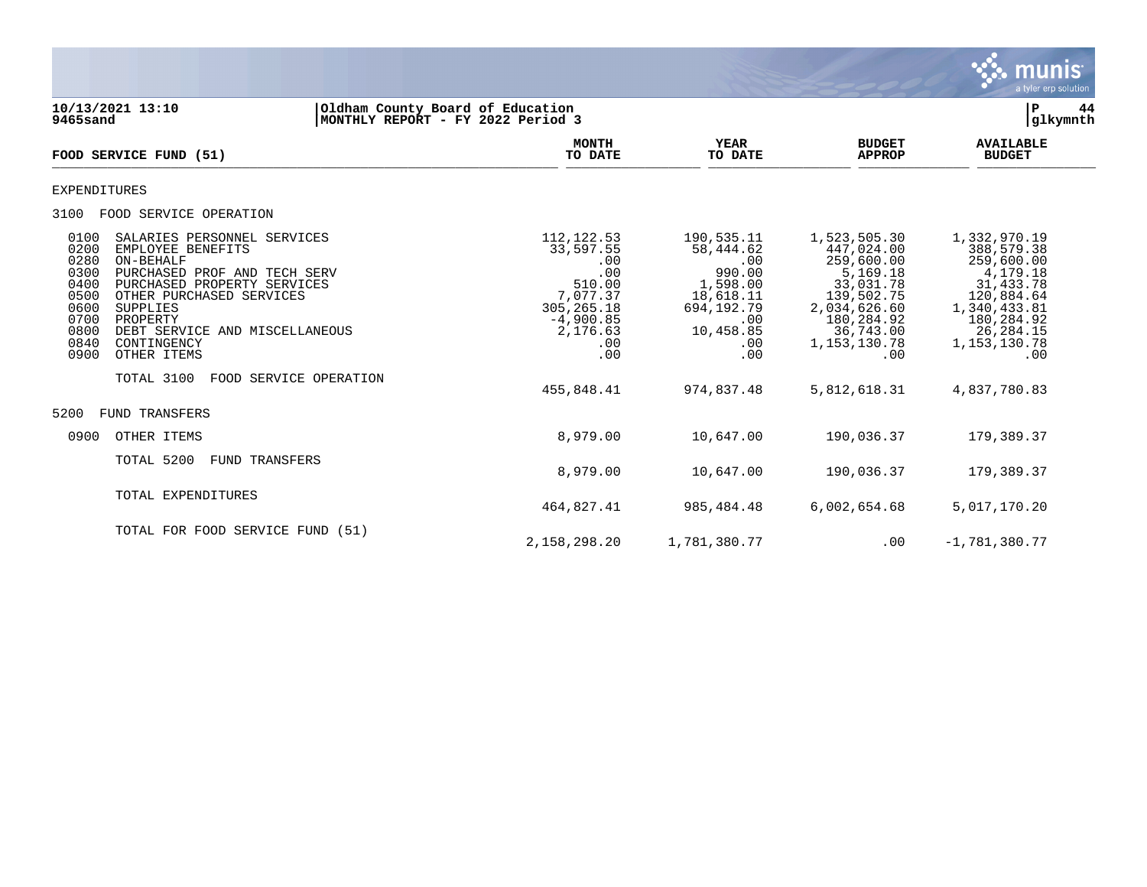

**10/13/2021 13:10 |Oldham County Board of Education |P 44 9465sand |MONTHLY REPORT - FY 2022 Period 3 |glkymnth MONTH AVAILABLE YEAR BUDGET** AVAILABLE **FOOD SERVICE FUND (51) TO DATE TO DATE APPROP BUDGET**   $\overline{10 \text{ MHz}}$  and  $\overline{10 \text{ MHz}}$  is the set of  $\overline{10 \text{ MHz}}$  and  $\overline{10 \text{ MHz}}$  and  $\overline{10 \text{ MHz}}$  and  $\overline{10 \text{ MHz}}$  and  $\overline{10 \text{ MHz}}$  and  $\overline{10 \text{ MHz}}$  and  $\overline{10 \text{ MHz}}$  and  $\overline{10 \text{ MHz}}$  and  $\overline{10 \text{ MHz}}$  and  $\overline{10 \text{ MHz}}$ EXPENDITURES 3100 FOOD SERVICE OPERATION 0100 SALARIES PERSONNEL SERVICES 112,122.53 190,535.11 1,523,505.30 1,332,970.19 1,332,970.19 33,597.55 58,444.62 0200 EMPLOYEE BENEFITS 33,597.55 58,444.62 447,024.00 388,579.38 0280 ON-BEHALF .00 .00 259,600.00 259,600.00 0300 PURCHASED PROF AND TECH SERV .00 990.00 5,169.18 4,179.18 0400 PURCHASED PROPERTY SERVICES 510.00 1,598.00 33,031.78 31,433.78 0500 OTHER PURCHASED SERVICES (120,884.64) 7,077.37 18,618.11 139,502.75 120,884.64<br>1,340,433.81 0600 SUPPLIES (1,340,433.81 0600 05 0600 SUPPLIES 305,265.18 694,192.79 2,034,626.60 1,340,433.81 0700 PROPERTY -4,900.85 .00 180,284.92 180,284.92 0700 PROPERTY 180,284.92 (180,284.92 OPDERTY<br>0800 DEBT SERVICE AND MISCELLANEOUS 2000 2,176.63 10,458.85 36,743.00 26,284.15<br>0840 CONTINGENCY 1,153,130.78 1,153,130.78 1,153,130.78 0840 CONTINGENCY .00 .00 1,153,130.78 1,153,130.78 0900 OTHER ITEMS .00 .00 .00 .00 TOTAL 3100 FOOD SERVICE OPERATION 455,848.41 974,837.48 5,812,618.31 4,837,780.83 5200 FUND TRANSFERS 0900 OTHER ITEMS 8,979.00 10,647.00 190,036.37 179,389.37 TOTAL 5200 FUND TRANSFERS 8,979.00 10,647.00 190,036.37 179,389.37 TOTAL EXPENDITURES 464,827.41 985,484.48 6,002,654.68 5,017,170.20 TOTAL FOR FOOD SERVICE FUND (51)

2,158,298.20 1,781,380.77 .00 -1,781,380.77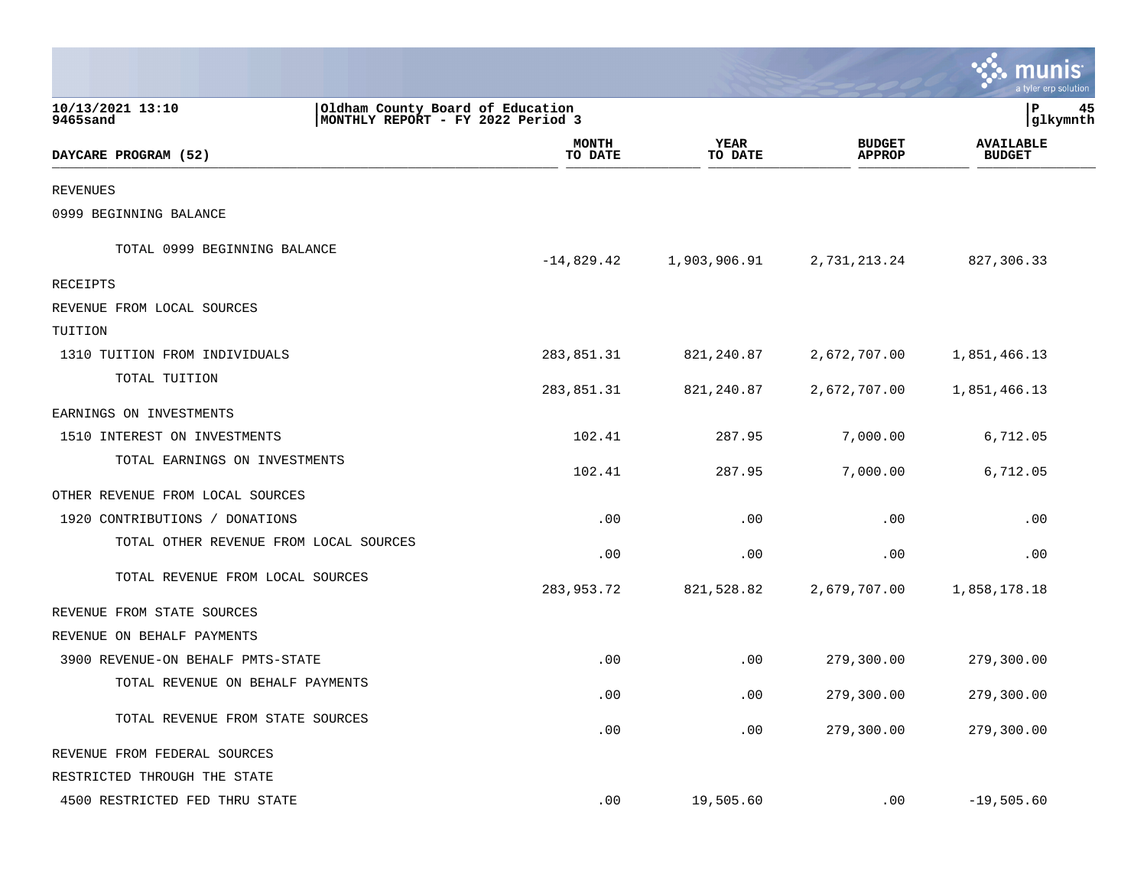|                                        |                                                                        |                  |                        |                                | a tyler erp solution              |    |
|----------------------------------------|------------------------------------------------------------------------|------------------|------------------------|--------------------------------|-----------------------------------|----|
| 10/13/2021 13:10<br>9465sand           | Oldham County Board of Education<br> MONTHLY REPORT - FY 2022 Period 3 |                  |                        |                                | l P<br> glkymnth                  | 45 |
| DAYCARE PROGRAM (52)                   |                                                                        | MONTH<br>TO DATE | <b>YEAR</b><br>TO DATE | <b>BUDGET</b><br><b>APPROP</b> | <b>AVAILABLE</b><br><b>BUDGET</b> |    |
| <b>REVENUES</b>                        |                                                                        |                  |                        |                                |                                   |    |
| 0999 BEGINNING BALANCE                 |                                                                        |                  |                        |                                |                                   |    |
| TOTAL 0999 BEGINNING BALANCE           |                                                                        | $-14,829.42$     | 1,903,906.91           | 2,731,213.24                   | 827,306.33                        |    |
| RECEIPTS                               |                                                                        |                  |                        |                                |                                   |    |
| REVENUE FROM LOCAL SOURCES             |                                                                        |                  |                        |                                |                                   |    |
| TUITION                                |                                                                        |                  |                        |                                |                                   |    |
| 1310 TUITION FROM INDIVIDUALS          |                                                                        | 283,851.31       | 821,240.87             | 2,672,707.00                   | 1,851,466.13                      |    |
| TOTAL TUITION                          |                                                                        | 283,851.31       | 821,240.87             | 2,672,707.00                   | 1,851,466.13                      |    |
| EARNINGS ON INVESTMENTS                |                                                                        |                  |                        |                                |                                   |    |
| 1510 INTEREST ON INVESTMENTS           |                                                                        | 102.41           | 287.95                 | 7,000.00                       | 6,712.05                          |    |
| TOTAL EARNINGS ON INVESTMENTS          |                                                                        | 102.41           | 287.95                 | 7,000.00                       | 6,712.05                          |    |
| OTHER REVENUE FROM LOCAL SOURCES       |                                                                        |                  |                        |                                |                                   |    |
| 1920 CONTRIBUTIONS / DONATIONS         |                                                                        | .00              | .00                    | .00                            | .00                               |    |
| TOTAL OTHER REVENUE FROM LOCAL SOURCES |                                                                        | .00              | .00                    | .00                            | .00                               |    |
| TOTAL REVENUE FROM LOCAL SOURCES       |                                                                        | 283,953.72       | 821,528.82             | 2,679,707.00                   | 1,858,178.18                      |    |
| REVENUE FROM STATE SOURCES             |                                                                        |                  |                        |                                |                                   |    |
| REVENUE ON BEHALF PAYMENTS             |                                                                        |                  |                        |                                |                                   |    |
| 3900 REVENUE-ON BEHALF PMTS-STATE      |                                                                        | .00              | .00                    | 279,300.00                     | 279,300.00                        |    |
| TOTAL REVENUE ON BEHALF PAYMENTS       |                                                                        | .00              | .00                    | 279,300.00                     | 279,300.00                        |    |
| TOTAL REVENUE FROM STATE SOURCES       |                                                                        | .00              | .00                    | 279,300.00                     | 279,300.00                        |    |
| REVENUE FROM FEDERAL SOURCES           |                                                                        |                  |                        |                                |                                   |    |
| RESTRICTED THROUGH THE STATE           |                                                                        |                  |                        |                                |                                   |    |
| 4500 RESTRICTED FED THRU STATE         |                                                                        | .00              | 19,505.60              | .00                            | $-19,505.60$                      |    |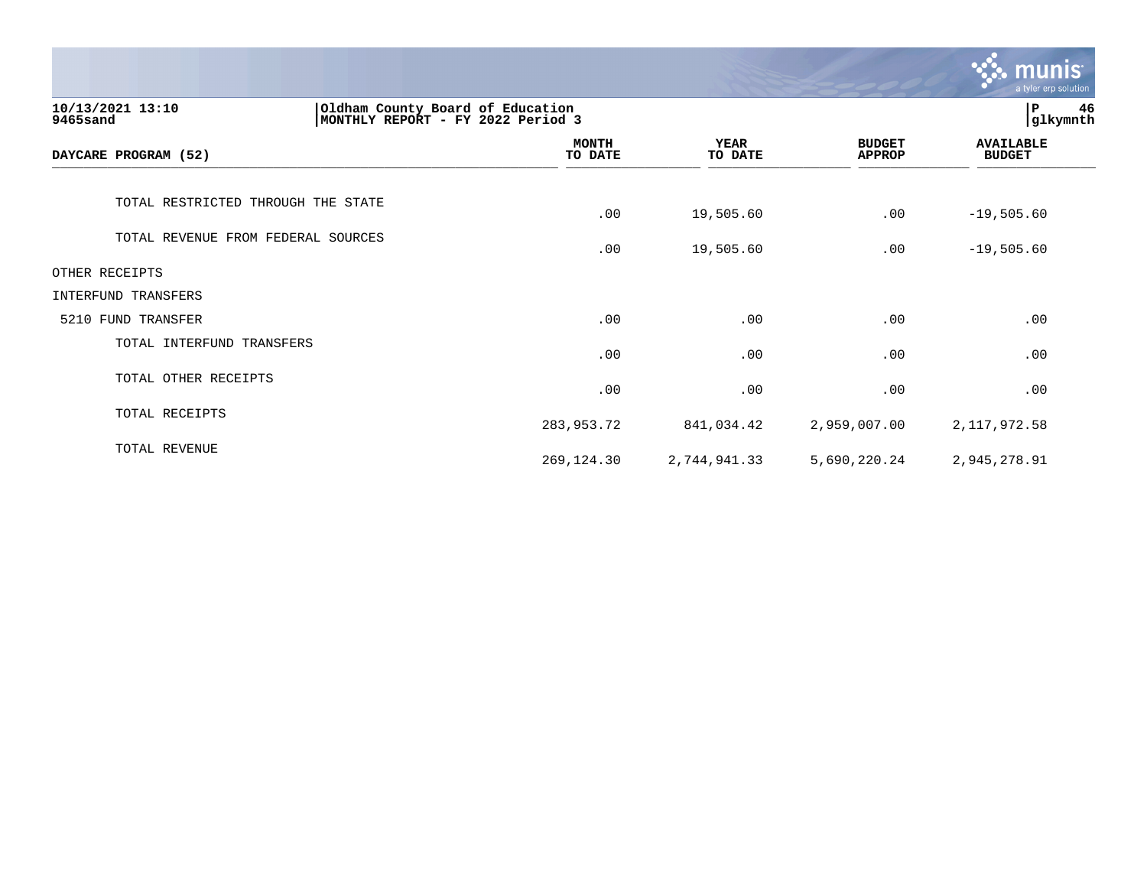|                                                                                                       |                         |                        |                                | <b>munis</b><br>a tyler erp solution |
|-------------------------------------------------------------------------------------------------------|-------------------------|------------------------|--------------------------------|--------------------------------------|
| 10/13/2021 13:10<br>Oldham County Board of Education<br>MONTHLY REPORT - FY 2022 Period 3<br>9465sand |                         |                        |                                |                                      |
| DAYCARE PROGRAM (52)                                                                                  | <b>MONTH</b><br>TO DATE | <b>YEAR</b><br>TO DATE | <b>BUDGET</b><br><b>APPROP</b> | <b>AVAILABLE</b><br><b>BUDGET</b>    |
| TOTAL RESTRICTED THROUGH THE STATE                                                                    | .00                     | 19,505.60              | .00                            | $-19,505.60$                         |
| TOTAL REVENUE FROM FEDERAL SOURCES                                                                    | .00                     | 19,505.60              | .00                            | $-19,505.60$                         |
| OTHER RECEIPTS                                                                                        |                         |                        |                                |                                      |
| INTERFUND TRANSFERS                                                                                   |                         |                        |                                |                                      |
| 5210 FUND TRANSFER                                                                                    | .00                     | .00                    | .00                            | .00                                  |
| TOTAL INTERFUND TRANSFERS                                                                             | .00                     | .00                    | .00                            | .00                                  |
| TOTAL OTHER RECEIPTS                                                                                  | .00                     | .00                    | .00                            | .00                                  |
| TOTAL RECEIPTS                                                                                        | 283,953.72              | 841,034.42             | 2,959,007.00                   | 2, 117, 972.58                       |
| TOTAL REVENUE                                                                                         | 269, 124.30             | 2,744,941.33           | 5,690,220.24                   | 2,945,278.91                         |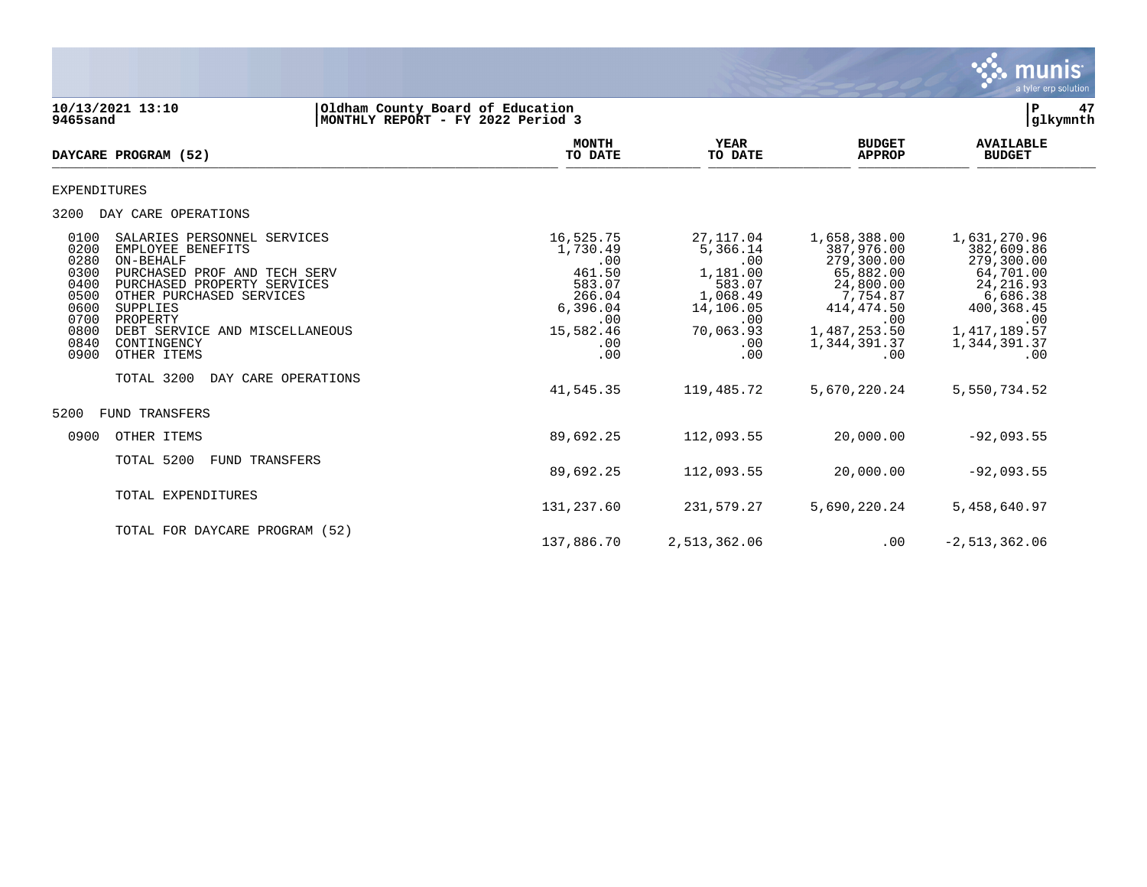

**10/13/2021 13:10 |Oldham County Board of Education |P 47 9465sand |MONTHLY REPORT - FY 2022 Period 3 |glkymnth MONTH AVAILABLE YEAR BUDGET** AVAILABLE **DAYCARE PROGRAM (52)** TO DATE TO DATE APPROP BUDGET  $\frac{10 \text{ Bile}}{10 \text{ Bile}}$ EXPENDITURES 3200 DAY CARE OPERATIONS 0100 SALARIES PERSONNEL SERVICES 16,525.75 27,117.04 1,658,388.00 1,631,270.96 0200 EMPLOYEE BENEFITS 1,730.49 5,366.14 387,976.00 382,609.86 0280 ON-BEHALF .00 .00 279,300.00 279,300.00 0300 PURCHASED PROF AND TECH SERV 461.50 1,181.00 65,882.00 64,701.00<br>0400 PURCHASED PROPERTY SERVICES 583.07 24,8 0400 PURCHASED PROPERTY SERVICES 683.07 583.07 583.07 24,800.00 24,216.93<br>0500 OTHER PURCHASED SERVICES 6686.38 6686.38 266.04 1,068.49 7,754.87 6,686.38 0500 OTHER PURCHASED SERVICES 266.04 1,068.49 7,754.87 6,686.38 0600 SUPPLIES 6,396.04 14,106.05 414,474.50 400,368.45 0700 PROPERTY .00 .00 .00 .00 0800 DEBT SERVICE AND MISCELLANEOUS 15,582.46 70,063.93 1,487,253.50 1,417,189.57 0840 CONTINGENCY .00 .00 1,344,391.37 1,344,391.37 0900 OTHER ITEMS .00 .00 .00 .00 TOTAL 3200 DAY CARE OPERATIONS 41,545.35 119,485.72 5,670,220.24 5,550,734.52 5200 FUND TRANSFERS 0900 OTHER ITEMS 89,692.25 112,093.55 20,000.00 -92,093.55 TOTAL 5200 FUND TRANSFERS 89,692.25 112,093.55 20,000.00 -92,093.55 TOTAL EXPENDITURES 131,237.60 231,579.27 5,690,220.24 5,458,640.97 TOTAL FOR DAYCARE PROGRAM (52)

137,886.70 2,513,362.06 .00 -2,513,362.06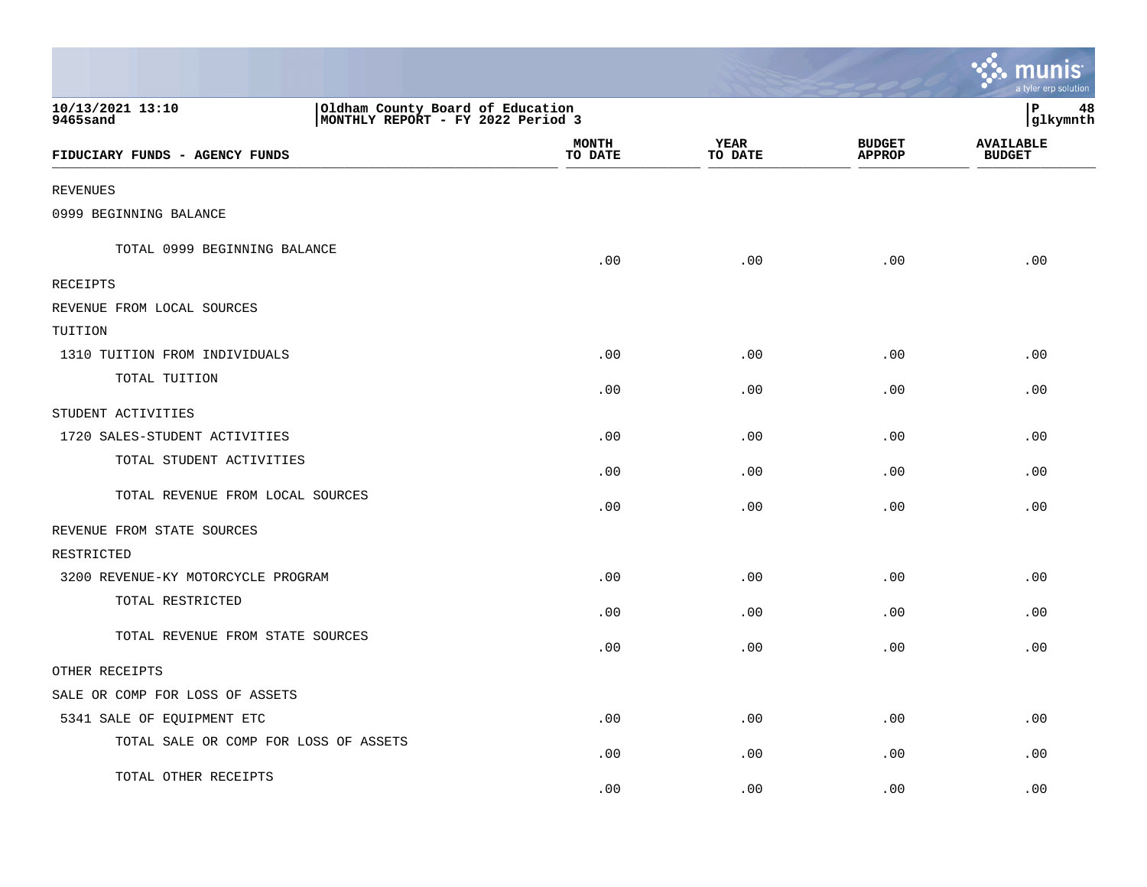|                                                                                                       |                         |                        |                                | a tyler erp solution              |
|-------------------------------------------------------------------------------------------------------|-------------------------|------------------------|--------------------------------|-----------------------------------|
| 10/13/2021 13:10<br>Oldham County Board of Education<br>MONTHLY REPORT - FY 2022 Period 3<br>9465sand |                         |                        |                                | IΡ<br>48<br>glkymnth              |
| FIDUCIARY FUNDS - AGENCY FUNDS                                                                        | <b>MONTH</b><br>TO DATE | <b>YEAR</b><br>TO DATE | <b>BUDGET</b><br><b>APPROP</b> | <b>AVAILABLE</b><br><b>BUDGET</b> |
| <b>REVENUES</b>                                                                                       |                         |                        |                                |                                   |
| 0999 BEGINNING BALANCE                                                                                |                         |                        |                                |                                   |
| TOTAL 0999 BEGINNING BALANCE                                                                          | .00                     | .00                    | .00                            | .00                               |
| RECEIPTS                                                                                              |                         |                        |                                |                                   |
| REVENUE FROM LOCAL SOURCES                                                                            |                         |                        |                                |                                   |
| TUITION                                                                                               |                         |                        |                                |                                   |
| 1310 TUITION FROM INDIVIDUALS                                                                         | .00                     | .00                    | .00                            | .00                               |
| TOTAL TUITION                                                                                         | .00                     | .00                    | .00                            | .00                               |
| STUDENT ACTIVITIES                                                                                    |                         |                        |                                |                                   |
| 1720 SALES-STUDENT ACTIVITIES                                                                         | .00                     | .00                    | .00                            | .00                               |
| TOTAL STUDENT ACTIVITIES                                                                              | .00                     | .00                    | .00                            | .00                               |
| TOTAL REVENUE FROM LOCAL SOURCES                                                                      | .00                     | .00                    | .00                            | .00                               |
| REVENUE FROM STATE SOURCES                                                                            |                         |                        |                                |                                   |
| RESTRICTED                                                                                            |                         |                        |                                |                                   |
| 3200 REVENUE-KY MOTORCYCLE PROGRAM                                                                    | .00                     | .00                    | .00                            | .00                               |
| TOTAL RESTRICTED                                                                                      | .00                     | .00                    | .00                            | .00                               |
| TOTAL REVENUE FROM STATE SOURCES                                                                      | .00                     | .00                    | .00                            | .00                               |
| OTHER RECEIPTS                                                                                        |                         |                        |                                |                                   |
| SALE OR COMP FOR LOSS OF ASSETS                                                                       |                         |                        |                                |                                   |
| 5341 SALE OF EQUIPMENT ETC                                                                            | .00                     | .00                    | .00                            | .00                               |
| TOTAL SALE OR COMP FOR LOSS OF ASSETS                                                                 | .00                     | .00                    | .00                            | .00                               |
| TOTAL OTHER RECEIPTS                                                                                  | .00                     | .00                    | .00                            | .00                               |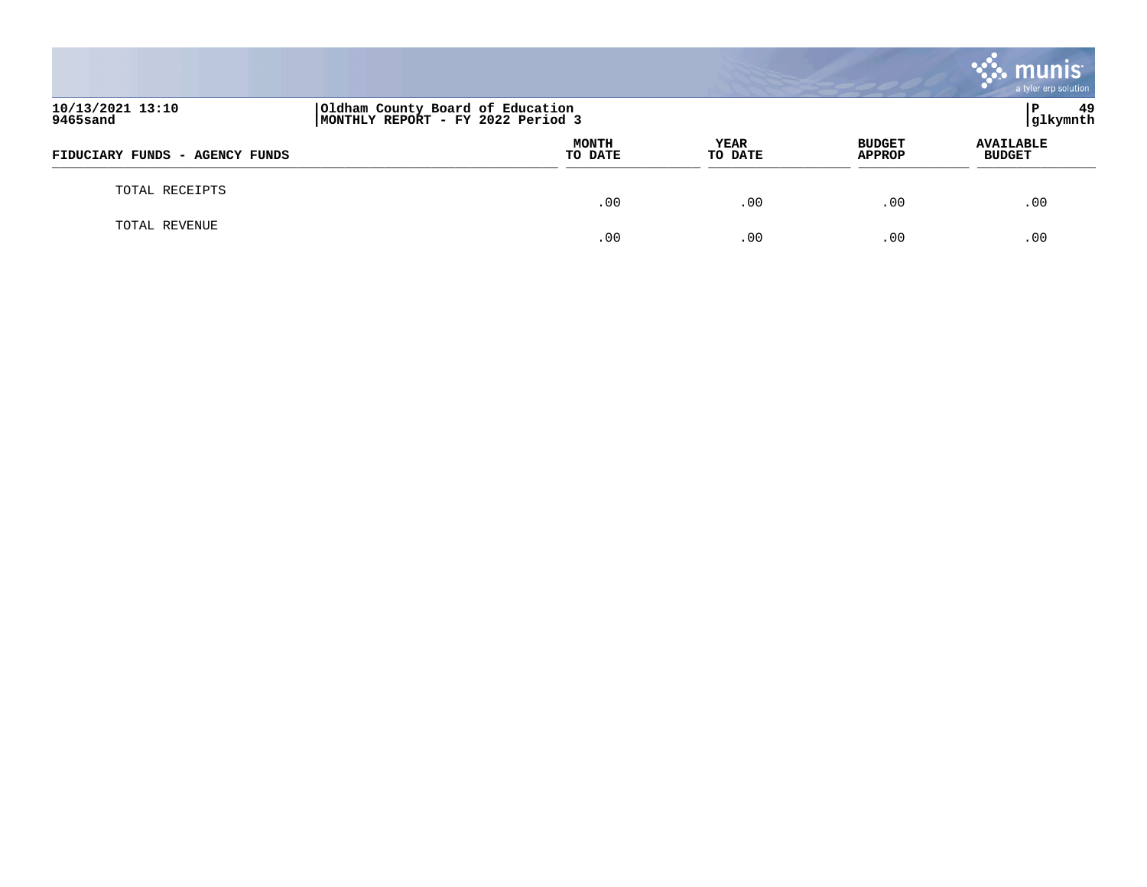|                                |                                                                       |                 |                                | <b>munis</b><br>a tyler erp solution |
|--------------------------------|-----------------------------------------------------------------------|-----------------|--------------------------------|--------------------------------------|
| 10/13/2021 13:10<br>9465sand   | Oldham County Board of Education<br>MONTHLY REPORT - FY 2022 Period 3 |                 |                                | -49<br>P<br>glkymnth                 |
| FIDUCIARY FUNDS - AGENCY FUNDS | <b>MONTH</b><br>TO DATE                                               | YEAR<br>TO DATE | <b>BUDGET</b><br><b>APPROP</b> | <b>AVAILABLE</b><br><b>BUDGET</b>    |
| TOTAL RECEIPTS                 | .00                                                                   | .00             | .00                            | .00                                  |
| TOTAL REVENUE                  | .00                                                                   | .00             | .00                            | .00                                  |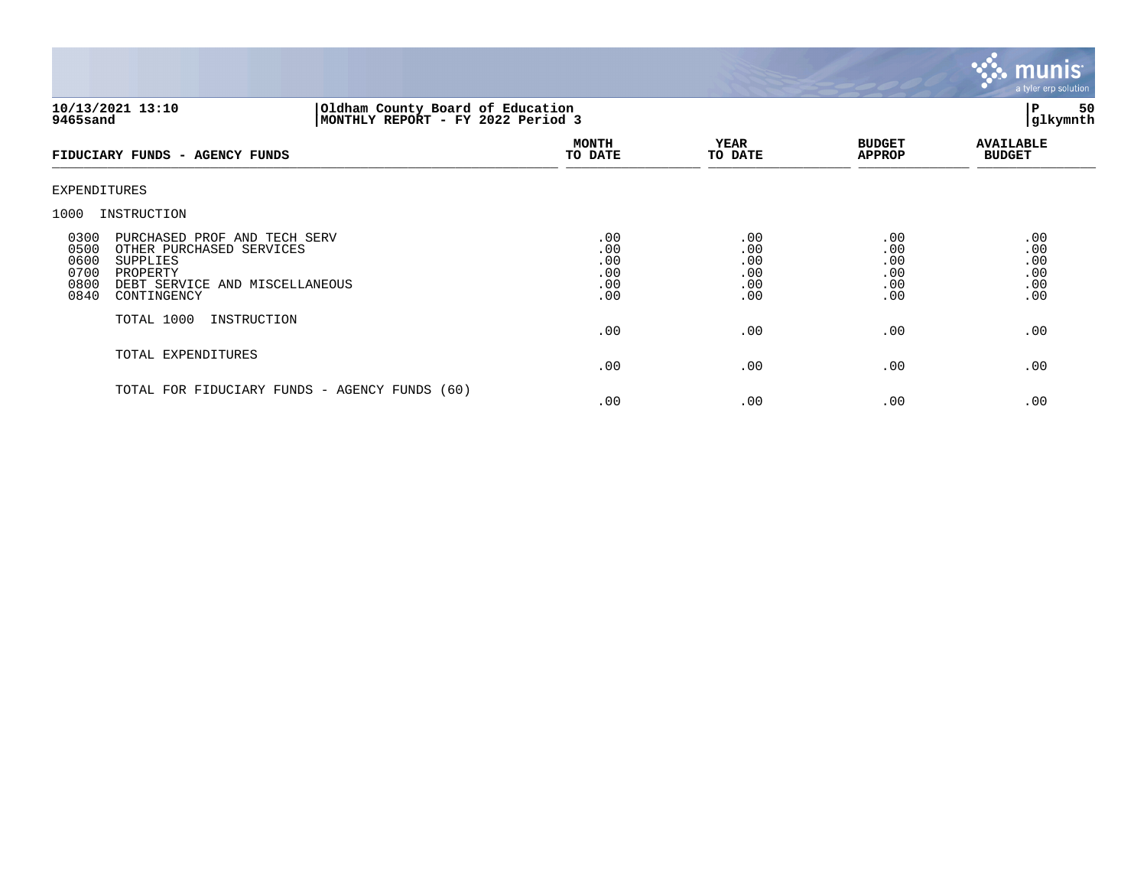

## **10/13/2021 13:10 |Oldham County Board of Education |P 50 9465sand |MONTHLY REPORT - FY 2022 Period 3 |glkymnth**

| FIDUCIARY FUNDS - AGENCY FUNDS                                                                                                                                                    | <b>MONTH</b><br>TO DATE                | <b>YEAR</b><br>TO DATE                 | <b>BUDGET</b><br><b>APPROP</b>         | <b>AVAILABLE</b><br><b>BUDGET</b>      |
|-----------------------------------------------------------------------------------------------------------------------------------------------------------------------------------|----------------------------------------|----------------------------------------|----------------------------------------|----------------------------------------|
| EXPENDITURES                                                                                                                                                                      |                                        |                                        |                                        |                                        |
| INSTRUCTION<br>1000                                                                                                                                                               |                                        |                                        |                                        |                                        |
| 0300<br>PURCHASED PROF AND TECH SERV<br>0500<br>OTHER PURCHASED SERVICES<br>0600<br>SUPPLIES<br>0700<br>PROPERTY<br>0800<br>DEBT SERVICE AND MISCELLANEOUS<br>0840<br>CONTINGENCY | .00<br>.00<br>.00<br>.00<br>.00<br>.00 | .00<br>.00<br>.00<br>.00<br>.00<br>.00 | .00<br>.00<br>.00<br>.00<br>.00<br>.00 | .00<br>.00<br>.00<br>.00<br>.00<br>.00 |
| TOTAL 1000<br>INSTRUCTION                                                                                                                                                         | .00                                    | .00                                    | .00                                    | .00                                    |
| TOTAL EXPENDITURES                                                                                                                                                                | .00                                    | .00                                    | .00                                    | .00                                    |
| TOTAL FOR FIDUCIARY FUNDS - AGENCY FUNDS (60)                                                                                                                                     | .00                                    | .00                                    | .00                                    | .00                                    |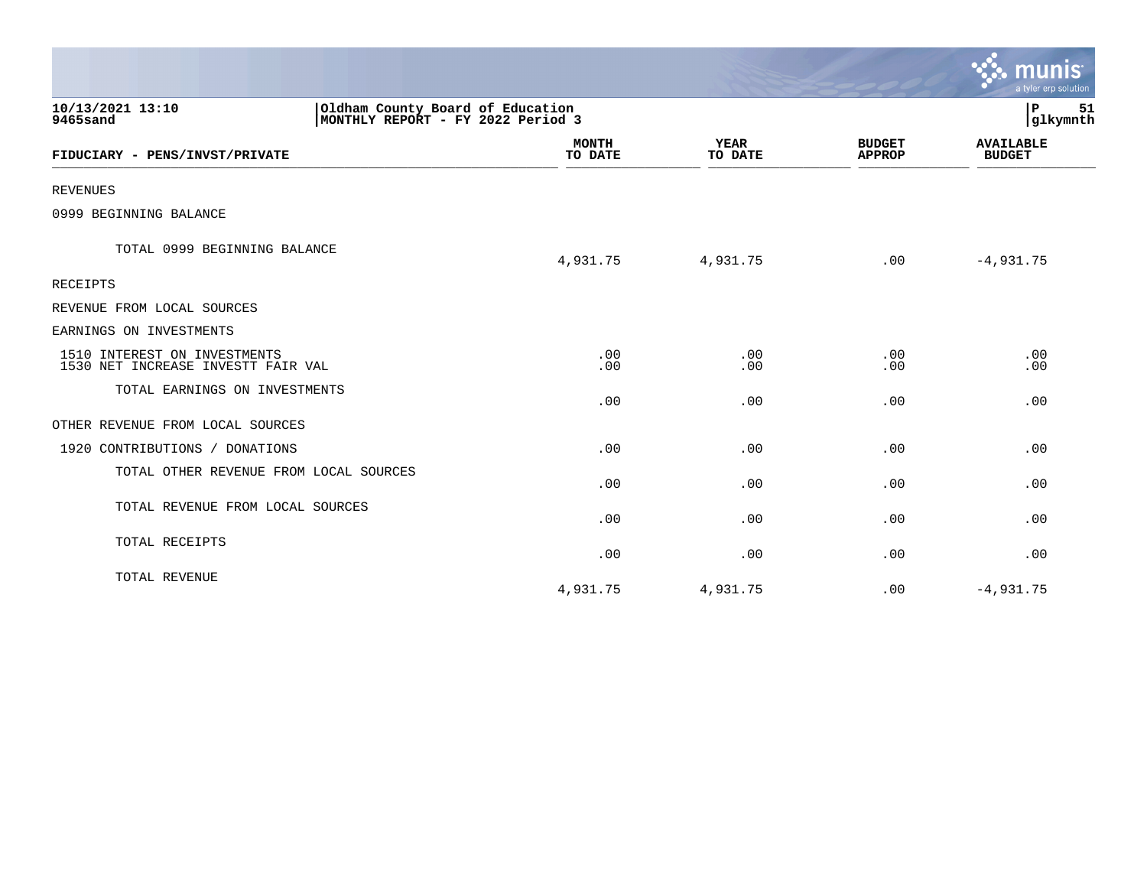|                                                                    |                                                                       |                         |                        |                                | ः munis<br>a tyler erp solution   |
|--------------------------------------------------------------------|-----------------------------------------------------------------------|-------------------------|------------------------|--------------------------------|-----------------------------------|
| 10/13/2021 13:10<br>9465sand                                       | Oldham County Board of Education<br>MONTHLY REPORT - FY 2022 Period 3 |                         |                        |                                |                                   |
| FIDUCIARY - PENS/INVST/PRIVATE                                     |                                                                       | <b>MONTH</b><br>TO DATE | <b>YEAR</b><br>TO DATE | <b>BUDGET</b><br><b>APPROP</b> | <b>AVAILABLE</b><br><b>BUDGET</b> |
| <b>REVENUES</b>                                                    |                                                                       |                         |                        |                                |                                   |
| 0999 BEGINNING BALANCE                                             |                                                                       |                         |                        |                                |                                   |
| TOTAL 0999 BEGINNING BALANCE                                       |                                                                       | 4,931.75                | 4,931.75               | .00                            | $-4,931.75$                       |
| RECEIPTS                                                           |                                                                       |                         |                        |                                |                                   |
| REVENUE FROM LOCAL SOURCES                                         |                                                                       |                         |                        |                                |                                   |
| EARNINGS ON INVESTMENTS                                            |                                                                       |                         |                        |                                |                                   |
| 1510 INTEREST ON INVESTMENTS<br>1530 NET INCREASE INVESTT FAIR VAL |                                                                       | .00<br>.00              | .00<br>.00             | .00<br>.00                     | .00<br>.00                        |
| TOTAL EARNINGS ON INVESTMENTS                                      |                                                                       | .00                     | .00                    | .00                            | .00                               |
| OTHER REVENUE FROM LOCAL SOURCES                                   |                                                                       |                         |                        |                                |                                   |
| 1920 CONTRIBUTIONS / DONATIONS                                     |                                                                       | .00                     | .00                    | .00                            | .00                               |
| TOTAL OTHER REVENUE FROM LOCAL SOURCES                             |                                                                       | .00                     | .00                    | .00                            | .00                               |
| TOTAL REVENUE FROM LOCAL SOURCES                                   |                                                                       | .00                     | .00                    | .00                            | .00                               |
| TOTAL RECEIPTS                                                     |                                                                       | .00                     | .00                    | .00                            | .00                               |
| TOTAL REVENUE                                                      |                                                                       | 4,931.75                | 4,931.75               | .00                            | $-4,931.75$                       |

and the contract of the contract of the contract of the contract of the contract of the contract of the contract of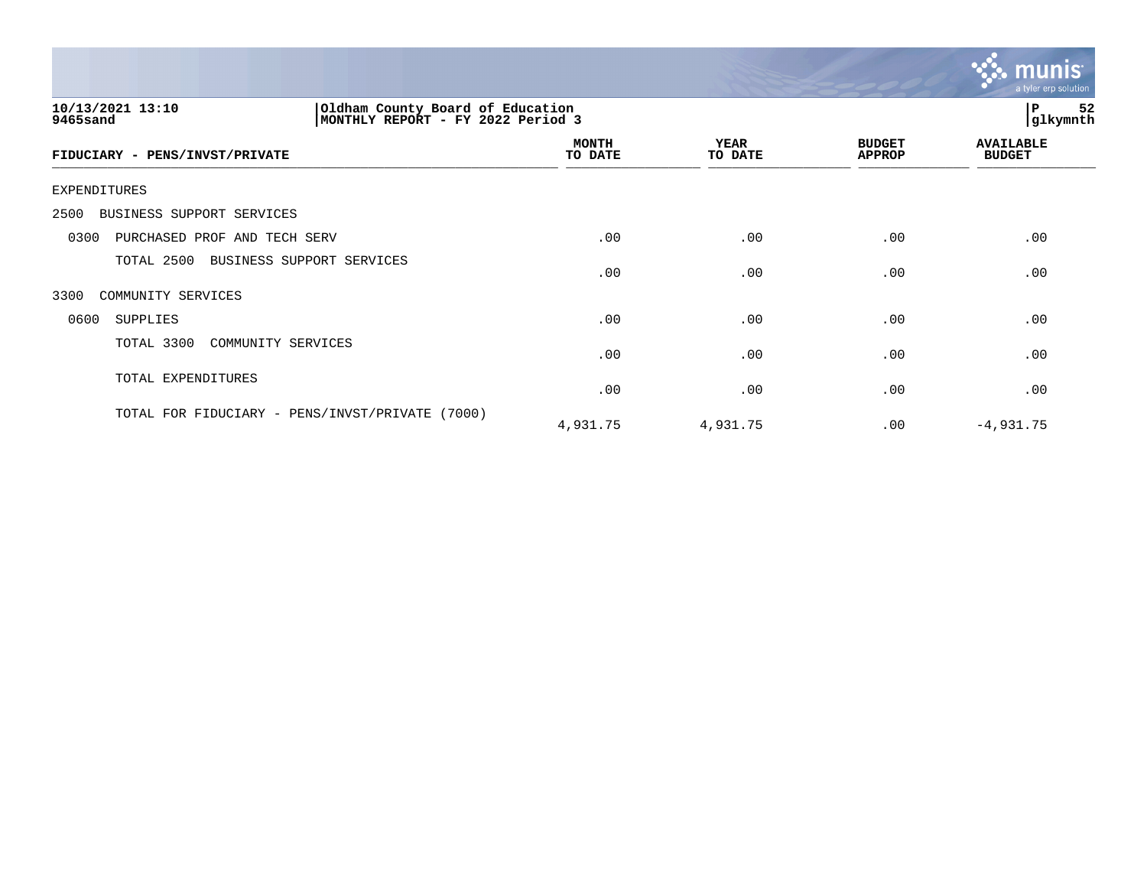

| 10/13/2021 13:10<br>Oldham County Board of Education<br>MONTHLY REPORT - FY 2022 Period 3<br>9465sand |                         |                        |                                | 52<br>P<br> glkymnth              |  |
|-------------------------------------------------------------------------------------------------------|-------------------------|------------------------|--------------------------------|-----------------------------------|--|
| FIDUCIARY - PENS/INVST/PRIVATE                                                                        | <b>MONTH</b><br>TO DATE | <b>YEAR</b><br>TO DATE | <b>BUDGET</b><br><b>APPROP</b> | <b>AVAILABLE</b><br><b>BUDGET</b> |  |
| <b>EXPENDITURES</b>                                                                                   |                         |                        |                                |                                   |  |
| BUSINESS SUPPORT SERVICES<br>2500                                                                     |                         |                        |                                |                                   |  |
| PURCHASED PROF AND TECH SERV<br>0300                                                                  | .00                     | .00                    | .00                            | .00                               |  |
| TOTAL 2500<br>BUSINESS SUPPORT SERVICES                                                               | .00                     | .00                    | .00                            | .00                               |  |
| 3300<br>COMMUNITY SERVICES                                                                            |                         |                        |                                |                                   |  |
| 0600<br><b>SUPPLIES</b>                                                                               | .00                     | .00                    | .00                            | .00                               |  |
| TOTAL 3300<br>COMMUNITY SERVICES                                                                      | .00                     | .00                    | .00                            | .00                               |  |
| TOTAL EXPENDITURES                                                                                    | .00                     | .00                    | .00                            | .00                               |  |
| TOTAL FOR FIDUCIARY - PENS/INVST/PRIVATE<br>(7000)                                                    | 4,931.75                | 4,931.75               | .00                            | $-4,931.75$                       |  |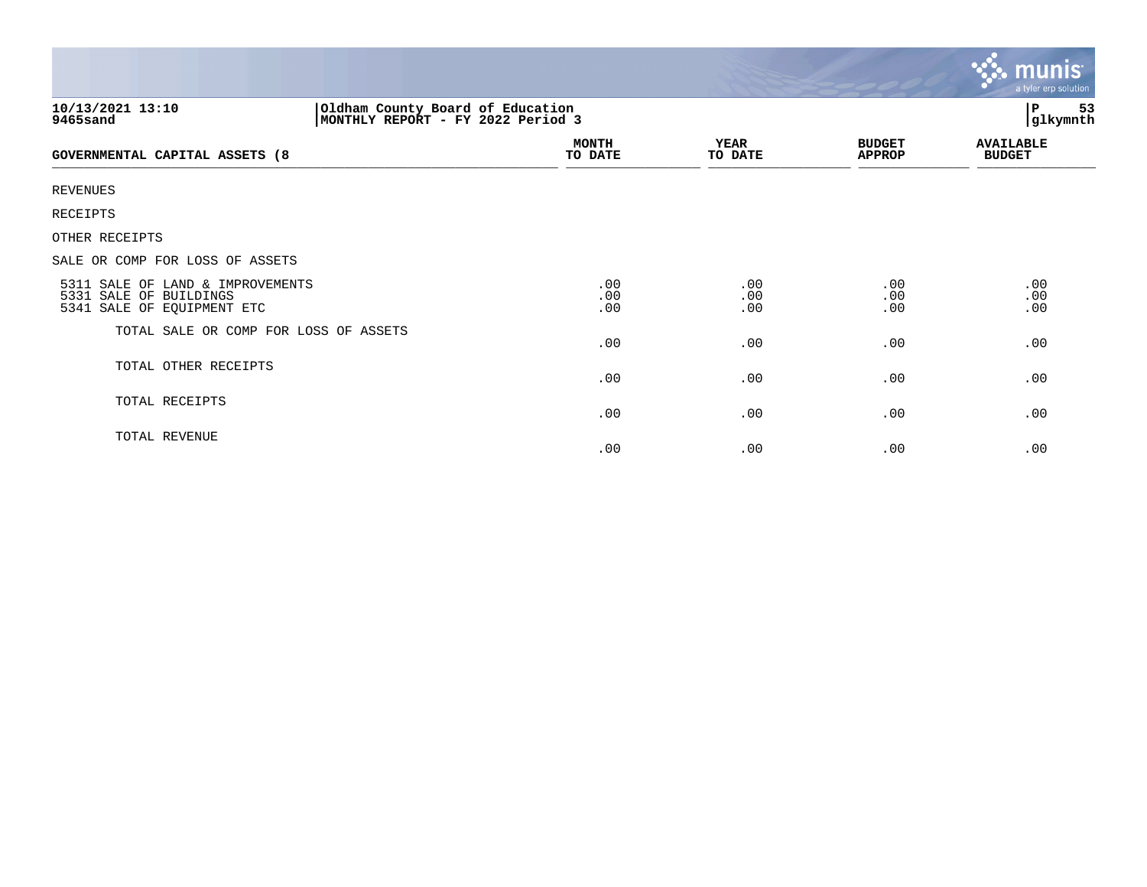|                                                                                                        |                         |                        |                                | <b>munis</b><br>a tyler erp solution |
|--------------------------------------------------------------------------------------------------------|-------------------------|------------------------|--------------------------------|--------------------------------------|
| Oldham County Board of Education<br> MONTHLY REPORT - FY 2022 Period 3<br>10/13/2021 13:10<br>9465sand |                         |                        |                                | 53<br>P<br>glkymnth                  |
| <b>GOVERNMENTAL CAPITAL ASSETS (8</b>                                                                  | <b>MONTH</b><br>TO DATE | <b>YEAR</b><br>TO DATE | <b>BUDGET</b><br><b>APPROP</b> | <b>AVAILABLE</b><br><b>BUDGET</b>    |
| <b>REVENUES</b>                                                                                        |                         |                        |                                |                                      |
| <b>RECEIPTS</b>                                                                                        |                         |                        |                                |                                      |
| OTHER RECEIPTS                                                                                         |                         |                        |                                |                                      |
| SALE OR COMP FOR LOSS OF ASSETS                                                                        |                         |                        |                                |                                      |
| 5311 SALE OF LAND & IMPROVEMENTS<br>5331 SALE OF BUILDINGS<br>5341 SALE OF EQUIPMENT ETC               | .00<br>.00<br>.00       | .00<br>.00<br>.00      | .00<br>.00<br>.00              | .00<br>.00<br>.00                    |
| TOTAL SALE OR COMP FOR LOSS OF ASSETS                                                                  | .00                     | .00                    | .00                            | .00                                  |
| TOTAL OTHER RECEIPTS                                                                                   | .00                     | .00                    | .00                            | .00                                  |
| TOTAL RECEIPTS                                                                                         | .00                     | .00                    | .00                            | .00                                  |
| TOTAL REVENUE                                                                                          | .00                     | .00                    | .00                            | .00                                  |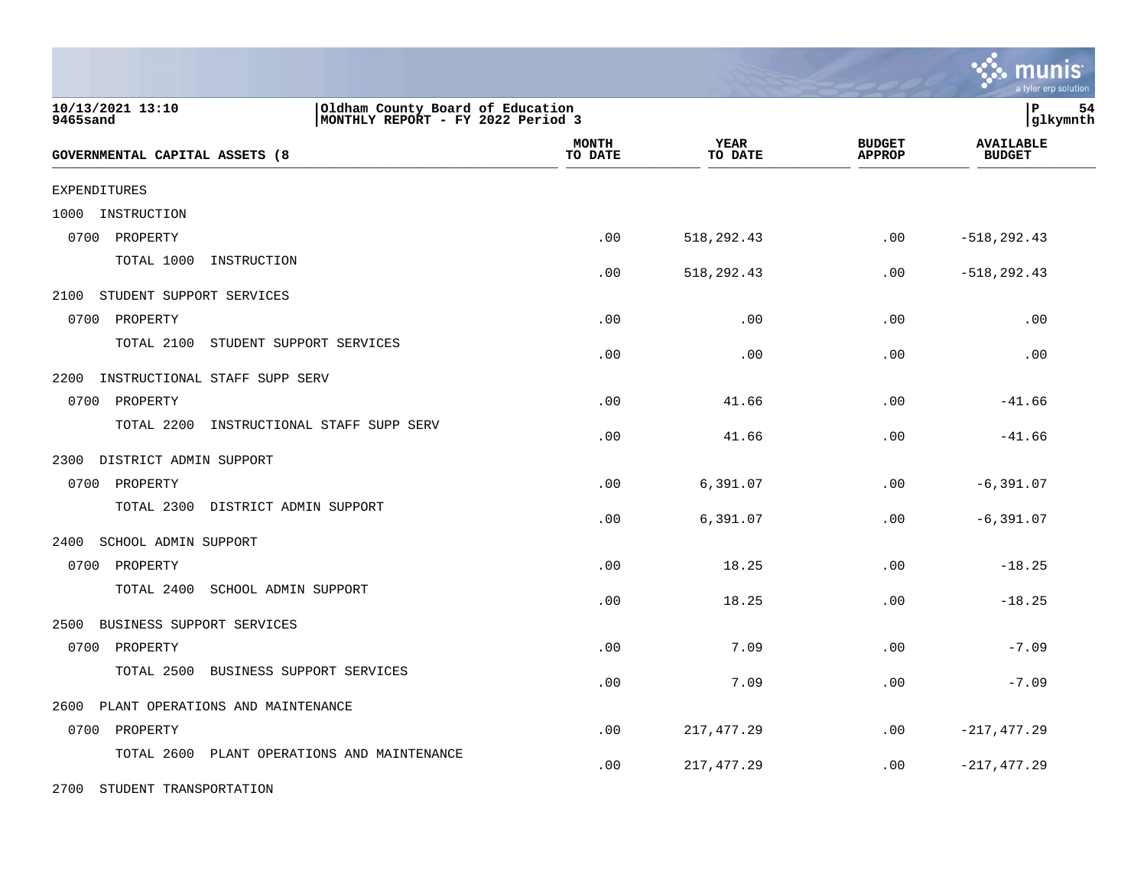|                                                                                                       |                         |                        |                                | a tyler erp solution              |
|-------------------------------------------------------------------------------------------------------|-------------------------|------------------------|--------------------------------|-----------------------------------|
| 10/13/2021 13:10<br>Oldham County Board of Education<br>MONTHLY REPORT - FY 2022 Period 3<br>9465sand |                         |                        |                                | P<br>54<br> glkymnth              |
| GOVERNMENTAL CAPITAL ASSETS (8                                                                        | <b>MONTH</b><br>TO DATE | <b>YEAR</b><br>TO DATE | <b>BUDGET</b><br><b>APPROP</b> | <b>AVAILABLE</b><br><b>BUDGET</b> |
| <b>EXPENDITURES</b>                                                                                   |                         |                        |                                |                                   |
| INSTRUCTION<br>1000                                                                                   |                         |                        |                                |                                   |
| 0700<br>PROPERTY                                                                                      | .00                     | 518,292.43             | .00                            | $-518, 292.43$                    |
| TOTAL 1000<br>INSTRUCTION                                                                             | .00                     | 518,292.43             | .00                            | $-518, 292.43$                    |
| 2100<br>STUDENT SUPPORT SERVICES                                                                      |                         |                        |                                |                                   |
| 0700<br>PROPERTY                                                                                      | .00                     | .00                    | .00                            | .00                               |
| TOTAL 2100<br>STUDENT SUPPORT SERVICES                                                                | .00                     | .00                    | .00                            | .00                               |
| 2200<br>INSTRUCTIONAL STAFF SUPP SERV                                                                 |                         |                        |                                |                                   |
| 0700<br>PROPERTY                                                                                      | .00                     | 41.66                  | .00                            | $-41.66$                          |
| INSTRUCTIONAL STAFF SUPP SERV<br>TOTAL 2200                                                           | .00                     | 41.66                  | .00                            | $-41.66$                          |
| 2300<br>DISTRICT ADMIN SUPPORT                                                                        |                         |                        |                                |                                   |
| 0700<br>PROPERTY                                                                                      | .00                     | 6,391.07               | .00                            | $-6, 391.07$                      |
| TOTAL 2300 DISTRICT ADMIN SUPPORT                                                                     | .00                     | 6,391.07               | .00                            | $-6, 391.07$                      |
| 2400<br>SCHOOL ADMIN SUPPORT                                                                          |                         |                        |                                |                                   |
| 0700<br>PROPERTY                                                                                      | .00                     | 18.25                  | .00                            | $-18.25$                          |
| TOTAL 2400<br>SCHOOL ADMIN SUPPORT                                                                    | .00                     | 18.25                  | .00                            | $-18.25$                          |
| 2500<br>BUSINESS SUPPORT SERVICES                                                                     |                         |                        |                                |                                   |
| 0700 PROPERTY                                                                                         | .00                     | 7.09                   | .00                            | $-7.09$                           |
| TOTAL 2500<br>BUSINESS SUPPORT SERVICES                                                               | .00                     | 7.09                   | .00                            | $-7.09$                           |
| PLANT OPERATIONS AND MAINTENANCE<br>2600                                                              |                         |                        |                                |                                   |
| 0700 PROPERTY                                                                                         | .00                     | 217, 477.29            | .00                            | $-217, 477.29$                    |
| TOTAL 2600 PLANT OPERATIONS AND MAINTENANCE                                                           | .00                     | 217,477.29             | .00                            | $-217,477.29$                     |
| 2700 STUDENT TRANSPORTATION                                                                           |                         |                        |                                |                                   |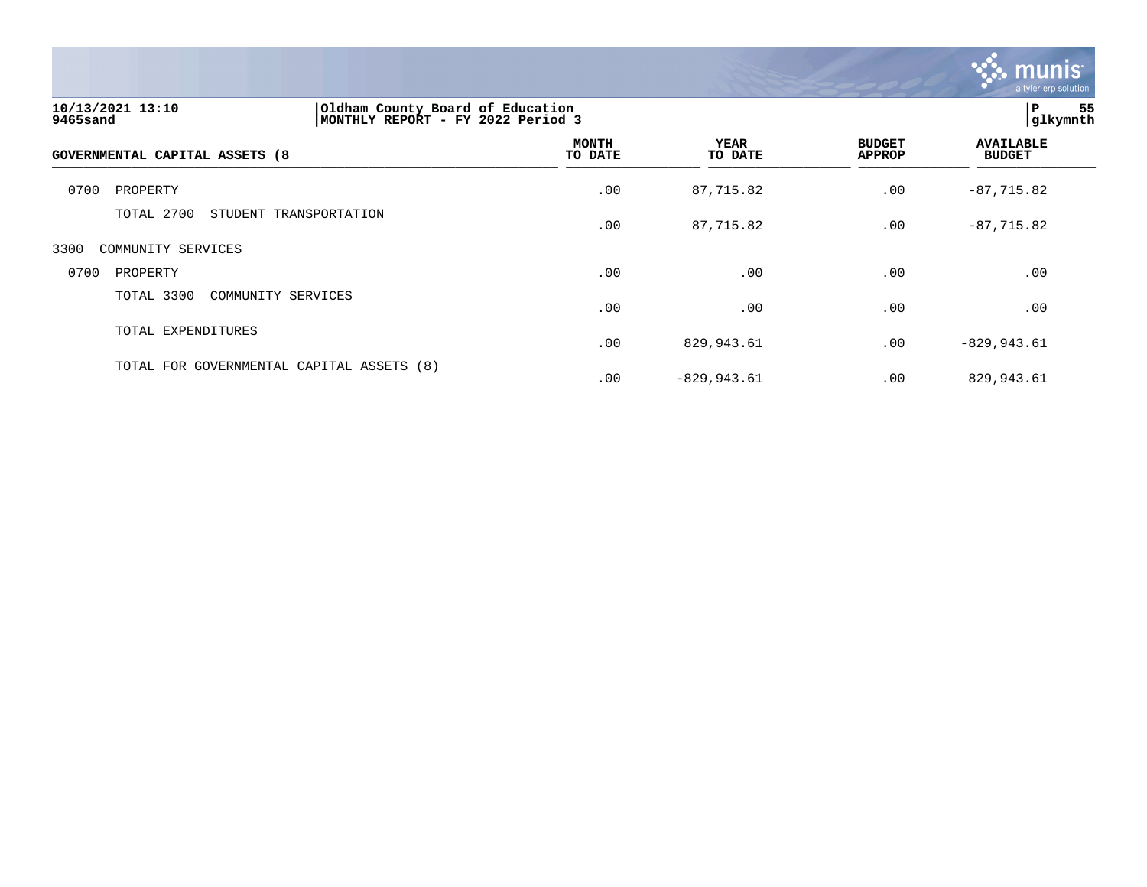

| 10/13/2021 13:10<br>9465sand   | Oldham County Board of Education<br>MONTHLY REPORT - FY 2022 Period 3 |                         | 55<br>l P<br> glkymnth |                                |                                   |  |
|--------------------------------|-----------------------------------------------------------------------|-------------------------|------------------------|--------------------------------|-----------------------------------|--|
| GOVERNMENTAL CAPITAL ASSETS (8 |                                                                       | <b>MONTH</b><br>TO DATE | <b>YEAR</b><br>TO DATE | <b>BUDGET</b><br><b>APPROP</b> | <b>AVAILABLE</b><br><b>BUDGET</b> |  |
| 0700<br>PROPERTY               |                                                                       | .00                     | 87,715.82              | .00                            | $-87,715.82$                      |  |
| TOTAL 2700                     | STUDENT TRANSPORTATION                                                | .00                     | 87,715.82              | .00                            | $-87,715.82$                      |  |
| 3300<br>COMMUNITY SERVICES     |                                                                       |                         |                        |                                |                                   |  |
| 0700<br>PROPERTY               |                                                                       | .00                     | .00                    | .00                            | .00                               |  |
| TOTAL 3300                     | COMMUNITY SERVICES                                                    | .00                     | .00                    | .00                            | .00                               |  |
| TOTAL EXPENDITURES             |                                                                       | .00                     | 829,943.61             | .00                            | $-829, 943.61$                    |  |
|                                | TOTAL FOR GOVERNMENTAL CAPITAL ASSETS (8)                             | .00                     | $-829,943.61$          | .00                            | 829,943.61                        |  |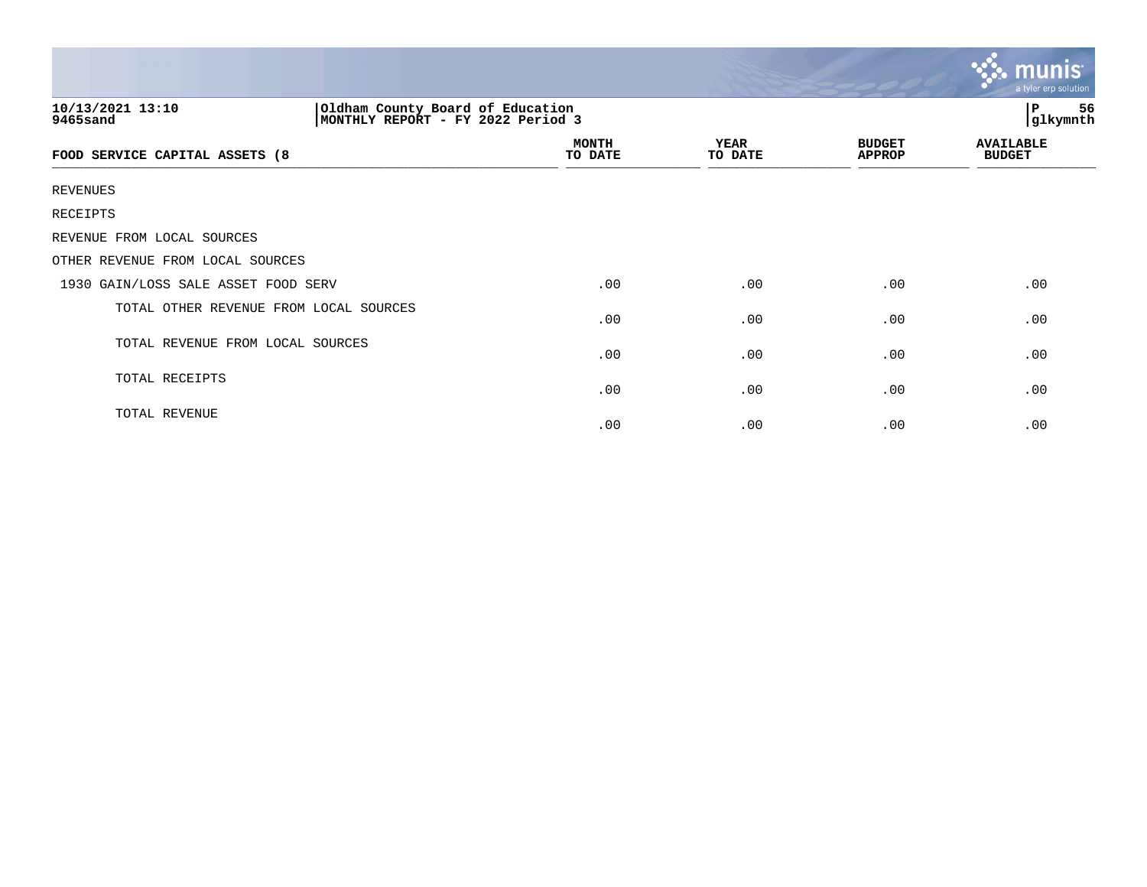|                                        |                                                                       |                        |                                | $\sim$ munis<br>a tyler erp solution |  |  |
|----------------------------------------|-----------------------------------------------------------------------|------------------------|--------------------------------|--------------------------------------|--|--|
| 10/13/2021 13:10<br>9465sand           | Oldham County Board of Education<br>MONTHLY REPORT - FY 2022 Period 3 |                        |                                | 56<br>P<br>glkymnth                  |  |  |
| FOOD SERVICE CAPITAL ASSETS (8         | <b>MONTH</b><br>TO DATE                                               | <b>YEAR</b><br>TO DATE | <b>BUDGET</b><br><b>APPROP</b> | <b>AVAILABLE</b><br><b>BUDGET</b>    |  |  |
| <b>REVENUES</b>                        |                                                                       |                        |                                |                                      |  |  |
| RECEIPTS                               |                                                                       |                        |                                |                                      |  |  |
| REVENUE FROM LOCAL SOURCES             |                                                                       |                        |                                |                                      |  |  |
| OTHER REVENUE FROM LOCAL SOURCES       |                                                                       |                        |                                |                                      |  |  |
| 1930 GAIN/LOSS SALE ASSET FOOD SERV    | .00                                                                   | .00                    | .00                            | .00                                  |  |  |
| TOTAL OTHER REVENUE FROM LOCAL SOURCES | .00                                                                   | .00                    | .00                            | .00                                  |  |  |
| TOTAL REVENUE FROM LOCAL SOURCES       | .00                                                                   | .00                    | .00                            | .00                                  |  |  |
| TOTAL RECEIPTS                         | .00                                                                   | .00                    | .00                            | .00                                  |  |  |
| TOTAL REVENUE                          | .00                                                                   | .00                    | .00                            | .00                                  |  |  |

 $\sim$   $\sim$   $\sim$   $\sim$   $\sim$   $\sim$   $\sim$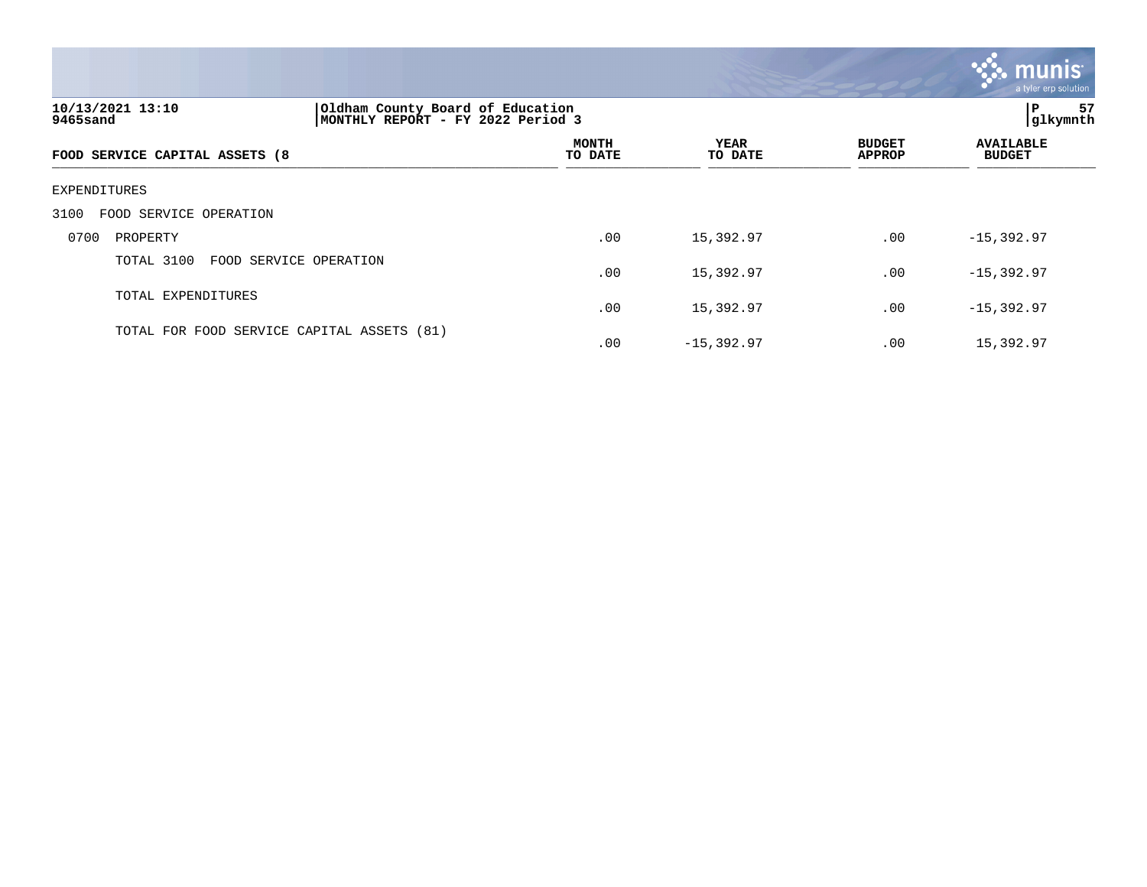|                                |                                                                       |                         |                        |                                | a tyler erp solution              |
|--------------------------------|-----------------------------------------------------------------------|-------------------------|------------------------|--------------------------------|-----------------------------------|
| 10/13/2021 13:10<br>9465sand   | Oldham County Board of Education<br>MONTHLY REPORT - FY 2022 Period 3 |                         |                        |                                | 57<br> glkymnth                   |
| FOOD SERVICE CAPITAL ASSETS (8 |                                                                       | <b>MONTH</b><br>TO DATE | <b>YEAR</b><br>TO DATE | <b>BUDGET</b><br><b>APPROP</b> | <b>AVAILABLE</b><br><b>BUDGET</b> |

### EXPENDITURES

## 3100 FOOD SERVICE OPERATION

|      | JIVV IVVD DINYIVI VIINIIIVN                |     |              |          |              |
|------|--------------------------------------------|-----|--------------|----------|--------------|
| 0700 | PROPERTY                                   | .00 | 15,392.97    | $.00 \,$ | $-15,392.97$ |
|      | TOTAL 3100 FOOD SERVICE OPERATION          | .00 | 15,392.97    | $.00 \,$ | $-15,392.97$ |
|      | TOTAL EXPENDITURES                         | .00 | 15,392.97    | $.00 \,$ | $-15,392.97$ |
|      | TOTAL FOR FOOD SERVICE CAPITAL ASSETS (81) | .00 | $-15,392.97$ | .00      | 15,392.97    |